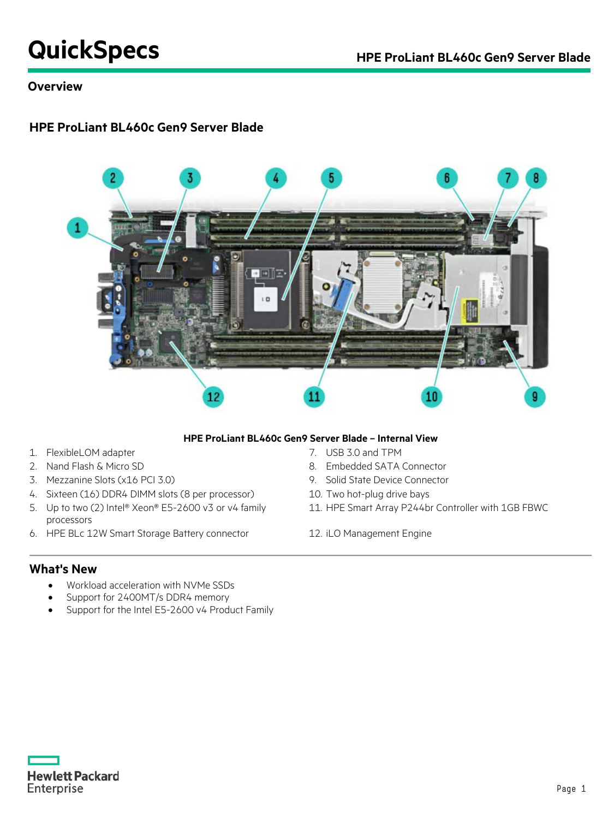# **QuickSpecs HPE ProLiant BL460c Gen9 Server Blade**

# **Overview**

# **HPE ProLiant BL460c Gen9 Server Blade**



#### **HPE ProLiant BL460c Gen9 Server Blade – Internal View**

- 1. FlexibleLOM adapter 7. USB 3.0 and TPM
- 
- 3. Mezzanine Slots (x16 PCI 3.0) 9. Solid State Device Connector
- 4. Sixteen (16) DDR4 DIMM slots (8 per processor) 10. Two hot-plug drive bays
- 5. Up to two (2) Intel® Xeon® E5-2600 v3 or v4 family processors
- 6. HPE BLc 12W Smart Storage Battery connector 12. iLO Management Engine
- 
- 2. Nand Flash & Micro SD 8. Embedded SATA Connector
	-
	-
	- 11. HPE Smart Array P244br Controller with 1GB FBWC
	-

### **What's New**

- Workload acceleration with NVMe SSDs
- Support for 2400MT/s DDR4 memory
- Support for the Intel E5-2600 v4 Product Family

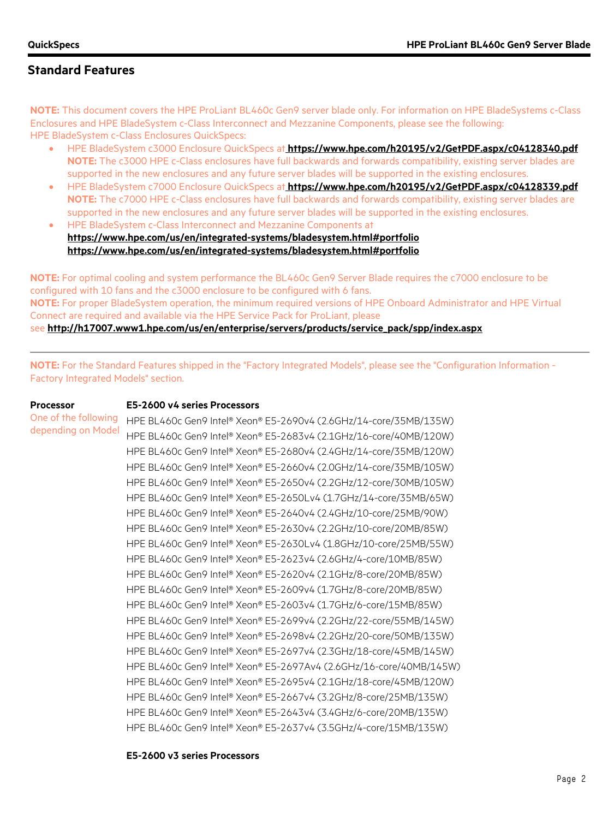**Processor**

# **Standard Features**

**NOTE:** This document covers the HPE ProLiant BL460c Gen9 server blade only. For information on HPE BladeSystems c-Class Enclosures and HPE BladeSystem c-Class Interconnect and Mezzanine Components, please see the following: HPE BladeSystem c-Class Enclosures QuickSpecs:

- HPE BladeSystem c3000 Enclosure QuickSpecs at **<https://www.hpe.com/h20195/v2/GetPDF.aspx/c04128340.pdf> NOTE:** The c3000 HPE c-Class enclosures have full backwards and forwards compatibility, existing server blades are supported in the new enclosures and any future server blades will be supported in the existing enclosures.
- HPE BladeSystem c7000 Enclosure QuickSpecs at **<https://www.hpe.com/h20195/v2/GetPDF.aspx/c04128339.pdf> NOTE:** The c7000 HPE c-Class enclosures have full backwards and forwards compatibility, existing server blades are supported in the new enclosures and any future server blades will be supported in the existing enclosures.
- HPE BladeSystem c-Class Interconnect and Mezzanine Components at **<https://www.hpe.com/us/en/integrated-systems/bladesystem.html#portfolio> <https://www.hpe.com/us/en/integrated-systems/bladesystem.html#portfolio>**

**NOTE:** For optimal cooling and system performance the BL460c Gen9 Server Blade requires the c7000 enclosure to be configured with 10 fans and the c3000 enclosure to be configured with 6 fans. **NOTE:** For proper BladeSystem operation, the minimum required versions of HPE Onboard Administrator and HPE Virtual Connect are required and available via the HPE Service Pack for ProLiant, please see **[http://h17007.www1.hpe.com/us/en/enterprise/servers/products/service\\_pack/spp/index.aspx](http://h17007.www1.hpe.com/us/en/enterprise/servers/products/service_pack/spp/index.aspx)**

**NOTE:** For the Standard Features shipped in the "Factory Integrated Models", please see the "Configuration Information - Factory Integrated Models" section.

One of the following depending on Model HPE BL460c Gen9 Intel® Xeon® E5-2690v4 (2.6GHz/14-core/35MB/135W) HPE BL460c Gen9 Intel® Xeon® E5-2683v4 (2.1GHz/16-core/40MB/120W) HPE BL460c Gen9 Intel® Xeon® E5-2680v4 (2.4GHz/14-core/35MB/120W) HPE BL460c Gen9 Intel® Xeon® E5-2660v4 (2.0GHz/14-core/35MB/105W) HPE BL460c Gen9 Intel® Xeon® E5-2650v4 (2.2GHz/12-core/30MB/105W) HPE BL460c Gen9 Intel® Xeon® E5-2650Lv4 (1.7GHz/14-core/35MB/65W) HPE BL460c Gen9 Intel® Xeon® E5-2640v4 (2.4GHz/10-core/25MB/90W) HPE BL460c Gen9 Intel® Xeon® E5-2630v4 (2.2GHz/10-core/20MB/85W) HPE BL460c Gen9 Intel® Xeon® E5-2630Lv4 (1.8GHz/10-core/25MB/55W) HPE BL460c Gen9 Intel® Xeon® E5-2623v4 (2.6GHz/4-core/10MB/85W) HPE BL460c Gen9 Intel® Xeon® E5-2620v4 (2.1GHz/8-core/20MB/85W) HPE BL460c Gen9 Intel® Xeon® E5-2609v4 (1.7GHz/8-core/20MB/85W) HPE BL460c Gen9 Intel® Xeon® E5-2603v4 (1.7GHz/6-core/15MB/85W) HPE BL460c Gen9 Intel® Xeon® E5-2699v4 (2.2GHz/22-core/55MB/145W) HPE BL460c Gen9 Intel® Xeon® E5-2698v4 (2.2GHz/20-core/50MB/135W) HPE BL460c Gen9 Intel® Xeon® E5-2697v4 (2.3GHz/18-core/45MB/145W) HPE BL460c Gen9 Intel® Xeon® E5-2697Av4 (2.6GHz/16-core/40MB/145W) HPE BL460c Gen9 Intel® Xeon® E5-2695v4 (2.1GHz/18-core/45MB/120W) HPE BL460c Gen9 Intel® Xeon® E5-2667v4 (3.2GHz/8-core/25MB/135W) HPE BL460c Gen9 Intel® Xeon® E5-2643v4 (3.4GHz/6-core/20MB/135W) HPE BL460c Gen9 Intel® Xeon® E5-2637v4 (3.5GHz/4-core/15MB/135W)

#### **E5-2600 v3 series Processors**

**E5-2600 v4 series Processors**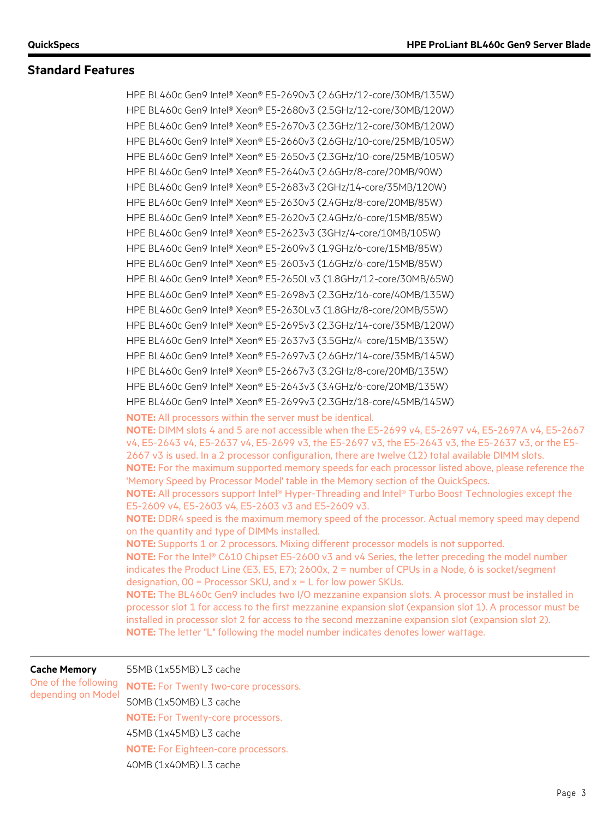HPE BL460c Gen9 Intel® Xeon® E5-2690v3 (2.6GHz/12-core/30MB/135W) HPE BL460c Gen9 Intel® Xeon® E5-2680v3 (2.5GHz/12-core/30MB/120W) HPE BL460c Gen9 Intel® Xeon® E5-2670v3 (2.3GHz/12-core/30MB/120W) HPE BL460c Gen9 Intel® Xeon® E5-2660v3 (2.6GHz/10-core/25MB/105W) HPE BL460c Gen9 Intel® Xeon® E5-2650v3 (2.3GHz/10-core/25MB/105W) HPE BL460c Gen9 Intel® Xeon® E5-2640v3 (2.6GHz/8-core/20MB/90W) HPE BL460c Gen9 Intel® Xeon® E5-2683v3 (2GHz/14-core/35MB/120W) HPE BL460c Gen9 Intel® Xeon® E5-2630v3 (2.4GHz/8-core/20MB/85W) HPE BL460c Gen9 Intel® Xeon® E5-2620v3 (2.4GHz/6-core/15MB/85W) HPE BL460c Gen9 Intel® Xeon® E5-2623v3 (3GHz/4-core/10MB/105W) HPE BL460c Gen9 Intel® Xeon® E5-2609v3 (1.9GHz/6-core/15MB/85W) HPE BL460c Gen9 Intel® Xeon® E5-2603v3 (1.6GHz/6-core/15MB/85W) HPE BL460c Gen9 Intel® Xeon® E5-2650Lv3 (1.8GHz/12-core/30MB/65W) HPE BL460c Gen9 Intel® Xeon® E5-2698v3 (2.3GHz/16-core/40MB/135W) HPE BL460c Gen9 Intel® Xeon® E5-2630Lv3 (1.8GHz/8-core/20MB/55W) HPE BL460c Gen9 Intel® Xeon® E5-2695v3 (2.3GHz/14-core/35MB/120W) HPE BL460c Gen9 Intel® Xeon® E5-2637v3 (3.5GHz/4-core/15MB/135W) HPE BL460c Gen9 Intel® Xeon® E5-2697v3 (2.6GHz/14-core/35MB/145W) HPE BL460c Gen9 Intel® Xeon® E5-2667v3 (3.2GHz/8-core/20MB/135W) HPE BL460c Gen9 Intel® Xeon® E5-2643v3 (3.4GHz/6-core/20MB/135W) HPE BL460c Gen9 Intel® Xeon® E5-2699v3 (2.3GHz/18-core/45MB/145W) **NOTE:** All processors within the server must be identical. **NOTE:** DIMM slots 4 and 5 are not accessible when the E5-2699 v4, E5-2697 v4, E5-2697A v4, E5-2667 v4, E5-2643 v4, E5-2637 v4, E5-2699 v3, the E5-2697 v3, the E5-2643 v3, the E5-2637 v3, or the E5- 2667 v3 is used. In a 2 processor configuration, there are twelve (12) total available DIMM slots. **NOTE:** For the maximum supported memory speeds for each processor listed above, please reference the 'Memory Speed by Processor Model' table in the Memory section of the QuickSpecs. **NOTE:** All processors support Intel® Hyper-Threading and Intel® Turbo Boost Technologies except the E5-2609 v4, E5-2603 v4, E5-2603 v3 and E5-2609 v3. **NOTE:** DDR4 speed is the maximum memory speed of the processor. Actual memory speed may depend on the quantity and type of DIMMs installed. **NOTE:** Supports 1 or 2 processors. Mixing different processor models is not supported. **NOTE:** For the Intel® C610 Chipset E5-2600 v3 and v4 Series, the letter preceding the model number indicates the Product Line (E3, E5, E7); 2600x, 2 = number of CPUs in a Node, 6 is socket/segment designation,  $00$  = Processor SKU, and  $x = L$  for low power SKUs. **NOTE:** The BL460c Gen9 includes two I/O mezzanine expansion slots. A processor must be installed in processor slot 1 for access to the first mezzanine expansion slot (expansion slot 1). A processor must be installed in processor slot 2 for access to the second mezzanine expansion slot (expansion slot 2). **NOTE:** The letter "L" following the model number indicates denotes lower wattage.

**Cache Memory**

One of the following depending on Model

55MB (1x55MB) L3 cache

**NOTE:** For Twenty two-core processors. 50MB (1x50MB) L3 cache **NOTE:** For Twenty-core processors. 45MB (1x45MB) L3 cache **NOTE:** For Eighteen-core processors. 40MB (1x40MB) L3 cache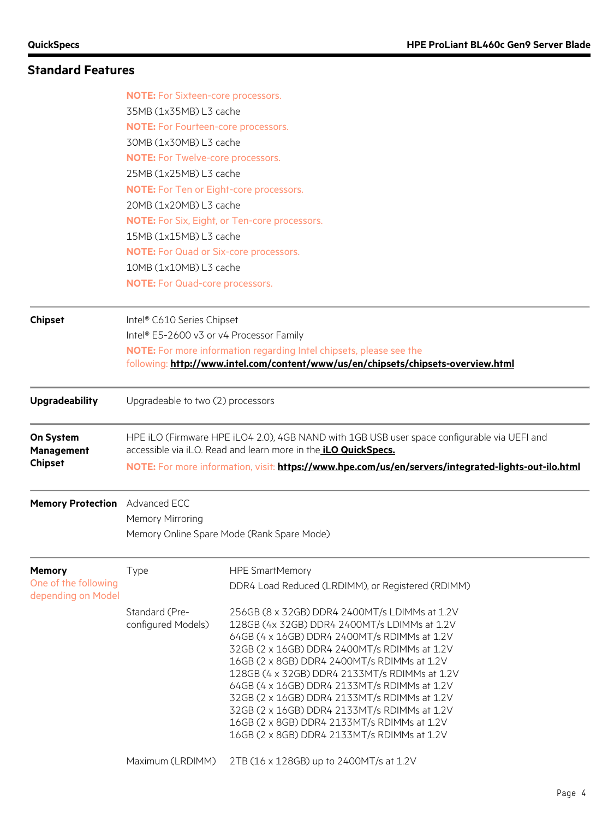|                                                  | <b>NOTE:</b> For Sixteen-core processors.                                                                                                                                                                                                                                   |                                                                                                                                                                                                                                                                                                                                                                                                                                               |  |  |
|--------------------------------------------------|-----------------------------------------------------------------------------------------------------------------------------------------------------------------------------------------------------------------------------------------------------------------------------|-----------------------------------------------------------------------------------------------------------------------------------------------------------------------------------------------------------------------------------------------------------------------------------------------------------------------------------------------------------------------------------------------------------------------------------------------|--|--|
|                                                  | 35MB (1x35MB) L3 cache                                                                                                                                                                                                                                                      |                                                                                                                                                                                                                                                                                                                                                                                                                                               |  |  |
|                                                  | <b>NOTE:</b> For Fourteen-core processors.                                                                                                                                                                                                                                  |                                                                                                                                                                                                                                                                                                                                                                                                                                               |  |  |
|                                                  | 30MB (1x30MB) L3 cache                                                                                                                                                                                                                                                      |                                                                                                                                                                                                                                                                                                                                                                                                                                               |  |  |
|                                                  |                                                                                                                                                                                                                                                                             | <b>NOTE:</b> For Twelve-core processors.                                                                                                                                                                                                                                                                                                                                                                                                      |  |  |
|                                                  | 25MB (1x25MB) L3 cache<br><b>NOTE:</b> For Ten or Eight-core processors.<br>20MB (1x20MB) L3 cache<br>NOTE: For Six, Eight, or Ten-core processors.<br>15MB (1x15MB) L3 cache                                                                                               |                                                                                                                                                                                                                                                                                                                                                                                                                                               |  |  |
|                                                  |                                                                                                                                                                                                                                                                             |                                                                                                                                                                                                                                                                                                                                                                                                                                               |  |  |
|                                                  |                                                                                                                                                                                                                                                                             |                                                                                                                                                                                                                                                                                                                                                                                                                                               |  |  |
|                                                  |                                                                                                                                                                                                                                                                             |                                                                                                                                                                                                                                                                                                                                                                                                                                               |  |  |
|                                                  |                                                                                                                                                                                                                                                                             |                                                                                                                                                                                                                                                                                                                                                                                                                                               |  |  |
|                                                  | <b>NOTE:</b> For Quad or Six-core processors.                                                                                                                                                                                                                               |                                                                                                                                                                                                                                                                                                                                                                                                                                               |  |  |
|                                                  | 10MB (1x10MB) L3 cache                                                                                                                                                                                                                                                      |                                                                                                                                                                                                                                                                                                                                                                                                                                               |  |  |
|                                                  | <b>NOTE:</b> For Quad-core processors.                                                                                                                                                                                                                                      |                                                                                                                                                                                                                                                                                                                                                                                                                                               |  |  |
| <b>Chipset</b>                                   | Intel® C610 Series Chipset                                                                                                                                                                                                                                                  |                                                                                                                                                                                                                                                                                                                                                                                                                                               |  |  |
|                                                  | Intel® E5-2600 v3 or v4 Processor Family                                                                                                                                                                                                                                    |                                                                                                                                                                                                                                                                                                                                                                                                                                               |  |  |
|                                                  |                                                                                                                                                                                                                                                                             | <b>NOTE:</b> For more information regarding Intel chipsets, please see the                                                                                                                                                                                                                                                                                                                                                                    |  |  |
|                                                  |                                                                                                                                                                                                                                                                             | following: http://www.intel.com/content/www/us/en/chipsets/chipsets-overview.html                                                                                                                                                                                                                                                                                                                                                             |  |  |
| <b>Upgradeability</b>                            | Upgradeable to two (2) processors                                                                                                                                                                                                                                           |                                                                                                                                                                                                                                                                                                                                                                                                                                               |  |  |
| On System<br><b>Management</b><br><b>Chipset</b> | HPE iLO (Firmware HPE iLO4 2.0), 4GB NAND with 1GB USB user space configurable via UEFI and<br>accessible via iLO. Read and learn more in the <i>iLO QuickSpecs.</i><br>NOTE: For more information, visit: https://www.hpe.com/us/en/servers/integrated-lights-out-ilo.html |                                                                                                                                                                                                                                                                                                                                                                                                                                               |  |  |
| Memory Protection Advanced ECC                   |                                                                                                                                                                                                                                                                             |                                                                                                                                                                                                                                                                                                                                                                                                                                               |  |  |
|                                                  | Memory Mirroring                                                                                                                                                                                                                                                            |                                                                                                                                                                                                                                                                                                                                                                                                                                               |  |  |
|                                                  |                                                                                                                                                                                                                                                                             | Memory Online Spare Mode (Rank Spare Mode)                                                                                                                                                                                                                                                                                                                                                                                                    |  |  |
| <b>Memory</b>                                    | Type                                                                                                                                                                                                                                                                        | <b>HPE SmartMemory</b>                                                                                                                                                                                                                                                                                                                                                                                                                        |  |  |
| One of the following<br>depending on Model       |                                                                                                                                                                                                                                                                             | DDR4 Load Reduced (LRDIMM), or Registered (RDIMM)                                                                                                                                                                                                                                                                                                                                                                                             |  |  |
|                                                  | Standard (Pre-<br>configured Models)                                                                                                                                                                                                                                        | 256GB (8 x 32GB) DDR4 2400MT/s LDIMMs at 1.2V<br>128GB (4x 32GB) DDR4 2400MT/s LDIMMs at 1.2V<br>64GB (4 x 16GB) DDR4 2400MT/s RDIMMs at 1.2V<br>32GB (2 x 16GB) DDR4 2400MT/s RDIMMs at 1.2V<br>16GB (2 x 8GB) DDR4 2400MT/s RDIMMs at 1.2V<br>128GB (4 x 32GB) DDR4 2133MT/s RDIMMs at 1.2V<br>64GB (4 x 16GB) DDR4 2133MT/s RDIMMs at 1.2V<br>32GB (2 x 16GB) DDR4 2133MT/s RDIMMs at 1.2V<br>32GB (2 x 16GB) DDR4 2133MT/s RDIMMs at 1.2V |  |  |
|                                                  | Maximum (LRDIMM)                                                                                                                                                                                                                                                            | 16GB (2 x 8GB) DDR4 2133MT/s RDIMMs at 1.2V<br>16GB (2 x 8GB) DDR4 2133MT/s RDIMMs at 1.2V<br>2TB (16 x 128GB) up to 2400MT/s at 1.2V                                                                                                                                                                                                                                                                                                         |  |  |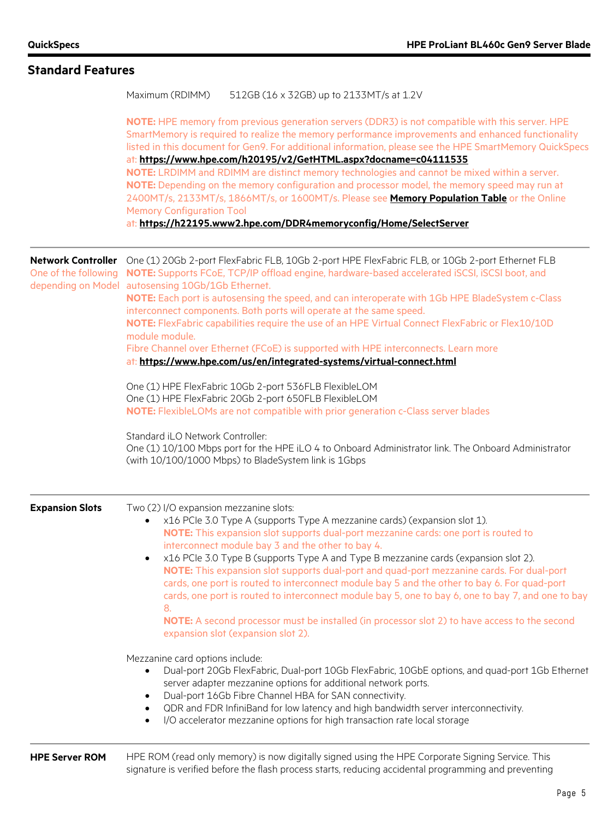| <b>Standard Features</b>                          |                                                                                                                                                                                                                                                                                                                                                                                                                                                                                                                                                                                                                                                                                                                                                                                                                                  |
|---------------------------------------------------|----------------------------------------------------------------------------------------------------------------------------------------------------------------------------------------------------------------------------------------------------------------------------------------------------------------------------------------------------------------------------------------------------------------------------------------------------------------------------------------------------------------------------------------------------------------------------------------------------------------------------------------------------------------------------------------------------------------------------------------------------------------------------------------------------------------------------------|
|                                                   | Maximum (RDIMM)<br>512GB (16 x 32GB) up to 2133MT/s at 1.2V                                                                                                                                                                                                                                                                                                                                                                                                                                                                                                                                                                                                                                                                                                                                                                      |
|                                                   | NOTE: HPE memory from previous generation servers (DDR3) is not compatible with this server. HPE<br>SmartMemory is required to realize the memory performance improvements and enhanced functionality<br>listed in this document for Gen9. For additional information, please see the HPE SmartMemory QuickSpecs<br>at: https://www.hpe.com/h20195/v2/GetHTML.aspx?docname=c04111535<br>NOTE: LRDIMM and RDIMM are distinct memory technologies and cannot be mixed within a server.<br>NOTE: Depending on the memory configuration and processor model, the memory speed may run at<br>2400MT/s, 2133MT/s, 1866MT/s, or 1600MT/s. Please see Memory Population Table or the Online<br><b>Memory Configuration Tool</b><br>at: https://h22195.www2.hpe.com/DDR4memoryconfig/Home/SelectServer                                    |
| <b>Network Controller</b><br>One of the following | One (1) 20Gb 2-port FlexFabric FLB, 10Gb 2-port HPE FlexFabric FLB, or 10Gb 2-port Ethernet FLB<br>NOTE: Supports FCoE, TCP/IP offload engine, hardware-based accelerated iSCSI, iSCSI boot, and<br>depending on Model autosensing 10Gb/1Gb Ethernet.<br>NOTE: Each port is autosensing the speed, and can interoperate with 1Gb HPE BladeSystem c-Class                                                                                                                                                                                                                                                                                                                                                                                                                                                                         |
|                                                   | interconnect components. Both ports will operate at the same speed.<br>NOTE: FlexFabric capabilities require the use of an HPE Virtual Connect FlexFabric or Flex10/10D<br>module module.                                                                                                                                                                                                                                                                                                                                                                                                                                                                                                                                                                                                                                        |
|                                                   | Fibre Channel over Ethernet (FCoE) is supported with HPE interconnects. Learn more<br>at: https://www.hpe.com/us/en/integrated-systems/virtual-connect.html                                                                                                                                                                                                                                                                                                                                                                                                                                                                                                                                                                                                                                                                      |
|                                                   | One (1) HPE FlexFabric 10Gb 2-port 536FLB FlexibleLOM<br>One (1) HPE FlexFabric 20Gb 2-port 650FLB FlexibleLOM<br>NOTE: FlexibleLOMs are not compatible with prior generation c-Class server blades                                                                                                                                                                                                                                                                                                                                                                                                                                                                                                                                                                                                                              |
|                                                   | Standard iLO Network Controller:<br>One (1) 10/100 Mbps port for the HPE iLO 4 to Onboard Administrator link. The Onboard Administrator<br>(with 10/100/1000 Mbps) to BladeSystem link is 1Gbps                                                                                                                                                                                                                                                                                                                                                                                                                                                                                                                                                                                                                                  |
| <b>Expansion Slots</b>                            | Two (2) I/O expansion mezzanine slots:<br>x16 PCIe 3.0 Type A (supports Type A mezzanine cards) (expansion slot 1).<br>$\bullet$<br>NOTE: This expansion slot supports dual-port mezzanine cards: one port is routed to<br>interconnect module bay 3 and the other to bay 4.<br>x16 PCle 3.0 Type B (supports Type A and Type B mezzanine cards (expansion slot 2).<br>$\bullet$<br>NOTE: This expansion slot supports dual-port and quad-port mezzanine cards. For dual-port<br>cards, one port is routed to interconnect module bay 5 and the other to bay 6. For quad-port<br>cards, one port is routed to interconnect module bay 5, one to bay 6, one to bay 7, and one to bay<br>8.<br>NOTE: A second processor must be installed (in processor slot 2) to have access to the second<br>expansion slot (expansion slot 2). |
|                                                   | Mezzanine card options include:<br>Dual-port 20Gb FlexFabric, Dual-port 10Gb FlexFabric, 10GbE options, and quad-port 1Gb Ethernet<br>$\bullet$<br>server adapter mezzanine options for additional network ports.<br>Dual-port 16Gb Fibre Channel HBA for SAN connectivity.<br>$\bullet$<br>QDR and FDR InfiniBand for low latency and high bandwidth server interconnectivity.<br>$\bullet$<br>I/O accelerator mezzanine options for high transaction rate local storage<br>$\bullet$                                                                                                                                                                                                                                                                                                                                           |
| <b>HPE Server ROM</b>                             | HPE ROM (read only memory) is now digitally signed using the HPE Corporate Signing Service. This<br>signature is verified before the flash process starts, reducing accidental programming and preventing                                                                                                                                                                                                                                                                                                                                                                                                                                                                                                                                                                                                                        |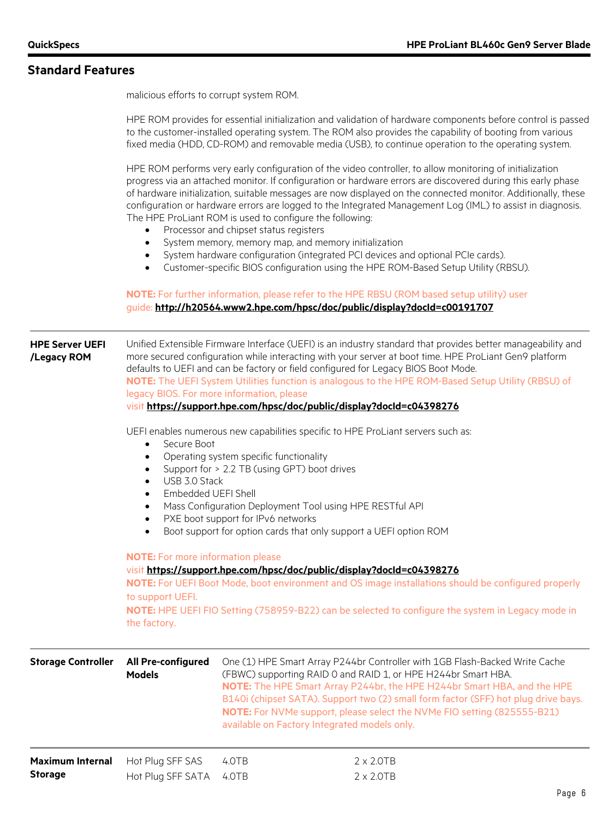malicious efforts to corrupt system ROM.

HPE ROM provides for essential initialization and validation of hardware components before control is passed to the customer-installed operating system. The ROM also provides the capability of booting from various fixed media (HDD, CD-ROM) and removable media (USB), to continue operation to the operating system.

HPE ROM performs very early configuration of the video controller, to allow monitoring of initialization progress via an attached monitor. If configuration or hardware errors are discovered during this early phase of hardware initialization, suitable messages are now displayed on the connected monitor. Additionally, these configuration or hardware errors are logged to the Integrated Management Log (IML) to assist in diagnosis. The HPE ProLiant ROM is used to configure the following:

- Processor and chipset status registers
- System memory, memory map, and memory initialization
- System hardware configuration (integrated PCI devices and optional PCIe cards).
- Customer-specific BIOS configuration using the HPE ROM-Based Setup Utility (RBSU).

#### **NOTE:** For further information, please refer to the HPE RBSU (ROM based setup utility) user guide: **<http://h20564.www2.hpe.com/hpsc/doc/public/display?docId=c00191707>**

| <b>HPE Server UEFI</b><br>/Legacy ROM     | Unified Extensible Firmware Interface (UEFI) is an industry standard that provides better manageability and<br>more secured configuration while interacting with your server at boot time. HPE ProLiant Gen9 platform<br>defaults to UEFI and can be factory or field configured for Legacy BIOS Boot Mode.<br>NOTE: The UEFI System Utilities function is analogous to the HPE ROM-Based Setup Utility (RBSU) of<br>legacy BIOS. For more information, please<br>visit https://support.hpe.com/hpsc/doc/public/display?docId=c04398276<br>UEFI enables numerous new capabilities specific to HPE ProLiant servers such as: |                |                                                                                                                                                                                                                                                                                                                                                                                                                                          |  |
|-------------------------------------------|-----------------------------------------------------------------------------------------------------------------------------------------------------------------------------------------------------------------------------------------------------------------------------------------------------------------------------------------------------------------------------------------------------------------------------------------------------------------------------------------------------------------------------------------------------------------------------------------------------------------------------|----------------|------------------------------------------------------------------------------------------------------------------------------------------------------------------------------------------------------------------------------------------------------------------------------------------------------------------------------------------------------------------------------------------------------------------------------------------|--|
|                                           | Secure Boot<br>Operating system specific functionality<br>Support for > 2.2 TB (using GPT) boot drives<br>USB 3.0 Stack<br>Embedded UEFI Shell<br>Mass Configuration Deployment Tool using HPE RESTful API<br>PXE boot support for IPv6 networks<br>Boot support for option cards that only support a UEFI option ROM<br><b>NOTE:</b> For more information please<br>visit https://support.hpe.com/hpsc/doc/public/display?docId=c04398276<br>NOTE: For UEFI Boot Mode, boot environment and OS image installations should be configured properly<br>to support UEFI.                                                       |                |                                                                                                                                                                                                                                                                                                                                                                                                                                          |  |
|                                           | the factory.                                                                                                                                                                                                                                                                                                                                                                                                                                                                                                                                                                                                                |                | NOTE: HPE UEFI FIO Setting (758959-B22) can be selected to configure the system in Legacy mode in                                                                                                                                                                                                                                                                                                                                        |  |
| <b>Storage Controller</b>                 | All Pre-configured<br><b>Models</b>                                                                                                                                                                                                                                                                                                                                                                                                                                                                                                                                                                                         |                | One (1) HPE Smart Array P244br Controller with 1GB Flash-Backed Write Cache<br>(FBWC) supporting RAID 0 and RAID 1, or HPE H244br Smart HBA.<br>NOTE: The HPE Smart Array P244br, the HPE H244br Smart HBA, and the HPE<br>B140i (chipset SATA). Support two (2) small form factor (SFF) hot plug drive bays.<br>NOTE: For NVMe support, please select the NVMe FIO setting (825555-B21)<br>available on Factory Integrated models only. |  |
| <b>Maximum Internal</b><br><b>Storage</b> | Hot Plug SFF SAS<br>Hot Plug SFF SATA                                                                                                                                                                                                                                                                                                                                                                                                                                                                                                                                                                                       | 4.OTB<br>4.OTB | $2 \times 2.0TB$<br>$2 \times 2.0TB$                                                                                                                                                                                                                                                                                                                                                                                                     |  |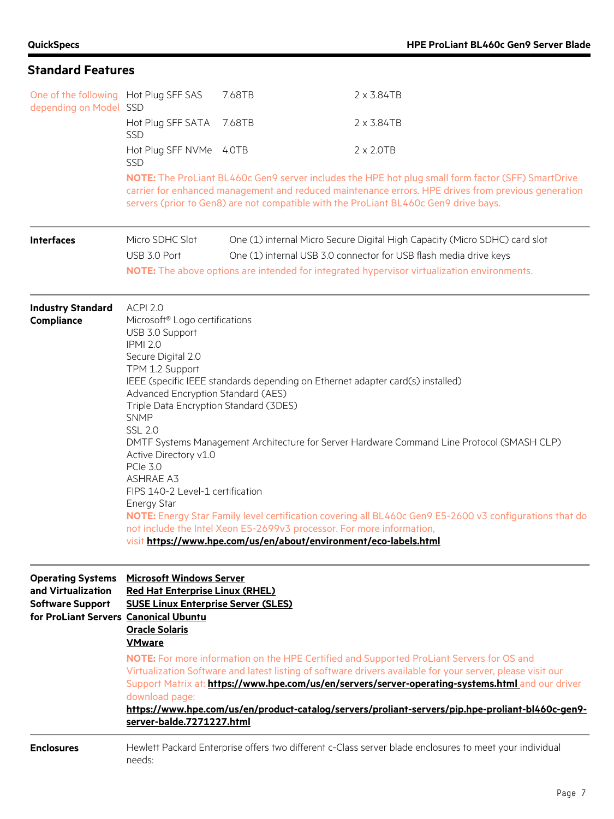| One of the following Hot Plug SFF SAS<br>depending on Model SSD                                                    |                                                                                                                                                                                                                                                                                                                                                                           | 7.68TB | 2 x 3.84TB                                                                                                                                                                                                                                                                                                                                                                                                                            |  |
|--------------------------------------------------------------------------------------------------------------------|---------------------------------------------------------------------------------------------------------------------------------------------------------------------------------------------------------------------------------------------------------------------------------------------------------------------------------------------------------------------------|--------|---------------------------------------------------------------------------------------------------------------------------------------------------------------------------------------------------------------------------------------------------------------------------------------------------------------------------------------------------------------------------------------------------------------------------------------|--|
|                                                                                                                    | Hot Plug SFF SATA<br><b>SSD</b>                                                                                                                                                                                                                                                                                                                                           | 7.68TB | $2 \times 3.84$ TB                                                                                                                                                                                                                                                                                                                                                                                                                    |  |
|                                                                                                                    | Hot Plug SFF NVMe 4.0TB<br><b>SSD</b>                                                                                                                                                                                                                                                                                                                                     |        | $2 \times 2.0TB$                                                                                                                                                                                                                                                                                                                                                                                                                      |  |
|                                                                                                                    |                                                                                                                                                                                                                                                                                                                                                                           |        | NOTE: The ProLiant BL460c Gen9 server includes the HPE hot plug small form factor (SFF) SmartDrive<br>carrier for enhanced management and reduced maintenance errors. HPE drives from previous generation<br>servers (prior to Gen8) are not compatible with the ProLiant BL460c Gen9 drive bays.                                                                                                                                     |  |
| <b>Interfaces</b>                                                                                                  | Micro SDHC Slot<br>USB 3.0 Port                                                                                                                                                                                                                                                                                                                                           |        | One (1) internal Micro Secure Digital High Capacity (Micro SDHC) card slot<br>One (1) internal USB 3.0 connector for USB flash media drive keys<br>NOTE: The above options are intended for integrated hypervisor virtualization environments.                                                                                                                                                                                        |  |
| <b>Industry Standard</b><br>Compliance                                                                             | ACPI 2.0<br>Microsoft <sup>®</sup> Logo certifications<br>USB 3.0 Support<br><b>IPMI 2.0</b><br>Secure Digital 2.0<br>TPM 1.2 Support<br>Advanced Encryption Standard (AES)<br>Triple Data Encryption Standard (3DES)<br><b>SNMP</b><br><b>SSL 2.0</b><br>Active Directory v1.0<br>PCIe 3.0<br><b>ASHRAE A3</b><br>FIPS 140-2 Level-1 certification<br><b>Energy Star</b> |        | IEEE (specific IEEE standards depending on Ethernet adapter card(s) installed)<br>DMTF Systems Management Architecture for Server Hardware Command Line Protocol (SMASH CLP)<br>NOTE: Energy Star Family level certification covering all BL460c Gen9 E5-2600 v3 configurations that do<br>not include the Intel Xeon E5-2699v3 processor. For more information,<br>visit https://www.hpe.com/us/en/about/environment/eco-labels.html |  |
| <b>Operating Systems</b><br>and Virtualization<br><b>Software Support</b><br>for ProLiant Servers Canonical Ubuntu | <b>Microsoft Windows Server</b><br><b>Red Hat Enterprise Linux (RHEL)</b><br><b>SUSE Linux Enterprise Server (SLES)</b><br><b>Oracle Solaris</b><br><b>VMware</b><br>download page:<br>server-balde.7271227.html                                                                                                                                                          |        | <b>NOTE:</b> For more information on the HPE Certified and Supported ProLiant Servers for OS and<br>Virtualization Software and latest listing of software drivers available for your server, please visit our<br>Support Matrix at: https://www.hpe.com/us/en/servers/server-operating-systems.html and our driver<br>https://www.hpe.com/us/en/product-catalog/servers/proliant-servers/pip.hpe-proliant-bl460c-gen9-               |  |
| <b>Enclosures</b>                                                                                                  | needs:                                                                                                                                                                                                                                                                                                                                                                    |        | Hewlett Packard Enterprise offers two different c-Class server blade enclosures to meet your individual                                                                                                                                                                                                                                                                                                                               |  |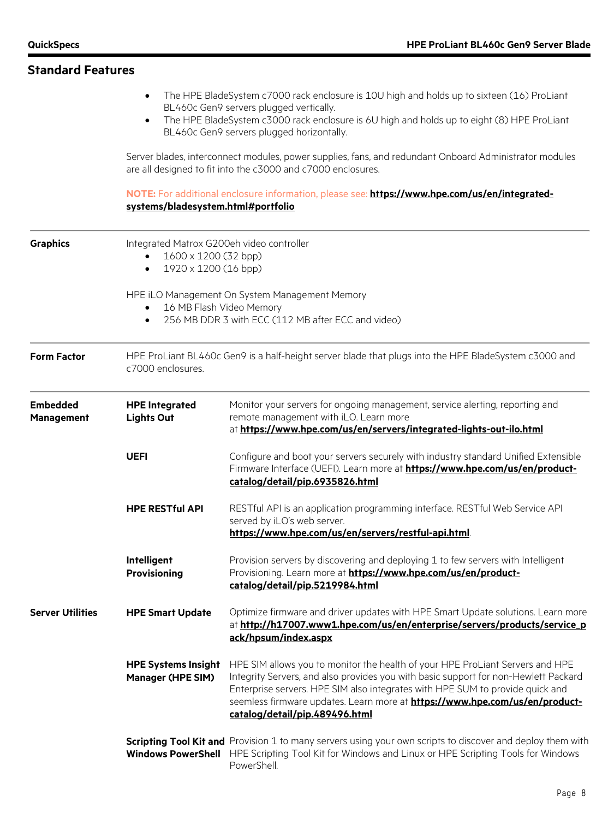| <b>Standard Features</b>      |                                                                                                                           |                                                                                                                                                                                                                                                                                                                                                                                                                                                            |
|-------------------------------|---------------------------------------------------------------------------------------------------------------------------|------------------------------------------------------------------------------------------------------------------------------------------------------------------------------------------------------------------------------------------------------------------------------------------------------------------------------------------------------------------------------------------------------------------------------------------------------------|
|                               | $\bullet$<br>$\bullet$                                                                                                    | The HPE BladeSystem c7000 rack enclosure is 10U high and holds up to sixteen (16) ProLiant<br>BL460c Gen9 servers plugged vertically.<br>The HPE BladeSystem c3000 rack enclosure is 6U high and holds up to eight (8) HPE ProLiant<br>BL460c Gen9 servers plugged horizontally.<br>Server blades, interconnect modules, power supplies, fans, and redundant Onboard Administrator modules<br>are all designed to fit into the c3000 and c7000 enclosures. |
|                               | systems/bladesystem.html#portfolio                                                                                        | NOTE: For additional enclosure information, please see: https://www.hpe.com/us/en/integrated-                                                                                                                                                                                                                                                                                                                                                              |
| <b>Graphics</b>               | Integrated Matrox G200eh video controller<br>1600 x 1200 (32 bpp)<br>1920 x 1200 (16 bpp)<br>$\bullet$                    |                                                                                                                                                                                                                                                                                                                                                                                                                                                            |
|                               | 16 MB Flash Video Memory<br>$\bullet$<br>$\bullet$                                                                        | HPE ILO Management On System Management Memory<br>256 MB DDR 3 with ECC (112 MB after ECC and video)                                                                                                                                                                                                                                                                                                                                                       |
| <b>Form Factor</b>            | HPE ProLiant BL460c Gen9 is a half-height server blade that plugs into the HPE BladeSystem c3000 and<br>c7000 enclosures. |                                                                                                                                                                                                                                                                                                                                                                                                                                                            |
| <b>Embedded</b><br>Management | <b>HPE Integrated</b><br><b>Lights Out</b>                                                                                | Monitor your servers for ongoing management, service alerting, reporting and<br>remote management with iLO. Learn more<br>at https://www.hpe.com/us/en/servers/integrated-lights-out-ilo.html                                                                                                                                                                                                                                                              |
|                               | <b>UEFI</b>                                                                                                               | Configure and boot your servers securely with industry standard Unified Extensible<br>Firmware Interface (UEFI). Learn more at https://www.hpe.com/us/en/product-<br>catalog/detail/pip.6935826.html                                                                                                                                                                                                                                                       |
|                               | <b>HPE RESTful API</b>                                                                                                    | RESTful API is an application programming interface. RESTful Web Service API<br>served by iLO's web server.<br>https://www.hpe.com/us/en/servers/restful-api.html                                                                                                                                                                                                                                                                                          |
|                               | Intelligent<br><b>Provisioning</b>                                                                                        | Provision servers by discovering and deploying 1 to few servers with Intelligent<br>Provisioning. Learn more at <b>https://www.hpe.com/us/en/product-</b><br>catalog/detail/pip.5219984.html                                                                                                                                                                                                                                                               |
| <b>Server Utilities</b>       | <b>HPE Smart Update</b>                                                                                                   | Optimize firmware and driver updates with HPE Smart Update solutions. Learn more<br>at http://h17007.www1.hpe.com/us/en/enterprise/servers/products/service_p<br>ack/hpsum/index.aspx                                                                                                                                                                                                                                                                      |
|                               | <b>HPE Systems Insight</b><br><b>Manager (HPE SIM)</b>                                                                    | HPE SIM allows you to monitor the health of your HPE ProLiant Servers and HPE<br>Integrity Servers, and also provides you with basic support for non-Hewlett Packard<br>Enterprise servers. HPE SIM also integrates with HPE SUM to provide quick and<br>seemless firmware updates. Learn more at https://www.hpe.com/us/en/product-<br>catalog/detail/pip.489496.html                                                                                     |
|                               | <b>Windows PowerShell</b>                                                                                                 | Scripting Tool Kit and Provision 1 to many servers using your own scripts to discover and deploy them with<br>HPE Scripting Tool Kit for Windows and Linux or HPE Scripting Tools for Windows<br>PowerShell.                                                                                                                                                                                                                                               |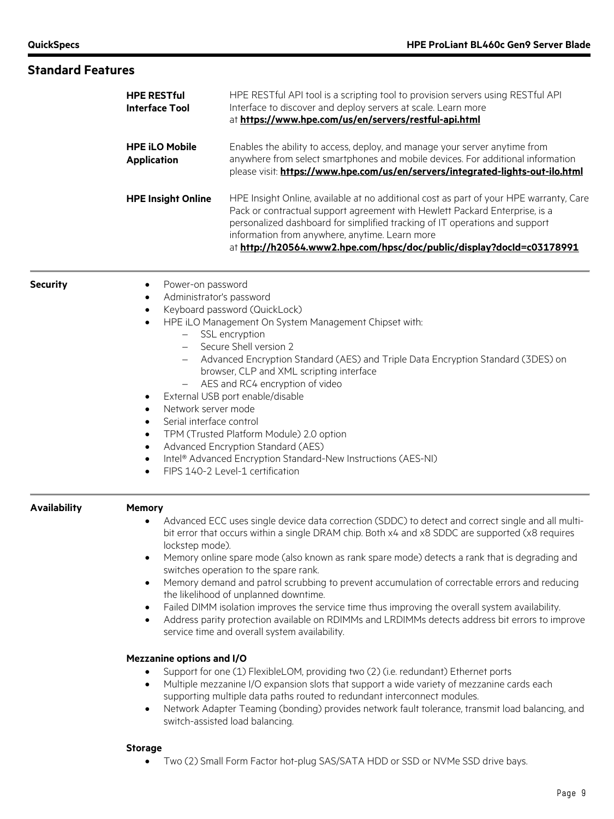| <b>Standard Features</b> |                                                                                                                                                                                                                                                   |                                                                                                                                                                                                                                                                                                                                                                                                                                                                                                                                                                                                                                                                                                                                                                                                                                                                                                                                                                                                                                                                                                                                                         |  |
|--------------------------|---------------------------------------------------------------------------------------------------------------------------------------------------------------------------------------------------------------------------------------------------|---------------------------------------------------------------------------------------------------------------------------------------------------------------------------------------------------------------------------------------------------------------------------------------------------------------------------------------------------------------------------------------------------------------------------------------------------------------------------------------------------------------------------------------------------------------------------------------------------------------------------------------------------------------------------------------------------------------------------------------------------------------------------------------------------------------------------------------------------------------------------------------------------------------------------------------------------------------------------------------------------------------------------------------------------------------------------------------------------------------------------------------------------------|--|
|                          | <b>HPE RESTful</b><br><b>Interface Tool</b>                                                                                                                                                                                                       | HPE RESTful API tool is a scripting tool to provision servers using RESTful API<br>Interface to discover and deploy servers at scale. Learn more<br>at https://www.hpe.com/us/en/servers/restful-api.html<br>Enables the ability to access, deploy, and manage your server anytime from<br>anywhere from select smartphones and mobile devices. For additional information<br>please visit: https://www.hpe.com/us/en/servers/integrated-lights-out-ilo.html                                                                                                                                                                                                                                                                                                                                                                                                                                                                                                                                                                                                                                                                                            |  |
|                          | <b>HPE iLO Mobile</b><br><b>Application</b>                                                                                                                                                                                                       |                                                                                                                                                                                                                                                                                                                                                                                                                                                                                                                                                                                                                                                                                                                                                                                                                                                                                                                                                                                                                                                                                                                                                         |  |
|                          | <b>HPE Insight Online</b>                                                                                                                                                                                                                         | HPE Insight Online, available at no additional cost as part of your HPE warranty, Care<br>Pack or contractual support agreement with Hewlett Packard Enterprise, is a<br>personalized dashboard for simplified tracking of IT operations and support<br>information from anywhere, anytime. Learn more<br>at http://h20564.www2.hpe.com/hpsc/doc/public/display?docId=c03178991                                                                                                                                                                                                                                                                                                                                                                                                                                                                                                                                                                                                                                                                                                                                                                         |  |
| <b>Security</b>          | Power-on password<br>$\bullet$<br>Administrator's password<br>$\bullet$<br>$\bullet$<br>$\overline{\phantom{0}}$<br>$\bullet$<br>Network server mode<br>$\bullet$<br>Serial interface control<br>$\bullet$<br>$\bullet$<br>$\bullet$<br>$\bullet$ | Keyboard password (QuickLock)<br>HPE iLO Management On System Management Chipset with:<br>SSL encryption<br>Secure Shell version 2<br>Advanced Encryption Standard (AES) and Triple Data Encryption Standard (3DES) on<br>browser, CLP and XML scripting interface<br>AES and RC4 encryption of video<br>External USB port enable/disable<br>TPM (Trusted Platform Module) 2.0 option<br>Advanced Encryption Standard (AES)<br>Intel® Advanced Encryption Standard-New Instructions (AES-NI)<br>FIPS 140-2 Level-1 certification                                                                                                                                                                                                                                                                                                                                                                                                                                                                                                                                                                                                                        |  |
| <b>Availability</b>      | <b>Memory</b><br>$\bullet$<br>lockstep mode).<br>$\bullet$<br>$\bullet$<br>$\bullet$<br>$\bullet$<br><b>Mezzanine options and I/O</b><br>$\bullet$<br>$\bullet$                                                                                   | Advanced ECC uses single device data correction (SDDC) to detect and correct single and all multi-<br>bit error that occurs within a single DRAM chip. Both x4 and x8 SDDC are supported (x8 requires<br>Memory online spare mode (also known as rank spare mode) detects a rank that is degrading and<br>switches operation to the spare rank.<br>Memory demand and patrol scrubbing to prevent accumulation of correctable errors and reducing<br>the likelihood of unplanned downtime.<br>Failed DIMM isolation improves the service time thus improving the overall system availability.<br>Address parity protection available on RDIMMs and LRDIMMs detects address bit errors to improve<br>service time and overall system availability.<br>Support for one (1) FlexibleLOM, providing two (2) (i.e. redundant) Ethernet ports<br>Multiple mezzanine I/O expansion slots that support a wide variety of mezzanine cards each<br>supporting multiple data paths routed to redundant interconnect modules.<br>Network Adapter Teaming (bonding) provides network fault tolerance, transmit load balancing, and<br>switch-assisted load balancing. |  |
|                          | <b>Storage</b><br>$\bullet$                                                                                                                                                                                                                       | Two (2) Small Form Factor hot-plug SAS/SATA HDD or SSD or NVMe SSD drive bays.                                                                                                                                                                                                                                                                                                                                                                                                                                                                                                                                                                                                                                                                                                                                                                                                                                                                                                                                                                                                                                                                          |  |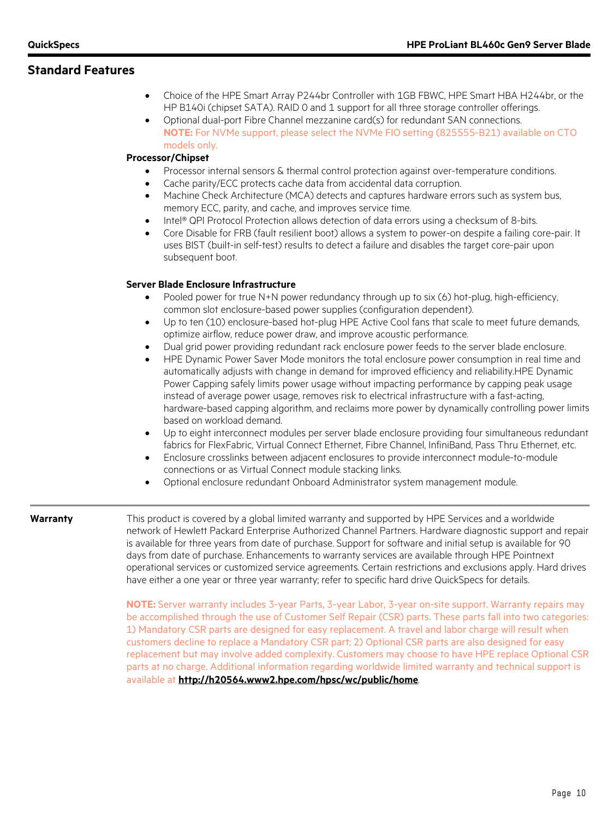- Choice of the HPE Smart Array P244br Controller with 1GB FBWC, HPE Smart HBA H244br, or the HP B140i (chipset SATA). RAID 0 and 1 support for all three storage controller offerings.
- Optional dual-port Fibre Channel mezzanine card(s) for redundant SAN connections. **NOTE:** For NVMe support, please select the NVMe FIO setting (825555-B21) available on CTO models only.

#### **Processor/Chipset**

- Processor internal sensors & thermal control protection against over-temperature conditions.
- Cache parity/ECC protects cache data from accidental data corruption.
- Machine Check Architecture (MCA) detects and captures hardware errors such as system bus, memory ECC, parity, and cache, and improves service time.
- Intel® QPI Protocol Protection allows detection of data errors using a checksum of 8-bits.
- Core Disable for FRB (fault resilient boot) allows a system to power-on despite a failing core-pair. It uses BIST (built-in self-test) results to detect a failure and disables the target core-pair upon subsequent boot.

#### **Server Blade Enclosure Infrastructure**

- Pooled power for true N+N power redundancy through up to six (6) hot-plug, high-efficiency, common slot enclosure-based power supplies (configuration dependent).
- Up to ten (10) enclosure-based hot-plug HPE Active Cool fans that scale to meet future demands, optimize airflow, reduce power draw, and improve acoustic performance.
- Dual grid power providing redundant rack enclosure power feeds to the server blade enclosure.
- HPE Dynamic Power Saver Mode monitors the total enclosure power consumption in real time and automatically adjusts with change in demand for improved efficiency and reliability.HPE Dynamic Power Capping safely limits power usage without impacting performance by capping peak usage instead of average power usage, removes risk to electrical infrastructure with a fast-acting, hardware-based capping algorithm, and reclaims more power by dynamically controlling power limits based on workload demand.
- Up to eight interconnect modules per server blade enclosure providing four simultaneous redundant fabrics for FlexFabric, Virtual Connect Ethernet, Fibre Channel, InfiniBand, Pass Thru Ethernet, etc.
- Enclosure crosslinks between adjacent enclosures to provide interconnect module-to-module connections or as Virtual Connect module stacking links.
- Optional enclosure redundant Onboard Administrator system management module.

**Warranty** This product is covered by a global limited warranty and supported by HPE Services and a worldwide network of Hewlett Packard Enterprise Authorized Channel Partners. Hardware diagnostic support and repair is available for three years from date of purchase. Support for software and initial setup is available for 90 days from date of purchase. Enhancements to warranty services are available through HPE Pointnext operational services or customized service agreements. Certain restrictions and exclusions apply. Hard drives have either a one year or three year warranty; refer to specific hard drive QuickSpecs for details.

> **NOTE:** Server warranty includes 3-year Parts, 3-year Labor, 3-year on-site support. Warranty repairs may be accomplished through the use of Customer Self Repair (CSR) parts. These parts fall into two categories: 1) Mandatory CSR parts are designed for easy replacement. A travel and labor charge will result when customers decline to replace a Mandatory CSR part; 2) Optional CSR parts are also designed for easy replacement but may involve added complexity. Customers may choose to have HPE replace Optional CSR parts at no charge. Additional information regarding worldwide limited warranty and technical support is available at **<http://h20564.www2.hpe.com/hpsc/wc/public/home>**.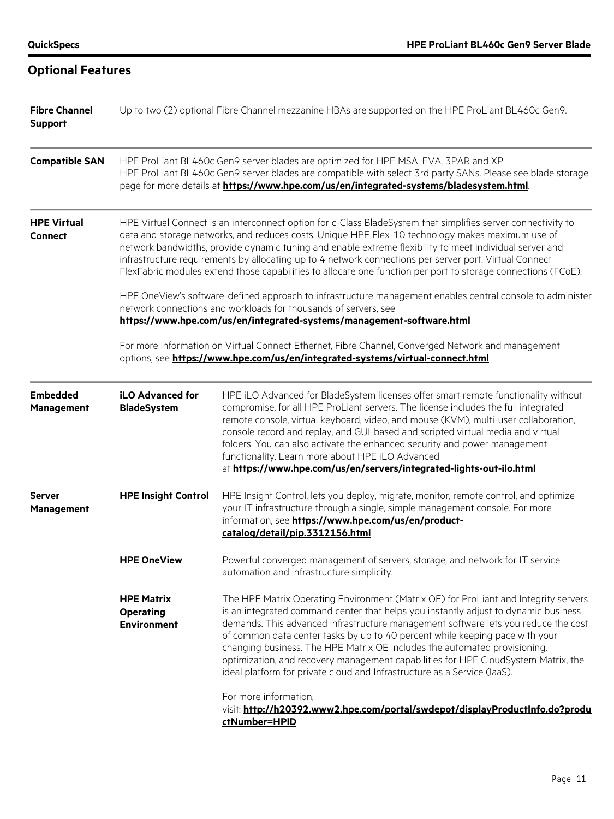| <b>Fibre Channel</b><br><b>Support</b> | Up to two (2) optional Fibre Channel mezzanine HBAs are supported on the HPE ProLiant BL460c Gen9.                                                                                                                                                                                                                                                                                                                                                                                                                                                                                                                                                                   |                                                                                                                                                                                                                                                                                                                                                                                                                                                                                                                                                                                                                          |  |
|----------------------------------------|----------------------------------------------------------------------------------------------------------------------------------------------------------------------------------------------------------------------------------------------------------------------------------------------------------------------------------------------------------------------------------------------------------------------------------------------------------------------------------------------------------------------------------------------------------------------------------------------------------------------------------------------------------------------|--------------------------------------------------------------------------------------------------------------------------------------------------------------------------------------------------------------------------------------------------------------------------------------------------------------------------------------------------------------------------------------------------------------------------------------------------------------------------------------------------------------------------------------------------------------------------------------------------------------------------|--|
| <b>Compatible SAN</b>                  | HPE ProLiant BL460c Gen9 server blades are optimized for HPE MSA, EVA, 3PAR and XP.<br>HPE ProLiant BL460c Gen9 server blades are compatible with select 3rd party SANs. Please see blade storage<br>page for more details at https://www.hpe.com/us/en/integrated-systems/bladesystem.html                                                                                                                                                                                                                                                                                                                                                                          |                                                                                                                                                                                                                                                                                                                                                                                                                                                                                                                                                                                                                          |  |
| <b>HPE Virtual</b><br><b>Connect</b>   | HPE Virtual Connect is an interconnect option for c-Class BladeSystem that simplifies server connectivity to<br>data and storage networks, and reduces costs. Unique HPE Flex-10 technology makes maximum use of<br>network bandwidths, provide dynamic tuning and enable extreme flexibility to meet individual server and<br>infrastructure requirements by allocating up to 4 network connections per server port. Virtual Connect<br>FlexFabric modules extend those capabilities to allocate one function per port to storage connections (FCoE).<br>HPE OneView's software-defined approach to infrastructure management enables central console to administer |                                                                                                                                                                                                                                                                                                                                                                                                                                                                                                                                                                                                                          |  |
|                                        |                                                                                                                                                                                                                                                                                                                                                                                                                                                                                                                                                                                                                                                                      | network connections and workloads for thousands of servers, see<br>https://www.hpe.com/us/en/integrated-systems/management-software.html<br>For more information on Virtual Connect Ethernet, Fibre Channel, Converged Network and management<br>options, see https://www.hpe.com/us/en/integrated-systems/virtual-connect.html                                                                                                                                                                                                                                                                                          |  |
| <b>Embedded</b><br><b>Management</b>   | <b>iLO Advanced for</b><br><b>BladeSystem</b>                                                                                                                                                                                                                                                                                                                                                                                                                                                                                                                                                                                                                        | HPE iLO Advanced for BladeSystem licenses offer smart remote functionality without<br>compromise, for all HPE ProLiant servers. The license includes the full integrated<br>remote console, virtual keyboard, video, and mouse (KVM), multi-user collaboration,<br>console record and replay, and GUI-based and scripted virtual media and virtual<br>folders. You can also activate the enhanced security and power management<br>functionality. Learn more about HPE iLO Advanced<br>at https://www.hpe.com/us/en/servers/integrated-lights-out-ilo.html                                                               |  |
| <b>Server</b><br><b>Management</b>     | <b>HPE Insight Control</b>                                                                                                                                                                                                                                                                                                                                                                                                                                                                                                                                                                                                                                           | HPE Insight Control, lets you deploy, migrate, monitor, remote control, and optimize<br>your IT infrastructure through a single, simple management console. For more<br>information, see https://www.hpe.com/us/en/product-<br>catalog/detail/pip.3312156.html                                                                                                                                                                                                                                                                                                                                                           |  |
|                                        | <b>HPE OneView</b>                                                                                                                                                                                                                                                                                                                                                                                                                                                                                                                                                                                                                                                   | Powerful converged management of servers, storage, and network for IT service<br>automation and infrastructure simplicity.                                                                                                                                                                                                                                                                                                                                                                                                                                                                                               |  |
|                                        | <b>HPE Matrix</b><br><b>Operating</b><br><b>Environment</b>                                                                                                                                                                                                                                                                                                                                                                                                                                                                                                                                                                                                          | The HPE Matrix Operating Environment (Matrix OE) for ProLiant and Integrity servers<br>is an integrated command center that helps you instantly adjust to dynamic business<br>demands. This advanced infrastructure management software lets you reduce the cost<br>of common data center tasks by up to 40 percent while keeping pace with your<br>changing business. The HPE Matrix OE includes the automated provisioning,<br>optimization, and recovery management capabilities for HPE CloudSystem Matrix, the<br>ideal platform for private cloud and Infrastructure as a Service (laaS).<br>For more information, |  |
|                                        |                                                                                                                                                                                                                                                                                                                                                                                                                                                                                                                                                                                                                                                                      | visit: http://h20392.www2.hpe.com/portal/swdepot/displayProductInfo.do?produ<br>ctNumber=HPID                                                                                                                                                                                                                                                                                                                                                                                                                                                                                                                            |  |

# **Optional Features**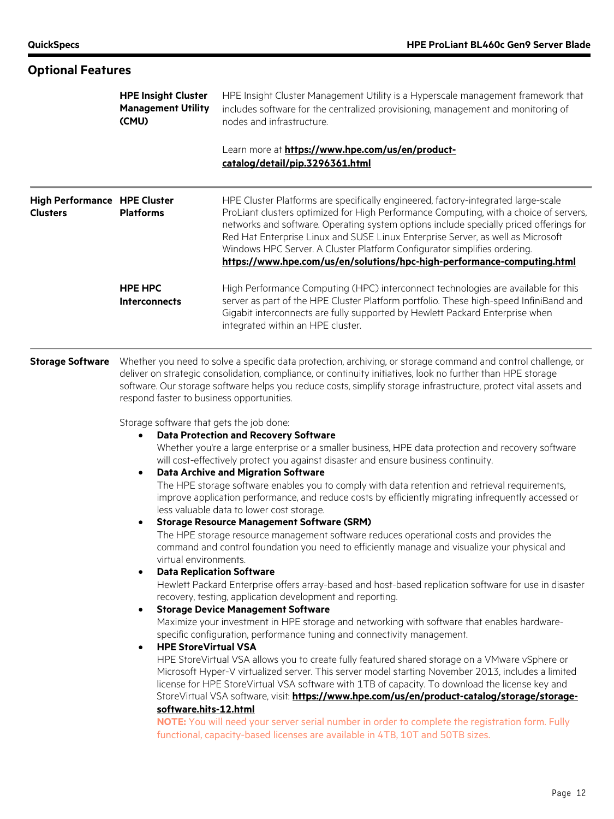#### **Optional Features HPE Insight Cluster Management Utility (CMU)** HPE Insight Cluster Management Utility is a Hyperscale management framework that includes software for the centralized provisioning, management and monitoring of nodes and infrastructure. Learn more at **[https://www.hpe.com/us/en/product](https://www.hpe.com/us/en/product-catalog/detail/pip.3296361.html)[catalog/detail/pip.3296361.html](https://www.hpe.com/us/en/product-catalog/detail/pip.3296361.html) High Performance HPE Cluster Clusters Platforms** HPE Cluster Platforms are specifically engineered, factory-integrated large-scale ProLiant clusters optimized for High Performance Computing, with a choice of servers, networks and software. Operating system options include specially priced offerings for Red Hat Enterprise Linux and SUSE Linux Enterprise Server, as well as Microsoft Windows HPC Server. A Cluster Platform Configurator simplifies ordering. **<https://www.hpe.com/us/en/solutions/hpc-high-performance-computing.html> HPE HPC Interconnects** High Performance Computing (HPC) interconnect technologies are available for this server as part of the HPE Cluster Platform portfolio. These high-speed InfiniBand and Gigabit interconnects are fully supported by Hewlett Packard Enterprise when integrated within an HPE cluster. **Storage Software** Whether you need to solve a specific data protection, archiving, or storage command and control challenge, or deliver on strategic consolidation, compliance, or continuity initiatives, look no further than HPE storage software. Our storage software helps you reduce costs, simplify storage infrastructure, protect vital assets and respond faster to business opportunities. Storage software that gets the job done: • **Data Protection and Recovery Software** Whether you're a large enterprise or a smaller business, HPE data protection and recovery software will cost-effectively protect you against disaster and ensure business continuity. • **Data Archive and Migration Software** The HPE storage software enables you to comply with data retention and retrieval requirements, improve application performance, and reduce costs by efficiently migrating infrequently accessed or less valuable data to lower cost storage. • **Storage Resource Management Software (SRM)** The HPE storage resource management software reduces operational costs and provides the command and control foundation you need to efficiently manage and visualize your physical and virtual environments. • **Data Replication Software** Hewlett Packard Enterprise offers array-based and host-based replication software for use in disaster recovery, testing, application development and reporting. • **Storage Device Management Software** Maximize your investment in HPE storage and networking with software that enables hardwarespecific configuration, performance tuning and connectivity management. • **HPE StoreVirtual VSA** HPE StoreVirtual VSA allows you to create fully featured shared storage on a VMware vSphere or Microsoft Hyper-V virtualized server. This server model starting November 2013, includes a limited license for HPE StoreVirtual VSA software with 1TB of capacity. To download the license key and StoreVirtual VSA software, visit: [https://www.hpe.com/us/en/product-catalog/storage/storage](https://www.hpe.com/us/en/product-catalog/storage/storage-software.hits-12.html)**[software.hits-12.html](https://www.hpe.com/us/en/product-catalog/storage/storage-software.hits-12.html) NOTE:** You will need your server serial number in order to complete the registration form. Fully functional, capacity-based licenses are available in 4TB, 10T and 50TB sizes.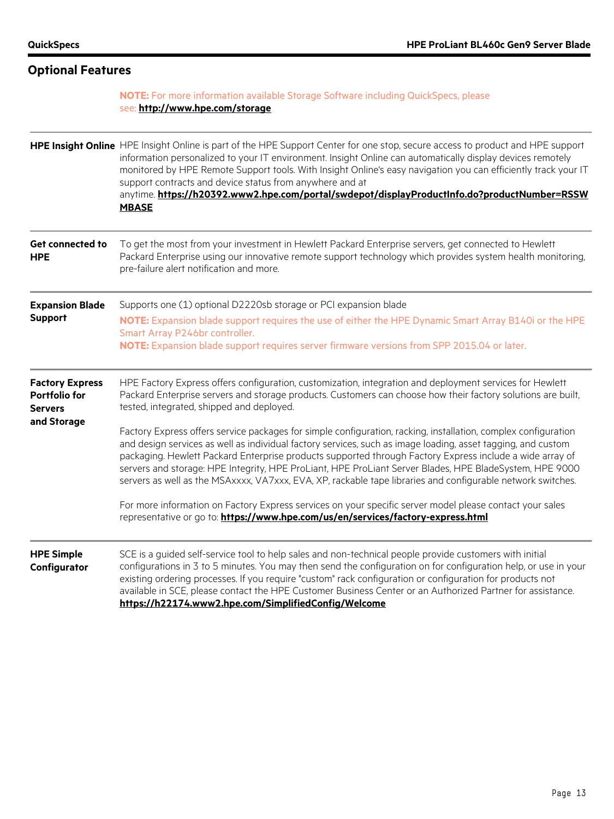| <b>Optional Features</b>                                                        |                                                                                                                                                                                                                                                                                                                                                                                                                                                                                                                                                                                                                                                                                                                                                                                                                                                                                                                                                                                                                                               |  |
|---------------------------------------------------------------------------------|-----------------------------------------------------------------------------------------------------------------------------------------------------------------------------------------------------------------------------------------------------------------------------------------------------------------------------------------------------------------------------------------------------------------------------------------------------------------------------------------------------------------------------------------------------------------------------------------------------------------------------------------------------------------------------------------------------------------------------------------------------------------------------------------------------------------------------------------------------------------------------------------------------------------------------------------------------------------------------------------------------------------------------------------------|--|
|                                                                                 | NOTE: For more information available Storage Software including QuickSpecs, please<br>see: http://www.hpe.com/storage                                                                                                                                                                                                                                                                                                                                                                                                                                                                                                                                                                                                                                                                                                                                                                                                                                                                                                                         |  |
|                                                                                 | HPE Insight Online HPE Insight Online is part of the HPE Support Center for one stop, secure access to product and HPE support<br>information personalized to your IT environment. Insight Online can automatically display devices remotely<br>monitored by HPE Remote Support tools. With Insight Online's easy navigation you can efficiently track your IT<br>support contracts and device status from anywhere and at<br>anytime. https://h20392.www2.hpe.com/portal/swdepot/displayProductInfo.do?productNumber=RSSW<br><b>MBASE</b>                                                                                                                                                                                                                                                                                                                                                                                                                                                                                                    |  |
| <b>Get connected to</b><br><b>HPE</b>                                           | To get the most from your investment in Hewlett Packard Enterprise servers, get connected to Hewlett<br>Packard Enterprise using our innovative remote support technology which provides system health monitoring,<br>pre-failure alert notification and more.                                                                                                                                                                                                                                                                                                                                                                                                                                                                                                                                                                                                                                                                                                                                                                                |  |
| <b>Expansion Blade</b><br><b>Support</b>                                        | Supports one (1) optional D2220sb storage or PCI expansion blade<br>NOTE: Expansion blade support requires the use of either the HPE Dynamic Smart Array B140i or the HPE<br>Smart Array P246br controller.<br>NOTE: Expansion blade support requires server firmware versions from SPP 2015.04 or later.                                                                                                                                                                                                                                                                                                                                                                                                                                                                                                                                                                                                                                                                                                                                     |  |
| <b>Factory Express</b><br><b>Portfolio for</b><br><b>Servers</b><br>and Storage | HPE Factory Express offers configuration, customization, integration and deployment services for Hewlett<br>Packard Enterprise servers and storage products. Customers can choose how their factory solutions are built,<br>tested, integrated, shipped and deployed.<br>Factory Express offers service packages for simple configuration, racking, installation, complex configuration<br>and design services as well as individual factory services, such as image loading, asset tagging, and custom<br>packaging. Hewlett Packard Enterprise products supported through Factory Express include a wide array of<br>servers and storage: HPE Integrity, HPE ProLiant, HPE ProLiant Server Blades, HPE BladeSystem, HPE 9000<br>servers as well as the MSAxxxx, VA7xxx, EVA, XP, rackable tape libraries and configurable network switches.<br>For more information on Factory Express services on your specific server model please contact your sales<br>representative or go to: https://www.hpe.com/us/en/services/factory-express.html |  |
| <b>HPE Simple</b><br>Configurator                                               | SCE is a guided self-service tool to help sales and non-technical people provide customers with initial<br>configurations in 3 to 5 minutes. You may then send the configuration on for configuration help, or use in your<br>existing ordering processes. If you require "custom" rack configuration or configuration for products not<br>available in SCE, please contact the HPE Customer Business Center or an Authorized Partner for assistance.<br>https://h22174.www2.hpe.com/SimplifiedConfig/Welcome                                                                                                                                                                                                                                                                                                                                                                                                                                                                                                                                 |  |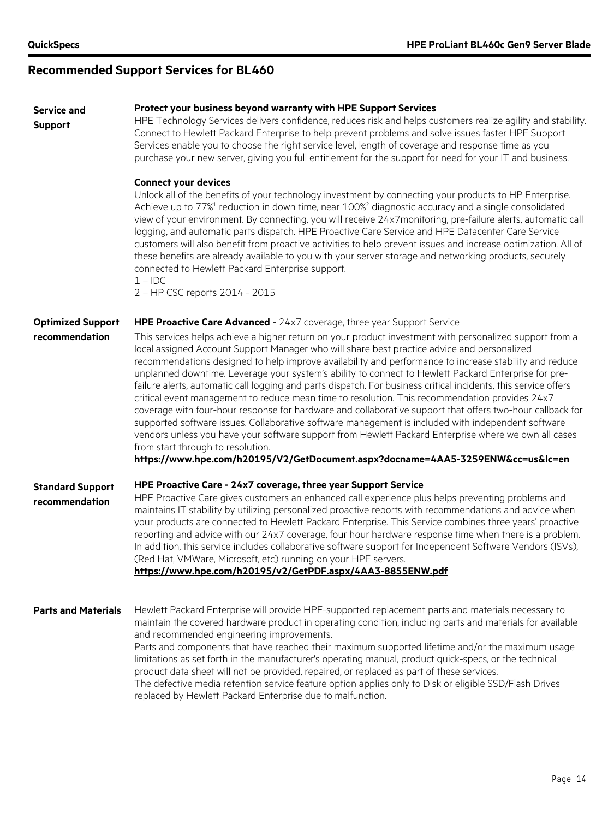# **Recommended Support Services for BL460**

| <b>Service and</b><br><b>Support</b>       | Protect your business beyond warranty with HPE Support Services<br>HPE Technology Services delivers confidence, reduces risk and helps customers realize agility and stability.<br>Connect to Hewlett Packard Enterprise to help prevent problems and solve issues faster HPE Support<br>Services enable you to choose the right service level, length of coverage and response time as you<br>purchase your new server, giving you full entitlement for the support for need for your IT and business.<br><b>Connect your devices</b><br>Unlock all of the benefits of your technology investment by connecting your products to HP Enterprise.<br>Achieve up to $77\%$ <sup>1</sup> reduction in down time, near $100\%$ <sup>2</sup> diagnostic accuracy and a single consolidated<br>view of your environment. By connecting, you will receive 24x7monitoring, pre-failure alerts, automatic call<br>logging, and automatic parts dispatch. HPE Proactive Care Service and HPE Datacenter Care Service<br>customers will also benefit from proactive activities to help prevent issues and increase optimization. All of<br>these benefits are already available to you with your server storage and networking products, securely<br>connected to Hewlett Packard Enterprise support. |
|--------------------------------------------|--------------------------------------------------------------------------------------------------------------------------------------------------------------------------------------------------------------------------------------------------------------------------------------------------------------------------------------------------------------------------------------------------------------------------------------------------------------------------------------------------------------------------------------------------------------------------------------------------------------------------------------------------------------------------------------------------------------------------------------------------------------------------------------------------------------------------------------------------------------------------------------------------------------------------------------------------------------------------------------------------------------------------------------------------------------------------------------------------------------------------------------------------------------------------------------------------------------------------------------------------------------------------------------------|
|                                            | $1 - \text{IDC}$<br>2 - HP CSC reports 2014 - 2015                                                                                                                                                                                                                                                                                                                                                                                                                                                                                                                                                                                                                                                                                                                                                                                                                                                                                                                                                                                                                                                                                                                                                                                                                                         |
| <b>Optimized Support</b><br>recommendation | HPE Proactive Care Advanced - 24x7 coverage, three year Support Service<br>This services helps achieve a higher return on your product investment with personalized support from a<br>local assigned Account Support Manager who will share best practice advice and personalized<br>recommendations designed to help improve availability and performance to increase stability and reduce<br>unplanned downtime. Leverage your system's ability to connect to Hewlett Packard Enterprise for pre-<br>failure alerts, automatic call logging and parts dispatch. For business critical incidents, this service offers<br>critical event management to reduce mean time to resolution. This recommendation provides 24x7<br>coverage with four-hour response for hardware and collaborative support that offers two-hour callback for<br>supported software issues. Collaborative software management is included with independent software<br>vendors unless you have your software support from Hewlett Packard Enterprise where we own all cases<br>from start through to resolution.<br>https://www.hpe.com/h20195/V2/GetDocument.aspx?docname=4AA5-3259ENW&cc=us&lc=en                                                                                                                |
| <b>Standard Support</b><br>recommendation  | HPE Proactive Care - 24x7 coverage, three year Support Service<br>HPE Proactive Care gives customers an enhanced call experience plus helps preventing problems and<br>maintains IT stability by utilizing personalized proactive reports with recommendations and advice when<br>your products are connected to Hewlett Packard Enterprise. This Service combines three years' proactive<br>reporting and advice with our 24x7 coverage, four hour hardware response time when there is a problem.<br>In addition, this service includes collaborative software support for Independent Software Vendors (ISVs),<br>(Red Hat, VMWare, Microsoft, etc) running on your HPE servers.<br>https://www.hpe.com/h20195/v2/GetPDF.aspx/4AA3-8855ENW.pdf                                                                                                                                                                                                                                                                                                                                                                                                                                                                                                                                          |
| <b>Parts and Materials</b>                 | Hewlett Packard Enterprise will provide HPE-supported replacement parts and materials necessary to<br>maintain the covered hardware product in operating condition, including parts and materials for available<br>and recommended engineering improvements.<br>Parts and components that have reached their maximum supported lifetime and/or the maximum usage<br>limitations as set forth in the manufacturer's operating manual, product quick-specs, or the technical<br>product data sheet will not be provided, repaired, or replaced as part of these services.                                                                                                                                                                                                                                                                                                                                                                                                                                                                                                                                                                                                                                                                                                                    |

The defective media retention service feature option applies only to Disk or eligible SSD/Flash Drives replaced by Hewlett Packard Enterprise due to malfunction.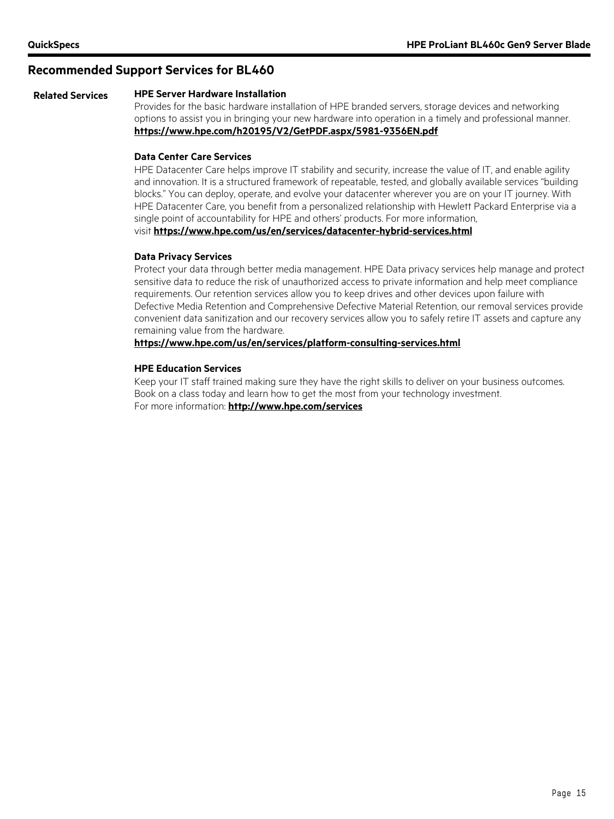#### **Recommended Support Services for BL460**

#### **Related Services HPE Server Hardware Installation**

Provides for the basic hardware installation of HPE branded servers, storage devices and networking options to assist you in bringing your new hardware into operation in a timely and professional manner. **<https://www.hpe.com/h20195/V2/GetPDF.aspx/5981-9356EN.pdf>**

#### **Data Center Care Services**

HPE Datacenter Care helps improve IT stability and security, increase the value of IT, and enable agility and innovation. It is a structured framework of repeatable, tested, and globally available services "building blocks." You can deploy, operate, and evolve your datacenter wherever you are on your IT journey. With HPE Datacenter Care, you benefit from a personalized relationship with Hewlett Packard Enterprise via a single point of accountability for HPE and others' products. For more information, visit **<https://www.hpe.com/us/en/services/datacenter-hybrid-services.html>**

#### **Data Privacy Services**

Protect your data through better media management. HPE Data privacy services help manage and protect sensitive data to reduce the risk of unauthorized access to private information and help meet compliance requirements. Our retention services allow you to keep drives and other devices upon failure with Defective Media Retention and Comprehensive Defective Material Retention, our removal services provide convenient data sanitization and our recovery services allow you to safely retire IT assets and capture any remaining value from the hardware.

#### **<https://www.hpe.com/us/en/services/platform-consulting-services.html>**

#### **HPE Education Services**

Keep your IT staff trained making sure they have the right skills to deliver on your business outcomes. Book on a class today and learn how to get the most from your technology investment. For more information: **<http://www.hpe.com/services>**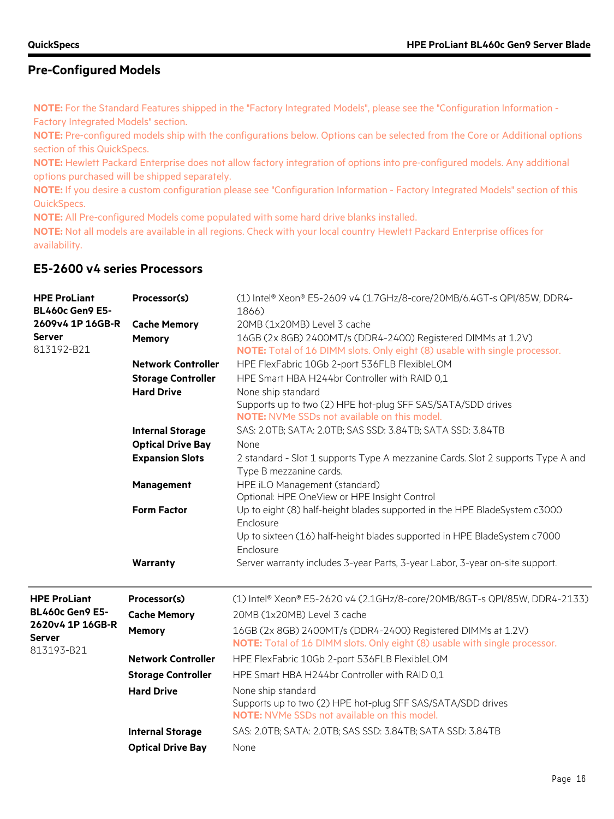**NOTE:** For the Standard Features shipped in the "Factory Integrated Models", please see the "Configuration Information - Factory Integrated Models" section.

**NOTE:** Pre-configured models ship with the configurations below. Options can be selected from the Core or Additional options section of this QuickSpecs.

**NOTE:** Hewlett Packard Enterprise does not allow factory integration of options into pre-configured models. Any additional options purchased will be shipped separately.

**NOTE:** If you desire a custom configuration please see "Configuration Information - Factory Integrated Models" section of this QuickSpecs.

**NOTE:** All Pre-configured Models come populated with some hard drive blanks installed.

**NOTE:** Not all models are available in all regions. Check with your local country Hewlett Packard Enterprise offices for availability.

# **E5-2600 v4 series Processors**

| <b>HPE ProLiant</b><br><b>BL460c Gen9 E5-</b> | Processor(s)              | (1) Intel® Xeon® E5-2609 v4 (1.7GHz/8-core/20MB/6.4GT-s QPI/85W, DDR4-<br>1866)                                                            |
|-----------------------------------------------|---------------------------|--------------------------------------------------------------------------------------------------------------------------------------------|
| 2609v4 1P 16GB-R                              | <b>Cache Memory</b>       | 20MB (1x20MB) Level 3 cache                                                                                                                |
| <b>Server</b><br>813192-B21                   | <b>Memory</b>             | 16GB (2x 8GB) 2400MT/s (DDR4-2400) Registered DIMMs at 1.2V)<br>NOTE: Total of 16 DIMM slots. Only eight (8) usable with single processor. |
|                                               | <b>Network Controller</b> | HPE FlexFabric 10Gb 2-port 536FLB FlexibleLOM                                                                                              |
|                                               | <b>Storage Controller</b> | HPE Smart HBA H244br Controller with RAID 0.1                                                                                              |
|                                               | <b>Hard Drive</b>         | None ship standard                                                                                                                         |
|                                               |                           | Supports up to two (2) HPE hot-plug SFF SAS/SATA/SDD drives                                                                                |
|                                               |                           | <b>NOTE:</b> NVMe SSDs not available on this model.                                                                                        |
|                                               | <b>Internal Storage</b>   | SAS: 2.0TB; SATA: 2.0TB; SAS SSD: 3.84TB; SATA SSD: 3.84TB                                                                                 |
|                                               | <b>Optical Drive Bay</b>  | None                                                                                                                                       |
|                                               | <b>Expansion Slots</b>    | 2 standard - Slot 1 supports Type A mezzanine Cards. Slot 2 supports Type A and<br>Type B mezzanine cards.                                 |
|                                               | Management                | HPE iLO Management (standard)                                                                                                              |
|                                               |                           | Optional: HPE OneView or HPE Insight Control                                                                                               |
|                                               | <b>Form Factor</b>        | Up to eight (8) half-height blades supported in the HPE BladeSystem c3000<br>Enclosure                                                     |
|                                               |                           | Up to sixteen (16) half-height blades supported in HPE BladeSystem c7000                                                                   |
|                                               |                           | Enclosure                                                                                                                                  |
|                                               | Warranty                  | Server warranty includes 3-year Parts, 3-year Labor, 3-year on-site support.                                                               |
| <b>HPE ProLiant</b>                           | Processor(s)              | (1) Intel® Xeon® E5-2620 v4 (2.1GHz/8-core/20MB/8GT-s QPI/85W, DDR4-2133)                                                                  |
| <b>BL460c Gen9 E5-</b>                        | <b>Cache Memory</b>       | 20MB (1x20MB) Level 3 cache                                                                                                                |
| 2620v4 1P 16GB-R<br><b>Server</b>             | <b>Memory</b>             | 16GB (2x 8GB) 2400MT/s (DDR4-2400) Registered DIMMs at 1.2V)<br>NOTE: Total of 16 DIMM slots. Only eight (8) usable with single processor. |
| 813193-B21                                    | <b>Network Controller</b> | HPE FlexFabric 10Gb 2-port 536FLB FlexibleLOM                                                                                              |
|                                               | <b>Storage Controller</b> | HPE Smart HBA H244br Controller with RAID 0,1                                                                                              |
|                                               | <b>Hard Drive</b>         | None ship standard<br>Supports up to two (2) HPE hot-plug SFF SAS/SATA/SDD drives<br><b>NOTE:</b> NVMe SSDs not available on this model.   |
|                                               | <b>Internal Storage</b>   | SAS: 2.0TB; SATA: 2.0TB; SAS SSD: 3.84TB; SATA SSD: 3.84TB                                                                                 |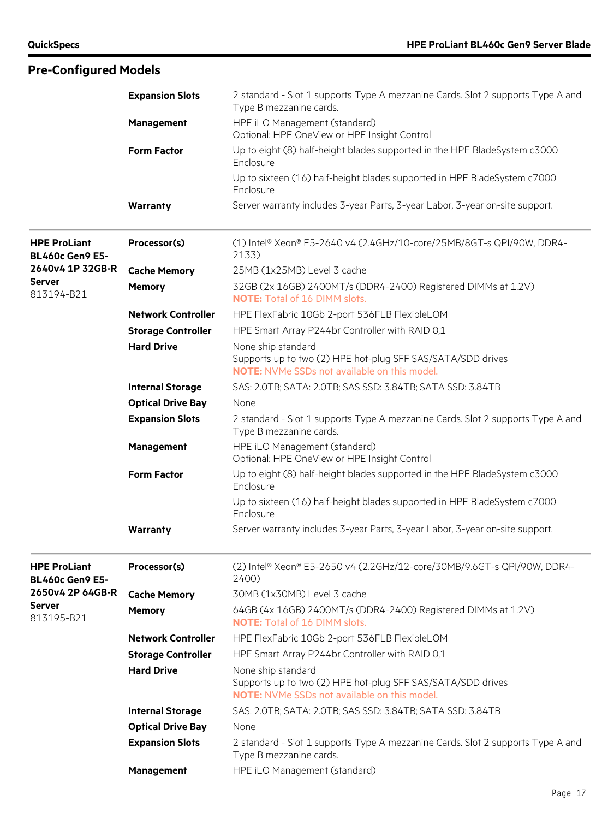|                                               | <b>Expansion Slots</b>    | 2 standard - Slot 1 supports Type A mezzanine Cards. Slot 2 supports Type A and<br>Type B mezzanine cards.                               |
|-----------------------------------------------|---------------------------|------------------------------------------------------------------------------------------------------------------------------------------|
|                                               | Management                | HPE iLO Management (standard)<br>Optional: HPE OneView or HPE Insight Control                                                            |
|                                               | <b>Form Factor</b>        | Up to eight (8) half-height blades supported in the HPE BladeSystem c3000<br>Enclosure                                                   |
|                                               |                           | Up to sixteen (16) half-height blades supported in HPE BladeSystem c7000<br>Enclosure                                                    |
|                                               | Warranty                  | Server warranty includes 3-year Parts, 3-year Labor, 3-year on-site support.                                                             |
| <b>HPE ProLiant</b><br><b>BL460c Gen9 E5-</b> | Processor(s)              | (1) Intel® Xeon® E5-2640 v4 (2.4GHz/10-core/25MB/8GT-s QPI/90W, DDR4-<br>2133)                                                           |
| 2640v4 1P 32GB-R                              | <b>Cache Memory</b>       | 25MB (1x25MB) Level 3 cache                                                                                                              |
| <b>Server</b><br>813194-B21                   | Memory                    | 32GB (2x 16GB) 2400MT/s (DDR4-2400) Registered DIMMs at 1.2V)<br><b>NOTE:</b> Total of 16 DIMM slots.                                    |
|                                               | <b>Network Controller</b> | HPE FlexFabric 10Gb 2-port 536FLB FlexibleLOM                                                                                            |
|                                               | <b>Storage Controller</b> | HPE Smart Array P244br Controller with RAID 0,1                                                                                          |
|                                               | <b>Hard Drive</b>         | None ship standard                                                                                                                       |
|                                               |                           | Supports up to two (2) HPE hot-plug SFF SAS/SATA/SDD drives<br><b>NOTE:</b> NVMe SSDs not available on this model.                       |
|                                               | <b>Internal Storage</b>   | SAS: 2.0TB; SATA: 2.0TB; SAS SSD: 3.84TB; SATA SSD: 3.84TB                                                                               |
|                                               | <b>Optical Drive Bay</b>  | None                                                                                                                                     |
|                                               | <b>Expansion Slots</b>    | 2 standard - Slot 1 supports Type A mezzanine Cards. Slot 2 supports Type A and                                                          |
|                                               |                           | Type B mezzanine cards.                                                                                                                  |
|                                               | Management                | HPE iLO Management (standard)<br>Optional: HPE OneView or HPE Insight Control                                                            |
|                                               | <b>Form Factor</b>        | Up to eight (8) half-height blades supported in the HPE BladeSystem c3000<br>Enclosure                                                   |
|                                               |                           | Up to sixteen (16) half-height blades supported in HPE BladeSystem c7000<br>Enclosure                                                    |
|                                               | Warranty                  | Server warranty includes 3-year Parts, 3-year Labor, 3-year on-site support.                                                             |
| <b>HPE ProLiant</b><br><b>BL460c Gen9 E5-</b> | Processor(s)              | (2) Intel® Xeon® E5-2650 v4 (2.2GHz/12-core/30MB/9.6GT-s QPI/90W, DDR4-<br>2400)                                                         |
| 2650v4 2P 64GB-R                              | <b>Cache Memory</b>       | 30MB (1x30MB) Level 3 cache                                                                                                              |
| <b>Server</b><br>813195-B21                   | Memory                    | 64GB (4x 16GB) 2400MT/s (DDR4-2400) Registered DIMMs at 1.2V)<br><b>NOTE:</b> Total of 16 DIMM slots.                                    |
|                                               | <b>Network Controller</b> | HPE FlexFabric 10Gb 2-port 536FLB FlexibleLOM                                                                                            |
|                                               | <b>Storage Controller</b> | HPE Smart Array P244br Controller with RAID 0,1                                                                                          |
|                                               | <b>Hard Drive</b>         | None ship standard<br>Supports up to two (2) HPE hot-plug SFF SAS/SATA/SDD drives<br><b>NOTE:</b> NVMe SSDs not available on this model. |
|                                               | <b>Internal Storage</b>   | SAS: 2.0TB; SATA: 2.0TB; SAS SSD: 3.84TB; SATA SSD: 3.84TB                                                                               |
|                                               | <b>Optical Drive Bay</b>  | None                                                                                                                                     |
|                                               | <b>Expansion Slots</b>    | 2 standard - Slot 1 supports Type A mezzanine Cards. Slot 2 supports Type A and<br>Type B mezzanine cards.                               |
|                                               | Management                | HPE iLO Management (standard)                                                                                                            |
|                                               |                           |                                                                                                                                          |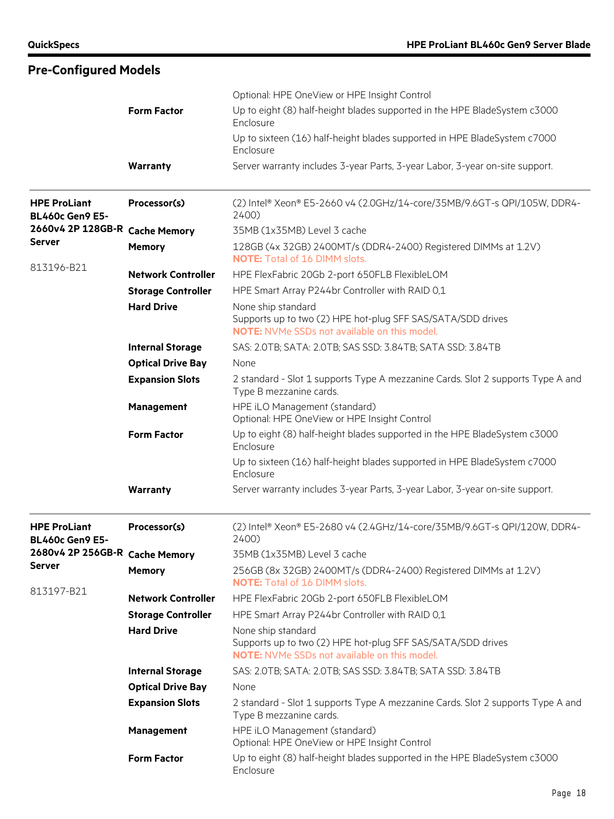|                                                 | <b>Form Factor</b><br>Warranty | Optional: HPE OneView or HPE Insight Control<br>Up to eight (8) half-height blades supported in the HPE BladeSystem c3000<br>Enclosure<br>Up to sixteen (16) half-height blades supported in HPE BladeSystem c7000<br>Enclosure<br>Server warranty includes 3-year Parts, 3-year Labor, 3-year on-site support. |
|-------------------------------------------------|--------------------------------|-----------------------------------------------------------------------------------------------------------------------------------------------------------------------------------------------------------------------------------------------------------------------------------------------------------------|
| <b>HPE ProLiant</b><br><b>BL460c Gen9 E5-</b>   | Processor(s)                   | (2) Intel® Xeon® E5-2660 v4 (2.0GHz/14-core/35MB/9.6GT-s QPI/105W, DDR4-<br>2400                                                                                                                                                                                                                                |
| 2660v4 2P 128GB-R Cache Memory                  |                                | 35MB (1x35MB) Level 3 cache                                                                                                                                                                                                                                                                                     |
| <b>Server</b>                                   | <b>Memory</b>                  | 128GB (4x 32GB) 2400MT/s (DDR4-2400) Registered DIMMs at 1.2V)<br><b>NOTE:</b> Total of 16 DIMM slots.                                                                                                                                                                                                          |
| 813196-B21                                      | <b>Network Controller</b>      | HPE FlexFabric 20Gb 2-port 650FLB FlexibleLOM                                                                                                                                                                                                                                                                   |
|                                                 | <b>Storage Controller</b>      | HPE Smart Array P244br Controller with RAID 0,1                                                                                                                                                                                                                                                                 |
|                                                 | <b>Hard Drive</b>              | None ship standard<br>Supports up to two (2) HPE hot-plug SFF SAS/SATA/SDD drives<br><b>NOTE:</b> NVMe SSDs not available on this model.                                                                                                                                                                        |
|                                                 | <b>Internal Storage</b>        | SAS: 2.0TB; SATA: 2.0TB; SAS SSD: 3.84TB; SATA SSD: 3.84TB                                                                                                                                                                                                                                                      |
|                                                 | <b>Optical Drive Bay</b>       | None                                                                                                                                                                                                                                                                                                            |
|                                                 | <b>Expansion Slots</b>         | 2 standard - Slot 1 supports Type A mezzanine Cards. Slot 2 supports Type A and<br>Type B mezzanine cards.                                                                                                                                                                                                      |
|                                                 | Management                     | HPE iLO Management (standard)<br>Optional: HPE OneView or HPE Insight Control                                                                                                                                                                                                                                   |
|                                                 | <b>Form Factor</b>             | Up to eight (8) half-height blades supported in the HPE BladeSystem c3000<br>Enclosure                                                                                                                                                                                                                          |
|                                                 |                                | Up to sixteen (16) half-height blades supported in HPE BladeSystem c7000<br>Enclosure                                                                                                                                                                                                                           |
|                                                 | Warranty                       | Server warranty includes 3-year Parts, 3-year Labor, 3-year on-site support.                                                                                                                                                                                                                                    |
| <b>HPE ProLiant</b><br><b>BL460c Gen9 E5-</b>   | Processor(s)                   | (2) Intel® Xeon® E5-2680 v4 (2.4GHz/14-core/35MB/9.6GT-s QPI/120W, DDR4-<br>2400)                                                                                                                                                                                                                               |
| 2680v4 2P 256GB-R Cache Memory<br><b>Server</b> |                                | 35MB (1x35MB) Level 3 cache                                                                                                                                                                                                                                                                                     |
| 813197-B21                                      | <b>Memory</b>                  | 256GB (8x 32GB) 2400MT/s (DDR4-2400) Registered DIMMs at 1.2V)<br><b>NOTE:</b> Total of 16 DIMM slots.                                                                                                                                                                                                          |
|                                                 | <b>Network Controller</b>      | HPE FlexFabric 20Gb 2-port 650FLB FlexibleLOM                                                                                                                                                                                                                                                                   |
|                                                 | <b>Storage Controller</b>      | HPE Smart Array P244br Controller with RAID 0,1                                                                                                                                                                                                                                                                 |
|                                                 | <b>Hard Drive</b>              | None ship standard<br>Supports up to two (2) HPE hot-plug SFF SAS/SATA/SDD drives<br><b>NOTE:</b> NVMe SSDs not available on this model.                                                                                                                                                                        |
|                                                 | <b>Internal Storage</b>        | SAS: 2.0TB; SATA: 2.0TB; SAS SSD: 3.84TB; SATA SSD: 3.84TB                                                                                                                                                                                                                                                      |
|                                                 | <b>Optical Drive Bay</b>       | None                                                                                                                                                                                                                                                                                                            |
|                                                 | <b>Expansion Slots</b>         | 2 standard - Slot 1 supports Type A mezzanine Cards. Slot 2 supports Type A and<br>Type B mezzanine cards.                                                                                                                                                                                                      |
|                                                 | <b>Management</b>              | HPE iLO Management (standard)<br>Optional: HPE OneView or HPE Insight Control                                                                                                                                                                                                                                   |
|                                                 | <b>Form Factor</b>             | Up to eight (8) half-height blades supported in the HPE BladeSystem c3000<br>Enclosure                                                                                                                                                                                                                          |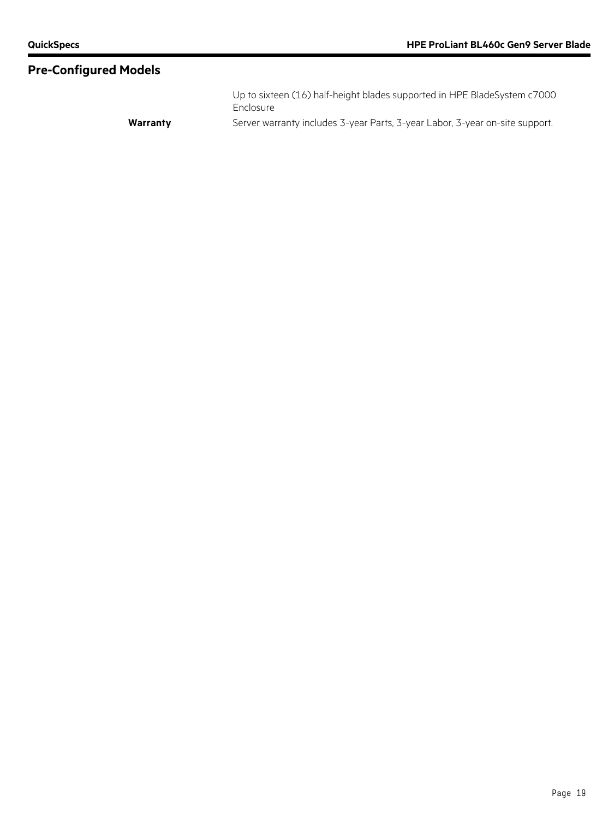Up to sixteen (16) half-height blades supported in HPE BladeSystem c7000 Enclosure Warranty **Warranty** Server warranty includes 3-year Parts, 3-year Labor, 3-year on-site support.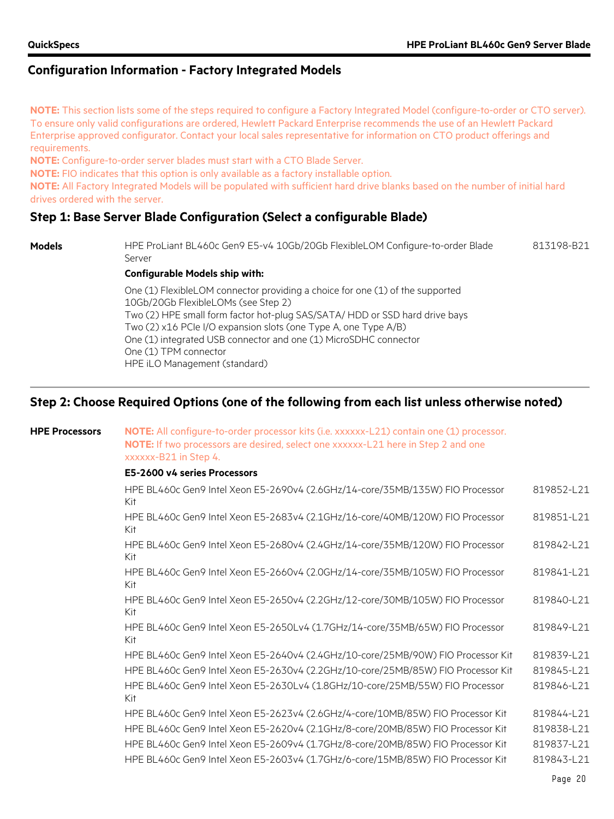**NOTE:** This section lists some of the steps required to configure a Factory Integrated Model (configure-to-order or CTO server). To ensure only valid configurations are ordered, Hewlett Packard Enterprise recommends the use of an Hewlett Packard Enterprise approved configurator. Contact your local sales representative for information on CTO product offerings and requirements.

**NOTE:** Configure-to-order server blades must start with a CTO Blade Server.

**NOTE:** FIO indicates that this option is only available as a factory installable option.

**NOTE:** All Factory Integrated Models will be populated with sufficient hard drive blanks based on the number of initial hard drives ordered with the server.

# **Step 1: Base Server Blade Configuration (Select a configurable Blade)**

**Models** HPE ProLiant BL460c Gen9 E5-v4 10Gb/20Gb FlexibleLOM Configure-to-order Blade Server 813198-B21

#### **Configurable Models ship with:**

One (1) FlexibleLOM connector providing a choice for one (1) of the supported 10Gb/20Gb FlexibleLOMs (see Step 2) Two (2) HPE small form factor hot-plug SAS/SATA/ HDD or SSD hard drive bays Two (2) x16 PCIe I/O expansion slots (one Type A, one Type A/B) One (1) integrated USB connector and one (1) MicroSDHC connector One (1) TPM connector HPE iLO Management (standard)

# **Step 2: Choose Required Options (one of the following from each list unless otherwise noted)**

# **HPE Processors NOTE:** All configure-to-order processor kits (i.e. xxxxxx-L21) contain one (1) processor. **NOTE:** If two processors are desired, select one xxxxxx-L21 here in Step 2 and one xxxxxx-B21 in Step 4.

#### **E5-2600 v4 series Processors**

| 819851-L21 |
|------------|
|            |
| 819842-L21 |
| 819841-L21 |
| 819840-L21 |
| 819849-L21 |
| 819839-L21 |
| 819845-L21 |
| 819846-L21 |
| 819844-L21 |
| 819838-L21 |
| 819837-L21 |
| 819843-L21 |
|            |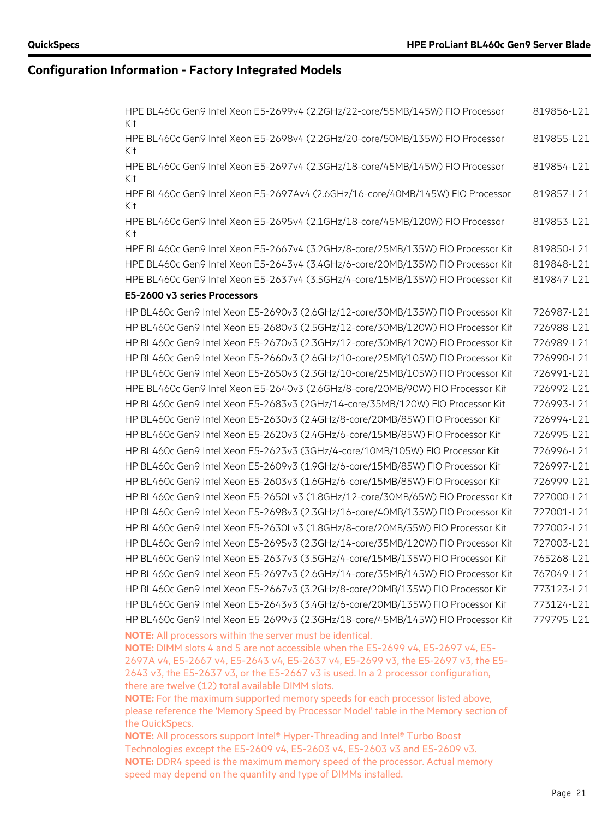| Kit<br>HPE BL460c Gen9 Intel Xeon E5-2698v4 (2.2GHz/20-core/50MB/135W) FIO Processor<br>819855-L21<br>Kit<br>HPE BL460c Gen9 Intel Xeon E5-2697v4 (2.3GHz/18-core/45MB/145W) FIO Processor<br>819854-L21<br>Kit<br>HPE BL460c Gen9 Intel Xeon E5-2697Av4 (2.6GHz/16-core/40MB/145W) FIO Processor<br>819857-L21<br>Kit<br>HPE BL460c Gen9 Intel Xeon E5-2695v4 (2.1GHz/18-core/45MB/120W) FIO Processor<br>819853-L21<br>Kit<br>HPE BL460c Gen9 Intel Xeon E5-2667v4 (3.2GHz/8-core/25MB/135W) FIO Processor Kit<br>819850-L21<br>HPE BL460c Gen9 Intel Xeon E5-2643v4 (3.4GHz/6-core/20MB/135W) FIO Processor Kit<br>819848-L21<br>HPE BL460c Gen9 Intel Xeon E5-2637v4 (3.5GHz/4-core/15MB/135W) FIO Processor Kit<br>819847-L21<br>E5-2600 v3 series Processors<br>HP BL460c Gen9 Intel Xeon E5-2690v3 (2.6GHz/12-core/30MB/135W) FIO Processor Kit<br>726987-L21<br>HP BL460c Gen9 Intel Xeon E5-2680v3 (2.5GHz/12-core/30MB/120W) FIO Processor Kit<br>726988-L21<br>HP BL460c Gen9 Intel Xeon E5-2670v3 (2.3GHz/12-core/30MB/120W) FIO Processor Kit<br>726989-L21<br>HP BL460c Gen9 Intel Xeon E5-2660v3 (2.6GHz/10-core/25MB/105W) FIO Processor Kit<br>726990-L21<br>HP BL460c Gen9 Intel Xeon E5-2650v3 (2.3GHz/10-core/25MB/105W) FIO Processor Kit<br>726991-L21<br>HPE BL460c Gen9 Intel Xeon E5-2640v3 (2.6GHz/8-core/20MB/90W) FIO Processor Kit<br>726992-L21<br>HP BL460c Gen9 Intel Xeon E5-2683v3 (2GHz/14-core/35MB/120W) FIO Processor Kit<br>726993-L21<br>HP BL460c Gen9 Intel Xeon E5-2630v3 (2.4GHz/8-core/20MB/85W) FIO Processor Kit<br>726994-L21<br>HP BL460c Gen9 Intel Xeon E5-2620v3 (2.4GHz/6-core/15MB/85W) FIO Processor Kit<br>726995-L21<br>HP BL460c Gen9 Intel Xeon E5-2623v3 (3GHz/4-core/10MB/105W) FIO Processor Kit<br>726996-L21<br>HP BL460c Gen9 Intel Xeon E5-2609v3 (1.9GHz/6-core/15MB/85W) FIO Processor Kit<br>726997-L21<br>HP BL460c Gen9 Intel Xeon E5-2603v3 (1.6GHz/6-core/15MB/85W) FIO Processor Kit<br>726999-L21<br>HP BL460c Gen9 Intel Xeon E5-2650Lv3 (1.8GHz/12-core/30MB/65W) FIO Processor Kit<br>727000-L21<br>HP BL460c Gen9 Intel Xeon E5-2698v3 (2.3GHz/16-core/40MB/135W) FIO Processor Kit<br>727001-L21<br>HP BL460c Gen9 Intel Xeon E5-2630Lv3 (1.8GHz/8-core/20MB/55W) FIO Processor Kit<br>727002-L21<br>HP BL460c Gen9 Intel Xeon E5-2695v3 (2.3GHz/14-core/35MB/120W) FIO Processor Kit<br>727003-L21<br>HP BL460c Gen9 Intel Xeon E5-2637v3 (3.5GHz/4-core/15MB/135W) FIO Processor Kit<br>765268-L21<br>HP BL460c Gen9 Intel Xeon E5-2697v3 (2.6GHz/14-core/35MB/145W) FIO Processor Kit<br>767049-L21<br>HP BL460c Gen9 Intel Xeon E5-2667v3 (3.2GHz/8-core/20MB/135W) FIO Processor Kit<br>773123-L21<br>HP BL460c Gen9 Intel Xeon E5-2643v3 (3.4GHz/6-core/20MB/135W) FIO Processor Kit<br>773124-L21<br>779795-L21<br>HP BL460c Gen9 Intel Xeon E5-2699v3 (2.3GHz/18-core/45MB/145W) FIO Processor Kit<br><b>NOTE:</b> All processors within the server must be identical. |
|----------------------------------------------------------------------------------------------------------------------------------------------------------------------------------------------------------------------------------------------------------------------------------------------------------------------------------------------------------------------------------------------------------------------------------------------------------------------------------------------------------------------------------------------------------------------------------------------------------------------------------------------------------------------------------------------------------------------------------------------------------------------------------------------------------------------------------------------------------------------------------------------------------------------------------------------------------------------------------------------------------------------------------------------------------------------------------------------------------------------------------------------------------------------------------------------------------------------------------------------------------------------------------------------------------------------------------------------------------------------------------------------------------------------------------------------------------------------------------------------------------------------------------------------------------------------------------------------------------------------------------------------------------------------------------------------------------------------------------------------------------------------------------------------------------------------------------------------------------------------------------------------------------------------------------------------------------------------------------------------------------------------------------------------------------------------------------------------------------------------------------------------------------------------------------------------------------------------------------------------------------------------------------------------------------------------------------------------------------------------------------------------------------------------------------------------------------------------------------------------------------------------------------------------------------------------------------------------------------------------------------------------------------------------------------------------------------------------------------------------------------------------------------------------------------------------------------------------------------------------------------------------------------------------------------------------------------------|
|                                                                                                                                                                                                                                                                                                                                                                                                                                                                                                                                                                                                                                                                                                                                                                                                                                                                                                                                                                                                                                                                                                                                                                                                                                                                                                                                                                                                                                                                                                                                                                                                                                                                                                                                                                                                                                                                                                                                                                                                                                                                                                                                                                                                                                                                                                                                                                                                                                                                                                                                                                                                                                                                                                                                                                                                                                                                                                                                                                |
|                                                                                                                                                                                                                                                                                                                                                                                                                                                                                                                                                                                                                                                                                                                                                                                                                                                                                                                                                                                                                                                                                                                                                                                                                                                                                                                                                                                                                                                                                                                                                                                                                                                                                                                                                                                                                                                                                                                                                                                                                                                                                                                                                                                                                                                                                                                                                                                                                                                                                                                                                                                                                                                                                                                                                                                                                                                                                                                                                                |
|                                                                                                                                                                                                                                                                                                                                                                                                                                                                                                                                                                                                                                                                                                                                                                                                                                                                                                                                                                                                                                                                                                                                                                                                                                                                                                                                                                                                                                                                                                                                                                                                                                                                                                                                                                                                                                                                                                                                                                                                                                                                                                                                                                                                                                                                                                                                                                                                                                                                                                                                                                                                                                                                                                                                                                                                                                                                                                                                                                |
|                                                                                                                                                                                                                                                                                                                                                                                                                                                                                                                                                                                                                                                                                                                                                                                                                                                                                                                                                                                                                                                                                                                                                                                                                                                                                                                                                                                                                                                                                                                                                                                                                                                                                                                                                                                                                                                                                                                                                                                                                                                                                                                                                                                                                                                                                                                                                                                                                                                                                                                                                                                                                                                                                                                                                                                                                                                                                                                                                                |
|                                                                                                                                                                                                                                                                                                                                                                                                                                                                                                                                                                                                                                                                                                                                                                                                                                                                                                                                                                                                                                                                                                                                                                                                                                                                                                                                                                                                                                                                                                                                                                                                                                                                                                                                                                                                                                                                                                                                                                                                                                                                                                                                                                                                                                                                                                                                                                                                                                                                                                                                                                                                                                                                                                                                                                                                                                                                                                                                                                |
|                                                                                                                                                                                                                                                                                                                                                                                                                                                                                                                                                                                                                                                                                                                                                                                                                                                                                                                                                                                                                                                                                                                                                                                                                                                                                                                                                                                                                                                                                                                                                                                                                                                                                                                                                                                                                                                                                                                                                                                                                                                                                                                                                                                                                                                                                                                                                                                                                                                                                                                                                                                                                                                                                                                                                                                                                                                                                                                                                                |
|                                                                                                                                                                                                                                                                                                                                                                                                                                                                                                                                                                                                                                                                                                                                                                                                                                                                                                                                                                                                                                                                                                                                                                                                                                                                                                                                                                                                                                                                                                                                                                                                                                                                                                                                                                                                                                                                                                                                                                                                                                                                                                                                                                                                                                                                                                                                                                                                                                                                                                                                                                                                                                                                                                                                                                                                                                                                                                                                                                |
|                                                                                                                                                                                                                                                                                                                                                                                                                                                                                                                                                                                                                                                                                                                                                                                                                                                                                                                                                                                                                                                                                                                                                                                                                                                                                                                                                                                                                                                                                                                                                                                                                                                                                                                                                                                                                                                                                                                                                                                                                                                                                                                                                                                                                                                                                                                                                                                                                                                                                                                                                                                                                                                                                                                                                                                                                                                                                                                                                                |
|                                                                                                                                                                                                                                                                                                                                                                                                                                                                                                                                                                                                                                                                                                                                                                                                                                                                                                                                                                                                                                                                                                                                                                                                                                                                                                                                                                                                                                                                                                                                                                                                                                                                                                                                                                                                                                                                                                                                                                                                                                                                                                                                                                                                                                                                                                                                                                                                                                                                                                                                                                                                                                                                                                                                                                                                                                                                                                                                                                |
|                                                                                                                                                                                                                                                                                                                                                                                                                                                                                                                                                                                                                                                                                                                                                                                                                                                                                                                                                                                                                                                                                                                                                                                                                                                                                                                                                                                                                                                                                                                                                                                                                                                                                                                                                                                                                                                                                                                                                                                                                                                                                                                                                                                                                                                                                                                                                                                                                                                                                                                                                                                                                                                                                                                                                                                                                                                                                                                                                                |
|                                                                                                                                                                                                                                                                                                                                                                                                                                                                                                                                                                                                                                                                                                                                                                                                                                                                                                                                                                                                                                                                                                                                                                                                                                                                                                                                                                                                                                                                                                                                                                                                                                                                                                                                                                                                                                                                                                                                                                                                                                                                                                                                                                                                                                                                                                                                                                                                                                                                                                                                                                                                                                                                                                                                                                                                                                                                                                                                                                |
|                                                                                                                                                                                                                                                                                                                                                                                                                                                                                                                                                                                                                                                                                                                                                                                                                                                                                                                                                                                                                                                                                                                                                                                                                                                                                                                                                                                                                                                                                                                                                                                                                                                                                                                                                                                                                                                                                                                                                                                                                                                                                                                                                                                                                                                                                                                                                                                                                                                                                                                                                                                                                                                                                                                                                                                                                                                                                                                                                                |
|                                                                                                                                                                                                                                                                                                                                                                                                                                                                                                                                                                                                                                                                                                                                                                                                                                                                                                                                                                                                                                                                                                                                                                                                                                                                                                                                                                                                                                                                                                                                                                                                                                                                                                                                                                                                                                                                                                                                                                                                                                                                                                                                                                                                                                                                                                                                                                                                                                                                                                                                                                                                                                                                                                                                                                                                                                                                                                                                                                |
|                                                                                                                                                                                                                                                                                                                                                                                                                                                                                                                                                                                                                                                                                                                                                                                                                                                                                                                                                                                                                                                                                                                                                                                                                                                                                                                                                                                                                                                                                                                                                                                                                                                                                                                                                                                                                                                                                                                                                                                                                                                                                                                                                                                                                                                                                                                                                                                                                                                                                                                                                                                                                                                                                                                                                                                                                                                                                                                                                                |
|                                                                                                                                                                                                                                                                                                                                                                                                                                                                                                                                                                                                                                                                                                                                                                                                                                                                                                                                                                                                                                                                                                                                                                                                                                                                                                                                                                                                                                                                                                                                                                                                                                                                                                                                                                                                                                                                                                                                                                                                                                                                                                                                                                                                                                                                                                                                                                                                                                                                                                                                                                                                                                                                                                                                                                                                                                                                                                                                                                |
|                                                                                                                                                                                                                                                                                                                                                                                                                                                                                                                                                                                                                                                                                                                                                                                                                                                                                                                                                                                                                                                                                                                                                                                                                                                                                                                                                                                                                                                                                                                                                                                                                                                                                                                                                                                                                                                                                                                                                                                                                                                                                                                                                                                                                                                                                                                                                                                                                                                                                                                                                                                                                                                                                                                                                                                                                                                                                                                                                                |
|                                                                                                                                                                                                                                                                                                                                                                                                                                                                                                                                                                                                                                                                                                                                                                                                                                                                                                                                                                                                                                                                                                                                                                                                                                                                                                                                                                                                                                                                                                                                                                                                                                                                                                                                                                                                                                                                                                                                                                                                                                                                                                                                                                                                                                                                                                                                                                                                                                                                                                                                                                                                                                                                                                                                                                                                                                                                                                                                                                |
|                                                                                                                                                                                                                                                                                                                                                                                                                                                                                                                                                                                                                                                                                                                                                                                                                                                                                                                                                                                                                                                                                                                                                                                                                                                                                                                                                                                                                                                                                                                                                                                                                                                                                                                                                                                                                                                                                                                                                                                                                                                                                                                                                                                                                                                                                                                                                                                                                                                                                                                                                                                                                                                                                                                                                                                                                                                                                                                                                                |
|                                                                                                                                                                                                                                                                                                                                                                                                                                                                                                                                                                                                                                                                                                                                                                                                                                                                                                                                                                                                                                                                                                                                                                                                                                                                                                                                                                                                                                                                                                                                                                                                                                                                                                                                                                                                                                                                                                                                                                                                                                                                                                                                                                                                                                                                                                                                                                                                                                                                                                                                                                                                                                                                                                                                                                                                                                                                                                                                                                |
|                                                                                                                                                                                                                                                                                                                                                                                                                                                                                                                                                                                                                                                                                                                                                                                                                                                                                                                                                                                                                                                                                                                                                                                                                                                                                                                                                                                                                                                                                                                                                                                                                                                                                                                                                                                                                                                                                                                                                                                                                                                                                                                                                                                                                                                                                                                                                                                                                                                                                                                                                                                                                                                                                                                                                                                                                                                                                                                                                                |
|                                                                                                                                                                                                                                                                                                                                                                                                                                                                                                                                                                                                                                                                                                                                                                                                                                                                                                                                                                                                                                                                                                                                                                                                                                                                                                                                                                                                                                                                                                                                                                                                                                                                                                                                                                                                                                                                                                                                                                                                                                                                                                                                                                                                                                                                                                                                                                                                                                                                                                                                                                                                                                                                                                                                                                                                                                                                                                                                                                |
|                                                                                                                                                                                                                                                                                                                                                                                                                                                                                                                                                                                                                                                                                                                                                                                                                                                                                                                                                                                                                                                                                                                                                                                                                                                                                                                                                                                                                                                                                                                                                                                                                                                                                                                                                                                                                                                                                                                                                                                                                                                                                                                                                                                                                                                                                                                                                                                                                                                                                                                                                                                                                                                                                                                                                                                                                                                                                                                                                                |
|                                                                                                                                                                                                                                                                                                                                                                                                                                                                                                                                                                                                                                                                                                                                                                                                                                                                                                                                                                                                                                                                                                                                                                                                                                                                                                                                                                                                                                                                                                                                                                                                                                                                                                                                                                                                                                                                                                                                                                                                                                                                                                                                                                                                                                                                                                                                                                                                                                                                                                                                                                                                                                                                                                                                                                                                                                                                                                                                                                |
|                                                                                                                                                                                                                                                                                                                                                                                                                                                                                                                                                                                                                                                                                                                                                                                                                                                                                                                                                                                                                                                                                                                                                                                                                                                                                                                                                                                                                                                                                                                                                                                                                                                                                                                                                                                                                                                                                                                                                                                                                                                                                                                                                                                                                                                                                                                                                                                                                                                                                                                                                                                                                                                                                                                                                                                                                                                                                                                                                                |
|                                                                                                                                                                                                                                                                                                                                                                                                                                                                                                                                                                                                                                                                                                                                                                                                                                                                                                                                                                                                                                                                                                                                                                                                                                                                                                                                                                                                                                                                                                                                                                                                                                                                                                                                                                                                                                                                                                                                                                                                                                                                                                                                                                                                                                                                                                                                                                                                                                                                                                                                                                                                                                                                                                                                                                                                                                                                                                                                                                |
|                                                                                                                                                                                                                                                                                                                                                                                                                                                                                                                                                                                                                                                                                                                                                                                                                                                                                                                                                                                                                                                                                                                                                                                                                                                                                                                                                                                                                                                                                                                                                                                                                                                                                                                                                                                                                                                                                                                                                                                                                                                                                                                                                                                                                                                                                                                                                                                                                                                                                                                                                                                                                                                                                                                                                                                                                                                                                                                                                                |
|                                                                                                                                                                                                                                                                                                                                                                                                                                                                                                                                                                                                                                                                                                                                                                                                                                                                                                                                                                                                                                                                                                                                                                                                                                                                                                                                                                                                                                                                                                                                                                                                                                                                                                                                                                                                                                                                                                                                                                                                                                                                                                                                                                                                                                                                                                                                                                                                                                                                                                                                                                                                                                                                                                                                                                                                                                                                                                                                                                |
|                                                                                                                                                                                                                                                                                                                                                                                                                                                                                                                                                                                                                                                                                                                                                                                                                                                                                                                                                                                                                                                                                                                                                                                                                                                                                                                                                                                                                                                                                                                                                                                                                                                                                                                                                                                                                                                                                                                                                                                                                                                                                                                                                                                                                                                                                                                                                                                                                                                                                                                                                                                                                                                                                                                                                                                                                                                                                                                                                                |
|                                                                                                                                                                                                                                                                                                                                                                                                                                                                                                                                                                                                                                                                                                                                                                                                                                                                                                                                                                                                                                                                                                                                                                                                                                                                                                                                                                                                                                                                                                                                                                                                                                                                                                                                                                                                                                                                                                                                                                                                                                                                                                                                                                                                                                                                                                                                                                                                                                                                                                                                                                                                                                                                                                                                                                                                                                                                                                                                                                |
|                                                                                                                                                                                                                                                                                                                                                                                                                                                                                                                                                                                                                                                                                                                                                                                                                                                                                                                                                                                                                                                                                                                                                                                                                                                                                                                                                                                                                                                                                                                                                                                                                                                                                                                                                                                                                                                                                                                                                                                                                                                                                                                                                                                                                                                                                                                                                                                                                                                                                                                                                                                                                                                                                                                                                                                                                                                                                                                                                                |
| NOTE: DIMM slots 4 and 5 are not accessible when the E5-2699 v4, E5-2697 v4, E5-                                                                                                                                                                                                                                                                                                                                                                                                                                                                                                                                                                                                                                                                                                                                                                                                                                                                                                                                                                                                                                                                                                                                                                                                                                                                                                                                                                                                                                                                                                                                                                                                                                                                                                                                                                                                                                                                                                                                                                                                                                                                                                                                                                                                                                                                                                                                                                                                                                                                                                                                                                                                                                                                                                                                                                                                                                                                               |
| 2697A v4, E5-2667 v4, E5-2643 v4, E5-2637 v4, E5-2699 v3, the E5-2697 v3, the E5-                                                                                                                                                                                                                                                                                                                                                                                                                                                                                                                                                                                                                                                                                                                                                                                                                                                                                                                                                                                                                                                                                                                                                                                                                                                                                                                                                                                                                                                                                                                                                                                                                                                                                                                                                                                                                                                                                                                                                                                                                                                                                                                                                                                                                                                                                                                                                                                                                                                                                                                                                                                                                                                                                                                                                                                                                                                                              |
| 2643 v3, the E5-2637 v3, or the E5-2667 v3 is used. In a 2 processor configuration,<br>there are twelve (12) total available DIMM slots.                                                                                                                                                                                                                                                                                                                                                                                                                                                                                                                                                                                                                                                                                                                                                                                                                                                                                                                                                                                                                                                                                                                                                                                                                                                                                                                                                                                                                                                                                                                                                                                                                                                                                                                                                                                                                                                                                                                                                                                                                                                                                                                                                                                                                                                                                                                                                                                                                                                                                                                                                                                                                                                                                                                                                                                                                       |
| <b>NOTE:</b> For the maximum supported memory speeds for each processor listed above,                                                                                                                                                                                                                                                                                                                                                                                                                                                                                                                                                                                                                                                                                                                                                                                                                                                                                                                                                                                                                                                                                                                                                                                                                                                                                                                                                                                                                                                                                                                                                                                                                                                                                                                                                                                                                                                                                                                                                                                                                                                                                                                                                                                                                                                                                                                                                                                                                                                                                                                                                                                                                                                                                                                                                                                                                                                                          |
| please reference the 'Memory Speed by Processor Model' table in the Memory section of                                                                                                                                                                                                                                                                                                                                                                                                                                                                                                                                                                                                                                                                                                                                                                                                                                                                                                                                                                                                                                                                                                                                                                                                                                                                                                                                                                                                                                                                                                                                                                                                                                                                                                                                                                                                                                                                                                                                                                                                                                                                                                                                                                                                                                                                                                                                                                                                                                                                                                                                                                                                                                                                                                                                                                                                                                                                          |
| the QuickSpecs.                                                                                                                                                                                                                                                                                                                                                                                                                                                                                                                                                                                                                                                                                                                                                                                                                                                                                                                                                                                                                                                                                                                                                                                                                                                                                                                                                                                                                                                                                                                                                                                                                                                                                                                                                                                                                                                                                                                                                                                                                                                                                                                                                                                                                                                                                                                                                                                                                                                                                                                                                                                                                                                                                                                                                                                                                                                                                                                                                |
| NOTE: All processors support Intel® Hyper-Threading and Intel® Turbo Boost<br>Technologies except the E5-2609 v4, E5-2603 v4, E5-2603 v3 and E5-2609 v3.                                                                                                                                                                                                                                                                                                                                                                                                                                                                                                                                                                                                                                                                                                                                                                                                                                                                                                                                                                                                                                                                                                                                                                                                                                                                                                                                                                                                                                                                                                                                                                                                                                                                                                                                                                                                                                                                                                                                                                                                                                                                                                                                                                                                                                                                                                                                                                                                                                                                                                                                                                                                                                                                                                                                                                                                       |

**NOTE:** DDR4 speed is the maximum memory speed of the processor. Actual memory

speed may depend on the quantity and type of DIMMs installed.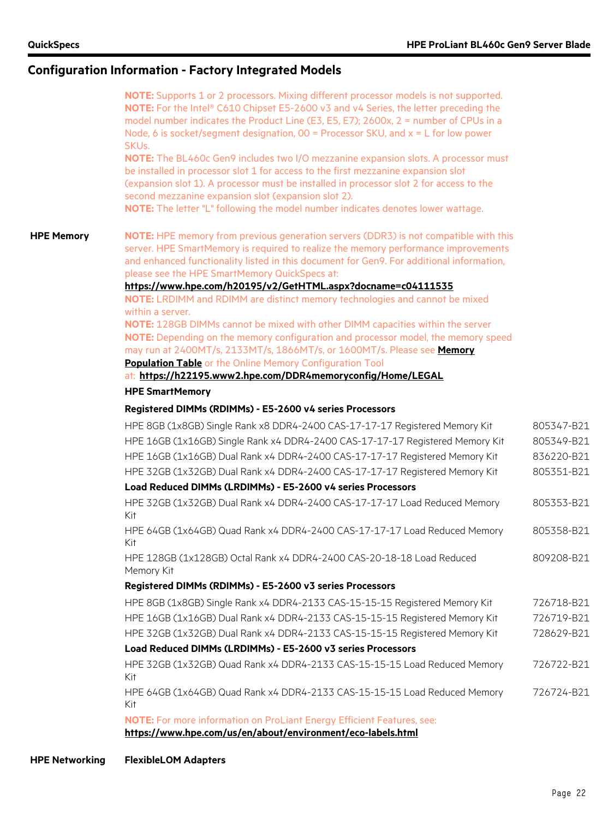| NOTE: HPE memory from previous generation servers (DDR3) is not compatible with this<br><b>HPE Memory</b><br>server. HPE SmartMemory is required to realize the memory performance improvements<br>and enhanced functionality listed in this document for Gen9. For additional information,<br>please see the HPE SmartMemory QuickSpecs at:<br>https://www.hpe.com/h20195/v2/GetHTML.aspx?docname=c04111535<br>NOTE: LRDIMM and RDIMM are distinct memory technologies and cannot be mixed<br>within a server.<br>NOTE: 128GB DIMMs cannot be mixed with other DIMM capacities within the server<br>NOTE: Depending on the memory configuration and processor model, the memory speed<br>may run at 2400MT/s, 2133MT/s, 1866MT/s, or 1600MT/s. Please see Memory<br><b>Population Table or the Online Memory Configuration Tool</b><br>at: https://h22195.www2.hpe.com/DDR4memoryconfig/Home/LEGAL<br><b>HPE SmartMemory</b><br>Registered DIMMs (RDIMMs) - E5-2600 v4 series Processors<br>HPE 8GB (1x8GB) Single Rank x8 DDR4-2400 CAS-17-17-17 Registered Memory Kit<br>HPE 16GB (1x16GB) Single Rank x4 DDR4-2400 CAS-17-17-17 Registered Memory Kit<br>HPE 16GB (1x16GB) Dual Rank x4 DDR4-2400 CAS-17-17-17 Registered Memory Kit<br>HPE 32GB (1x32GB) Dual Rank x4 DDR4-2400 CAS-17-17-17 Registered Memory Kit<br>Load Reduced DIMMs (LRDIMMs) - E5-2600 v4 series Processors<br>HPE 32GB (1x32GB) Dual Rank x4 DDR4-2400 CAS-17-17-17 Load Reduced Memory<br>Kit<br>HPE 64GB (1x64GB) Quad Rank x4 DDR4-2400 CAS-17-17-17 Load Reduced Memory<br>Kit<br>HPE 128GB (1x128GB) Octal Rank x4 DDR4-2400 CAS-20-18-18 Load Reduced<br>Memory Kit<br>Registered DIMMs (RDIMMs) - E5-2600 v3 series Processors<br>HPE 8GB (1x8GB) Single Rank x4 DDR4-2133 CAS-15-15-15 Registered Memory Kit<br>HPE 16GB (1x16GB) Dual Rank x4 DDR4-2133 CAS-15-15-15 Registered Memory Kit<br>HPE 32GB (1x32GB) Dual Rank x4 DDR4-2133 CAS-15-15-15 Registered Memory Kit<br>Load Reduced DIMMs (LRDIMMs) - E5-2600 v3 series Processors<br>HPE 32GB (1x32GB) Quad Rank x4 DDR4-2133 CAS-15-15-15 Load Reduced Memory<br>Kit<br>HPE 64GB (1x64GB) Quad Rank x4 DDR4-2133 CAS-15-15-15 Load Reduced Memory<br>Kit<br>NOTE: For more information on ProLiant Energy Efficient Features, see: | NOTE: Supports 1 or 2 processors. Mixing different processor models is not supported.<br><b>NOTE:</b> For the Intel® C610 Chipset E5-2600 v3 and v4 Series, the letter preceding the<br>model number indicates the Product Line (E3, E5, E7); 2600x, 2 = number of CPUs in a<br>Node, 6 is socket/segment designation, $00 =$ Processor SKU, and $x = L$ for low power<br>SKU <sub>s</sub> .<br>NOTE: The BL460c Gen9 includes two I/O mezzanine expansion slots. A processor must<br>be installed in processor slot 1 for access to the first mezzanine expansion slot<br>(expansion slot 1). A processor must be installed in processor slot 2 for access to the<br>second mezzanine expansion slot (expansion slot 2). |            |
|---------------------------------------------------------------------------------------------------------------------------------------------------------------------------------------------------------------------------------------------------------------------------------------------------------------------------------------------------------------------------------------------------------------------------------------------------------------------------------------------------------------------------------------------------------------------------------------------------------------------------------------------------------------------------------------------------------------------------------------------------------------------------------------------------------------------------------------------------------------------------------------------------------------------------------------------------------------------------------------------------------------------------------------------------------------------------------------------------------------------------------------------------------------------------------------------------------------------------------------------------------------------------------------------------------------------------------------------------------------------------------------------------------------------------------------------------------------------------------------------------------------------------------------------------------------------------------------------------------------------------------------------------------------------------------------------------------------------------------------------------------------------------------------------------------------------------------------------------------------------------------------------------------------------------------------------------------------------------------------------------------------------------------------------------------------------------------------------------------------------------------------------------------------------------------------------------------------------------------------------------------------------------------|---------------------------------------------------------------------------------------------------------------------------------------------------------------------------------------------------------------------------------------------------------------------------------------------------------------------------------------------------------------------------------------------------------------------------------------------------------------------------------------------------------------------------------------------------------------------------------------------------------------------------------------------------------------------------------------------------------------------------|------------|
|                                                                                                                                                                                                                                                                                                                                                                                                                                                                                                                                                                                                                                                                                                                                                                                                                                                                                                                                                                                                                                                                                                                                                                                                                                                                                                                                                                                                                                                                                                                                                                                                                                                                                                                                                                                                                                                                                                                                                                                                                                                                                                                                                                                                                                                                                 | NOTE: The letter "L" following the model number indicates denotes lower wattage.                                                                                                                                                                                                                                                                                                                                                                                                                                                                                                                                                                                                                                          |            |
|                                                                                                                                                                                                                                                                                                                                                                                                                                                                                                                                                                                                                                                                                                                                                                                                                                                                                                                                                                                                                                                                                                                                                                                                                                                                                                                                                                                                                                                                                                                                                                                                                                                                                                                                                                                                                                                                                                                                                                                                                                                                                                                                                                                                                                                                                 |                                                                                                                                                                                                                                                                                                                                                                                                                                                                                                                                                                                                                                                                                                                           |            |
|                                                                                                                                                                                                                                                                                                                                                                                                                                                                                                                                                                                                                                                                                                                                                                                                                                                                                                                                                                                                                                                                                                                                                                                                                                                                                                                                                                                                                                                                                                                                                                                                                                                                                                                                                                                                                                                                                                                                                                                                                                                                                                                                                                                                                                                                                 |                                                                                                                                                                                                                                                                                                                                                                                                                                                                                                                                                                                                                                                                                                                           |            |
|                                                                                                                                                                                                                                                                                                                                                                                                                                                                                                                                                                                                                                                                                                                                                                                                                                                                                                                                                                                                                                                                                                                                                                                                                                                                                                                                                                                                                                                                                                                                                                                                                                                                                                                                                                                                                                                                                                                                                                                                                                                                                                                                                                                                                                                                                 |                                                                                                                                                                                                                                                                                                                                                                                                                                                                                                                                                                                                                                                                                                                           |            |
|                                                                                                                                                                                                                                                                                                                                                                                                                                                                                                                                                                                                                                                                                                                                                                                                                                                                                                                                                                                                                                                                                                                                                                                                                                                                                                                                                                                                                                                                                                                                                                                                                                                                                                                                                                                                                                                                                                                                                                                                                                                                                                                                                                                                                                                                                 |                                                                                                                                                                                                                                                                                                                                                                                                                                                                                                                                                                                                                                                                                                                           |            |
|                                                                                                                                                                                                                                                                                                                                                                                                                                                                                                                                                                                                                                                                                                                                                                                                                                                                                                                                                                                                                                                                                                                                                                                                                                                                                                                                                                                                                                                                                                                                                                                                                                                                                                                                                                                                                                                                                                                                                                                                                                                                                                                                                                                                                                                                                 |                                                                                                                                                                                                                                                                                                                                                                                                                                                                                                                                                                                                                                                                                                                           |            |
|                                                                                                                                                                                                                                                                                                                                                                                                                                                                                                                                                                                                                                                                                                                                                                                                                                                                                                                                                                                                                                                                                                                                                                                                                                                                                                                                                                                                                                                                                                                                                                                                                                                                                                                                                                                                                                                                                                                                                                                                                                                                                                                                                                                                                                                                                 |                                                                                                                                                                                                                                                                                                                                                                                                                                                                                                                                                                                                                                                                                                                           |            |
|                                                                                                                                                                                                                                                                                                                                                                                                                                                                                                                                                                                                                                                                                                                                                                                                                                                                                                                                                                                                                                                                                                                                                                                                                                                                                                                                                                                                                                                                                                                                                                                                                                                                                                                                                                                                                                                                                                                                                                                                                                                                                                                                                                                                                                                                                 |                                                                                                                                                                                                                                                                                                                                                                                                                                                                                                                                                                                                                                                                                                                           | 805347-B21 |
|                                                                                                                                                                                                                                                                                                                                                                                                                                                                                                                                                                                                                                                                                                                                                                                                                                                                                                                                                                                                                                                                                                                                                                                                                                                                                                                                                                                                                                                                                                                                                                                                                                                                                                                                                                                                                                                                                                                                                                                                                                                                                                                                                                                                                                                                                 |                                                                                                                                                                                                                                                                                                                                                                                                                                                                                                                                                                                                                                                                                                                           | 805349-B21 |
|                                                                                                                                                                                                                                                                                                                                                                                                                                                                                                                                                                                                                                                                                                                                                                                                                                                                                                                                                                                                                                                                                                                                                                                                                                                                                                                                                                                                                                                                                                                                                                                                                                                                                                                                                                                                                                                                                                                                                                                                                                                                                                                                                                                                                                                                                 |                                                                                                                                                                                                                                                                                                                                                                                                                                                                                                                                                                                                                                                                                                                           | 836220-B21 |
|                                                                                                                                                                                                                                                                                                                                                                                                                                                                                                                                                                                                                                                                                                                                                                                                                                                                                                                                                                                                                                                                                                                                                                                                                                                                                                                                                                                                                                                                                                                                                                                                                                                                                                                                                                                                                                                                                                                                                                                                                                                                                                                                                                                                                                                                                 |                                                                                                                                                                                                                                                                                                                                                                                                                                                                                                                                                                                                                                                                                                                           | 805351-B21 |
|                                                                                                                                                                                                                                                                                                                                                                                                                                                                                                                                                                                                                                                                                                                                                                                                                                                                                                                                                                                                                                                                                                                                                                                                                                                                                                                                                                                                                                                                                                                                                                                                                                                                                                                                                                                                                                                                                                                                                                                                                                                                                                                                                                                                                                                                                 |                                                                                                                                                                                                                                                                                                                                                                                                                                                                                                                                                                                                                                                                                                                           |            |
|                                                                                                                                                                                                                                                                                                                                                                                                                                                                                                                                                                                                                                                                                                                                                                                                                                                                                                                                                                                                                                                                                                                                                                                                                                                                                                                                                                                                                                                                                                                                                                                                                                                                                                                                                                                                                                                                                                                                                                                                                                                                                                                                                                                                                                                                                 |                                                                                                                                                                                                                                                                                                                                                                                                                                                                                                                                                                                                                                                                                                                           | 805353-B21 |
|                                                                                                                                                                                                                                                                                                                                                                                                                                                                                                                                                                                                                                                                                                                                                                                                                                                                                                                                                                                                                                                                                                                                                                                                                                                                                                                                                                                                                                                                                                                                                                                                                                                                                                                                                                                                                                                                                                                                                                                                                                                                                                                                                                                                                                                                                 |                                                                                                                                                                                                                                                                                                                                                                                                                                                                                                                                                                                                                                                                                                                           | 805358-B21 |
|                                                                                                                                                                                                                                                                                                                                                                                                                                                                                                                                                                                                                                                                                                                                                                                                                                                                                                                                                                                                                                                                                                                                                                                                                                                                                                                                                                                                                                                                                                                                                                                                                                                                                                                                                                                                                                                                                                                                                                                                                                                                                                                                                                                                                                                                                 |                                                                                                                                                                                                                                                                                                                                                                                                                                                                                                                                                                                                                                                                                                                           | 809208-B21 |
|                                                                                                                                                                                                                                                                                                                                                                                                                                                                                                                                                                                                                                                                                                                                                                                                                                                                                                                                                                                                                                                                                                                                                                                                                                                                                                                                                                                                                                                                                                                                                                                                                                                                                                                                                                                                                                                                                                                                                                                                                                                                                                                                                                                                                                                                                 |                                                                                                                                                                                                                                                                                                                                                                                                                                                                                                                                                                                                                                                                                                                           |            |
|                                                                                                                                                                                                                                                                                                                                                                                                                                                                                                                                                                                                                                                                                                                                                                                                                                                                                                                                                                                                                                                                                                                                                                                                                                                                                                                                                                                                                                                                                                                                                                                                                                                                                                                                                                                                                                                                                                                                                                                                                                                                                                                                                                                                                                                                                 |                                                                                                                                                                                                                                                                                                                                                                                                                                                                                                                                                                                                                                                                                                                           | 726718-B21 |
|                                                                                                                                                                                                                                                                                                                                                                                                                                                                                                                                                                                                                                                                                                                                                                                                                                                                                                                                                                                                                                                                                                                                                                                                                                                                                                                                                                                                                                                                                                                                                                                                                                                                                                                                                                                                                                                                                                                                                                                                                                                                                                                                                                                                                                                                                 |                                                                                                                                                                                                                                                                                                                                                                                                                                                                                                                                                                                                                                                                                                                           | 726719-B21 |
|                                                                                                                                                                                                                                                                                                                                                                                                                                                                                                                                                                                                                                                                                                                                                                                                                                                                                                                                                                                                                                                                                                                                                                                                                                                                                                                                                                                                                                                                                                                                                                                                                                                                                                                                                                                                                                                                                                                                                                                                                                                                                                                                                                                                                                                                                 |                                                                                                                                                                                                                                                                                                                                                                                                                                                                                                                                                                                                                                                                                                                           | 728629-B21 |
|                                                                                                                                                                                                                                                                                                                                                                                                                                                                                                                                                                                                                                                                                                                                                                                                                                                                                                                                                                                                                                                                                                                                                                                                                                                                                                                                                                                                                                                                                                                                                                                                                                                                                                                                                                                                                                                                                                                                                                                                                                                                                                                                                                                                                                                                                 |                                                                                                                                                                                                                                                                                                                                                                                                                                                                                                                                                                                                                                                                                                                           |            |
|                                                                                                                                                                                                                                                                                                                                                                                                                                                                                                                                                                                                                                                                                                                                                                                                                                                                                                                                                                                                                                                                                                                                                                                                                                                                                                                                                                                                                                                                                                                                                                                                                                                                                                                                                                                                                                                                                                                                                                                                                                                                                                                                                                                                                                                                                 |                                                                                                                                                                                                                                                                                                                                                                                                                                                                                                                                                                                                                                                                                                                           | 726722-B21 |
|                                                                                                                                                                                                                                                                                                                                                                                                                                                                                                                                                                                                                                                                                                                                                                                                                                                                                                                                                                                                                                                                                                                                                                                                                                                                                                                                                                                                                                                                                                                                                                                                                                                                                                                                                                                                                                                                                                                                                                                                                                                                                                                                                                                                                                                                                 |                                                                                                                                                                                                                                                                                                                                                                                                                                                                                                                                                                                                                                                                                                                           | 726724-B21 |
|                                                                                                                                                                                                                                                                                                                                                                                                                                                                                                                                                                                                                                                                                                                                                                                                                                                                                                                                                                                                                                                                                                                                                                                                                                                                                                                                                                                                                                                                                                                                                                                                                                                                                                                                                                                                                                                                                                                                                                                                                                                                                                                                                                                                                                                                                 | https://www.hpe.com/us/en/about/environment/eco-labels.html                                                                                                                                                                                                                                                                                                                                                                                                                                                                                                                                                                                                                                                               |            |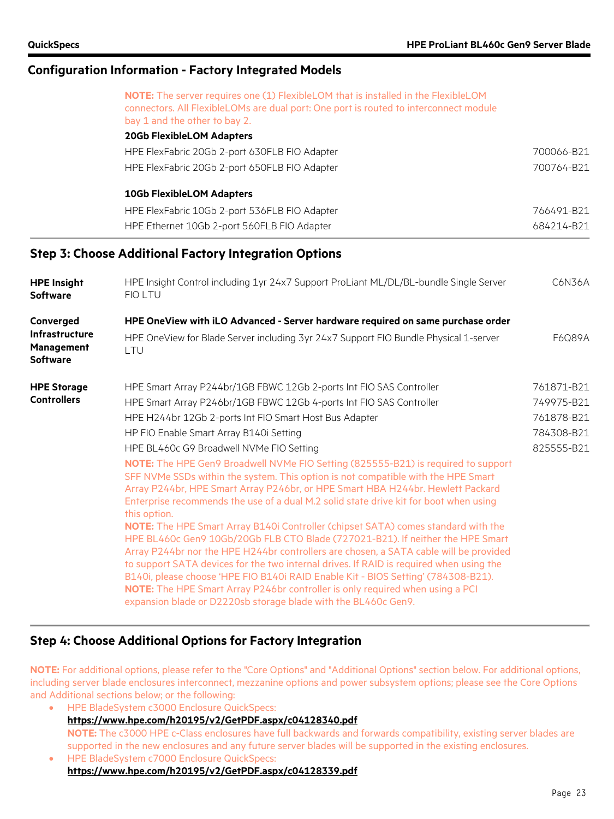|                                                               | NOTE: The server requires one (1) FlexibleLOM that is installed in the FlexibleLOM                                                                                                                                                                                                                                                                                                                                                                                                                                                                                                              |            |
|---------------------------------------------------------------|-------------------------------------------------------------------------------------------------------------------------------------------------------------------------------------------------------------------------------------------------------------------------------------------------------------------------------------------------------------------------------------------------------------------------------------------------------------------------------------------------------------------------------------------------------------------------------------------------|------------|
|                                                               | connectors. All FlexibleLOMs are dual port: One port is routed to interconnect module<br>bay 1 and the other to bay 2.                                                                                                                                                                                                                                                                                                                                                                                                                                                                          |            |
|                                                               | <b>20Gb FlexibleLOM Adapters</b>                                                                                                                                                                                                                                                                                                                                                                                                                                                                                                                                                                |            |
|                                                               | HPE FlexFabric 20Gb 2-port 630FLB FIO Adapter                                                                                                                                                                                                                                                                                                                                                                                                                                                                                                                                                   | 700066-B21 |
|                                                               | HPE FlexFabric 20Gb 2-port 650FLB FIO Adapter                                                                                                                                                                                                                                                                                                                                                                                                                                                                                                                                                   | 700764-B21 |
|                                                               | <b>10Gb FlexibleLOM Adapters</b>                                                                                                                                                                                                                                                                                                                                                                                                                                                                                                                                                                |            |
|                                                               | HPE FlexFabric 10Gb 2-port 536FLB FIO Adapter                                                                                                                                                                                                                                                                                                                                                                                                                                                                                                                                                   | 766491-B21 |
|                                                               | HPE Ethernet 10Gb 2-port 560FLB FIO Adapter                                                                                                                                                                                                                                                                                                                                                                                                                                                                                                                                                     | 684214-B21 |
|                                                               | <b>Step 3: Choose Additional Factory Integration Options</b>                                                                                                                                                                                                                                                                                                                                                                                                                                                                                                                                    |            |
| <b>HPE Insight</b>                                            | HPE Insight Control including 1yr 24x7 Support ProLiant ML/DL/BL-bundle Single Server                                                                                                                                                                                                                                                                                                                                                                                                                                                                                                           | C6N36A     |
| <b>Software</b>                                               | <b>FIOLTU</b>                                                                                                                                                                                                                                                                                                                                                                                                                                                                                                                                                                                   |            |
| Converged                                                     | HPE OneView with iLO Advanced - Server hardware required on same purchase order                                                                                                                                                                                                                                                                                                                                                                                                                                                                                                                 |            |
| <b>Infrastructure</b><br><b>Management</b><br><b>Software</b> | HPE OneView for Blade Server including 3yr 24x7 Support FIO Bundle Physical 1-server<br>LTU                                                                                                                                                                                                                                                                                                                                                                                                                                                                                                     | F6Q89A     |
| <b>HPE Storage</b>                                            | HPE Smart Array P244br/1GB FBWC 12Gb 2-ports Int FIO SAS Controller                                                                                                                                                                                                                                                                                                                                                                                                                                                                                                                             | 761871-B21 |
| <b>Controllers</b>                                            | HPE Smart Array P246br/1GB FBWC 12Gb 4-ports Int FIO SAS Controller                                                                                                                                                                                                                                                                                                                                                                                                                                                                                                                             | 749975-B21 |
|                                                               | HPE H244br 12Gb 2-ports Int FIO Smart Host Bus Adapter                                                                                                                                                                                                                                                                                                                                                                                                                                                                                                                                          | 761878-B21 |
|                                                               | HP FIO Enable Smart Array B140i Setting                                                                                                                                                                                                                                                                                                                                                                                                                                                                                                                                                         | 784308-B21 |
|                                                               | HPE BL460c G9 Broadwell NVMe FIO Setting                                                                                                                                                                                                                                                                                                                                                                                                                                                                                                                                                        | 825555-B21 |
|                                                               | NOTE: The HPE Gen9 Broadwell NVMe FIO Setting (825555-B21) is required to support<br>SFF NVMe SSDs within the system. This option is not compatible with the HPE Smart<br>Array P244br, HPE Smart Array P246br, or HPE Smart HBA H244br. Hewlett Packard<br>Enterprise recommends the use of a dual M.2 solid state drive kit for boot when using<br>this option.                                                                                                                                                                                                                               |            |
|                                                               | NOTE: The HPE Smart Array B140i Controller (chipset SATA) comes standard with the<br>HPE BL460c Gen9 10Gb/20Gb FLB CTO Blade (727021-B21). If neither the HPE Smart<br>Array P244br nor the HPE H244br controllers are chosen, a SATA cable will be provided<br>to support SATA devices for the two internal drives. If RAID is required when using the<br>B140i, please choose 'HPE FIO B140i RAID Enable Kit - BIOS Setting' (784308-B21).<br>NOTE: The HPE Smart Array P246br controller is only required when using a PCI<br>expansion blade or D2220sb storage blade with the BL460c Gen9. |            |

#### **Step 4: Choose Additional Options for Factory Integration**

**NOTE:** For additional options, please refer to the "Core Options" and "Additional Options" section below. For additional options, including server blade enclosures interconnect, mezzanine options and power subsystem options; please see the Core Options and Additional sections below; or the following:

- HPE BladeSystem c3000 Enclosure QuickSpecs: **<https://www.hpe.com/h20195/v2/GetPDF.aspx/c04128340.pdf> NOTE:** The c3000 HPE c-Class enclosures have full backwards and forwards compatibility, existing server blades are supported in the new enclosures and any future server blades will be supported in the existing enclosures.
- HPE BladeSystem c7000 Enclosure QuickSpecs: **<https://www.hpe.com/h20195/v2/GetPDF.aspx/c04128339.pdf>**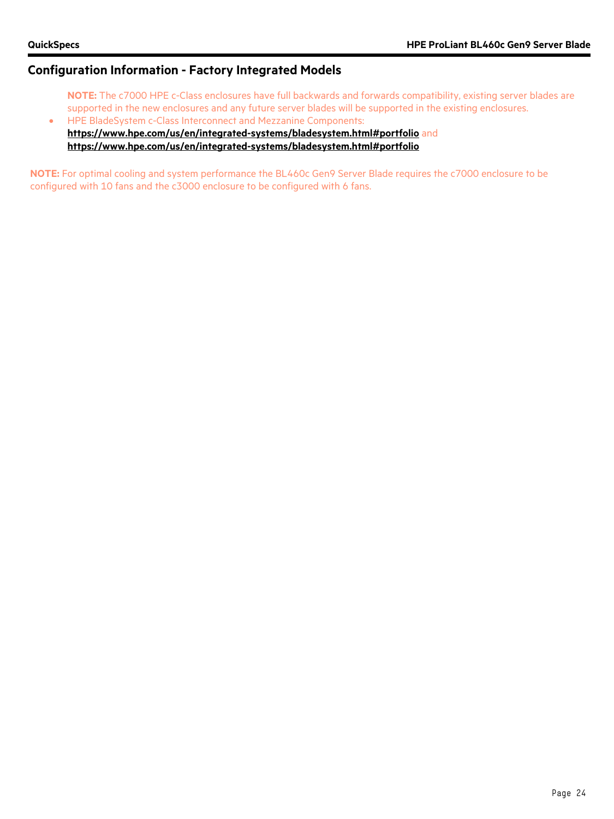- **NOTE:** The c7000 HPE c-Class enclosures have full backwards and forwards compatibility, existing server blades are supported in the new enclosures and any future server blades will be supported in the existing enclosures. • HPE BladeSystem c-Class Interconnect and Mezzanine Components:
- **<https://www.hpe.com/us/en/integrated-systems/bladesystem.html#portfolio>** and **<https://www.hpe.com/us/en/integrated-systems/bladesystem.html#portfolio>**

**NOTE:** For optimal cooling and system performance the BL460c Gen9 Server Blade requires the c7000 enclosure to be configured with 10 fans and the c3000 enclosure to be configured with 6 fans.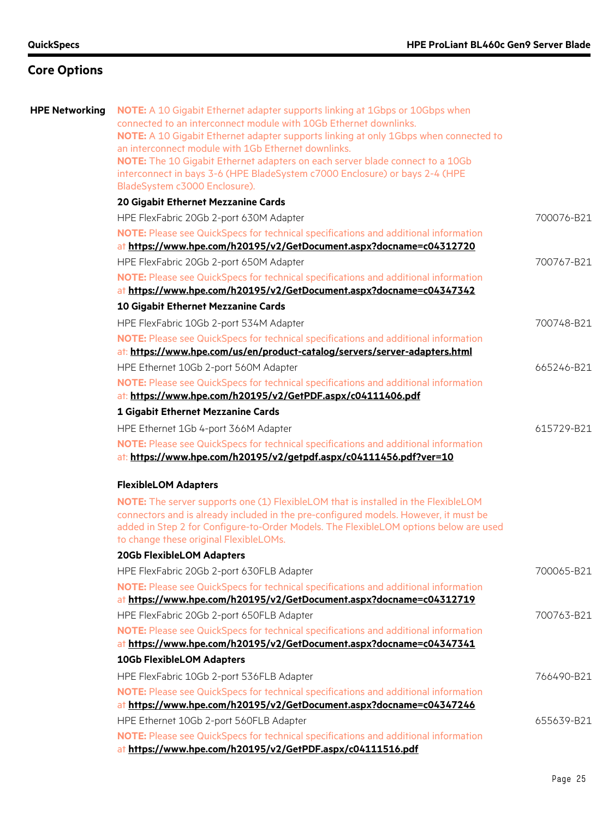| <b>HPE Networking</b> | <b>NOTE:</b> A 10 Gigabit Ethernet adapter supports linking at 1Gbps or 10Gbps when<br>connected to an interconnect module with 10Gb Ethernet downlinks.<br>NOTE: A 10 Gigabit Ethernet adapter supports linking at only 1Gbps when connected to<br>an interconnect module with 1Gb Ethernet downlinks.<br>NOTE: The 10 Gigabit Ethernet adapters on each server blade connect to a 10Gb<br>interconnect in bays 3-6 (HPE BladeSystem c7000 Enclosure) or bays 2-4 (HPE<br>BladeSystem c3000 Enclosure). |            |
|-----------------------|----------------------------------------------------------------------------------------------------------------------------------------------------------------------------------------------------------------------------------------------------------------------------------------------------------------------------------------------------------------------------------------------------------------------------------------------------------------------------------------------------------|------------|
|                       | 20 Gigabit Ethernet Mezzanine Cards                                                                                                                                                                                                                                                                                                                                                                                                                                                                      |            |
|                       | HPE FlexFabric 20Gb 2-port 630M Adapter                                                                                                                                                                                                                                                                                                                                                                                                                                                                  | 700076-B21 |
|                       | NOTE: Please see QuickSpecs for technical specifications and additional information<br>at https://www.hpe.com/h20195/v2/GetDocument.aspx?docname=c04312720                                                                                                                                                                                                                                                                                                                                               |            |
|                       | HPE FlexFabric 20Gb 2-port 650M Adapter                                                                                                                                                                                                                                                                                                                                                                                                                                                                  | 700767-B21 |
|                       | NOTE: Please see QuickSpecs for technical specifications and additional information<br>at https://www.hpe.com/h20195/v2/GetDocument.aspx?docname=c04347342                                                                                                                                                                                                                                                                                                                                               |            |
|                       | 10 Gigabit Ethernet Mezzanine Cards                                                                                                                                                                                                                                                                                                                                                                                                                                                                      |            |
|                       | HPE FlexFabric 10Gb 2-port 534M Adapter                                                                                                                                                                                                                                                                                                                                                                                                                                                                  | 700748-B21 |
|                       | NOTE: Please see QuickSpecs for technical specifications and additional information<br>at: https://www.hpe.com/us/en/product-catalog/servers/server-adapters.html                                                                                                                                                                                                                                                                                                                                        |            |
|                       | HPE Ethernet 10Gb 2-port 560M Adapter                                                                                                                                                                                                                                                                                                                                                                                                                                                                    | 665246-B21 |
|                       | NOTE: Please see QuickSpecs for technical specifications and additional information<br>at: https://www.hpe.com/h20195/v2/GetPDF.aspx/c04111406.pdf                                                                                                                                                                                                                                                                                                                                                       |            |
|                       | 1 Gigabit Ethernet Mezzanine Cards                                                                                                                                                                                                                                                                                                                                                                                                                                                                       |            |
|                       | HPE Ethernet 1Gb 4-port 366M Adapter                                                                                                                                                                                                                                                                                                                                                                                                                                                                     | 615729-B21 |
|                       | NOTE: Please see QuickSpecs for technical specifications and additional information<br>at: https://www.hpe.com/h20195/v2/getpdf.aspx/c04111456.pdf?ver=10                                                                                                                                                                                                                                                                                                                                                |            |
|                       | <b>FlexibleLOM Adapters</b>                                                                                                                                                                                                                                                                                                                                                                                                                                                                              |            |
|                       | NOTE: The server supports one (1) FlexibleLOM that is installed in the FlexibleLOM<br>connectors and is already included in the pre-configured models. However, it must be<br>added in Step 2 for Configure-to-Order Models. The FlexibleLOM options below are used<br>to change these original FlexibleLOMs.                                                                                                                                                                                            |            |
|                       | <b>20Gb FlexibleLOM Adapters</b>                                                                                                                                                                                                                                                                                                                                                                                                                                                                         |            |
|                       | HPE FlexFabric 20Gb 2-port 630FLB Adapter                                                                                                                                                                                                                                                                                                                                                                                                                                                                | 700065-B21 |
|                       | NOTE: Please see QuickSpecs for technical specifications and additional information<br>at https://www.hpe.com/h20195/v2/GetDocument.aspx?docname=c04312719                                                                                                                                                                                                                                                                                                                                               |            |
|                       | HPE FlexFabric 20Gb 2-port 650FLB Adapter                                                                                                                                                                                                                                                                                                                                                                                                                                                                | 700763-B21 |
|                       | NOTE: Please see QuickSpecs for technical specifications and additional information<br>at https://www.hpe.com/h20195/v2/GetDocument.aspx?docname=c04347341                                                                                                                                                                                                                                                                                                                                               |            |
|                       | <b>10Gb FlexibleLOM Adapters</b>                                                                                                                                                                                                                                                                                                                                                                                                                                                                         |            |
|                       | HPE FlexFabric 10Gb 2-port 536FLB Adapter                                                                                                                                                                                                                                                                                                                                                                                                                                                                | 766490-B21 |
|                       | NOTE: Please see QuickSpecs for technical specifications and additional information<br>at https://www.hpe.com/h20195/v2/GetDocument.aspx?docname=c04347246                                                                                                                                                                                                                                                                                                                                               |            |
|                       | HPE Ethernet 10Gb 2-port 560FLB Adapter                                                                                                                                                                                                                                                                                                                                                                                                                                                                  | 655639-B21 |
|                       | NOTE: Please see QuickSpecs for technical specifications and additional information<br>at https://www.hpe.com/h20195/v2/GetPDF.aspx/c04111516.pdf                                                                                                                                                                                                                                                                                                                                                        |            |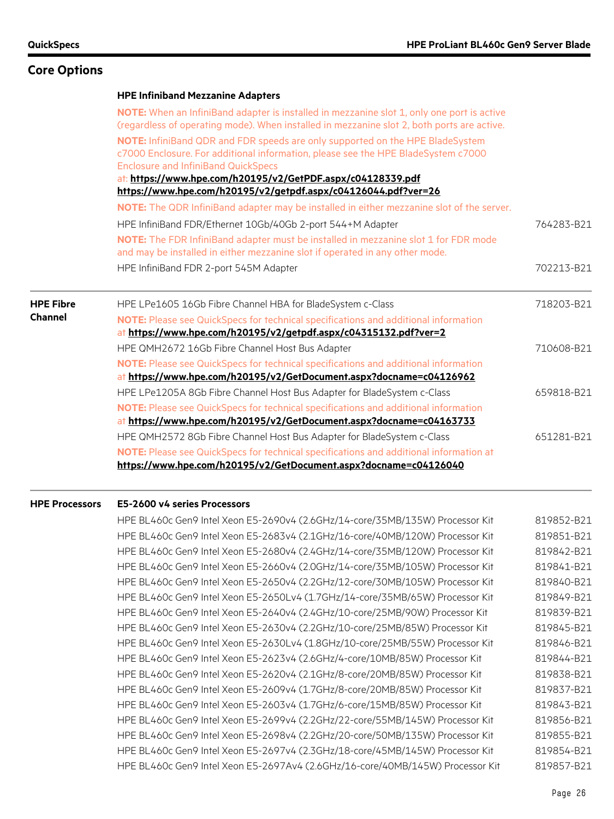# **Core Options**

|                  | <b>HPE Infiniband Mezzanine Adapters</b>                                                                                                                                                                                          |            |
|------------------|-----------------------------------------------------------------------------------------------------------------------------------------------------------------------------------------------------------------------------------|------------|
|                  | NOTE: When an InfiniBand adapter is installed in mezzanine slot 1, only one port is active<br>(regardless of operating mode). When installed in mezzanine slot 2, both ports are active.                                          |            |
|                  | NOTE: InfiniBand QDR and FDR speeds are only supported on the HPE BladeSystem<br>c7000 Enclosure. For additional information, please see the HPE BladeSystem c7000<br><b>Enclosure and InfiniBand QuickSpecs</b>                  |            |
|                  | at: https://www.hpe.com/h20195/v2/GetPDF.aspx/c04128339.pdf                                                                                                                                                                       |            |
|                  | https://www.hpe.com/h20195/v2/getpdf.aspx/c04126044.pdf?ver=26<br>NOTE: The QDR InfiniBand adapter may be installed in either mezzanine slot of the server.                                                                       |            |
|                  | HPE InfiniBand FDR/Ethernet 10Gb/40Gb 2-port 544+M Adapter<br>NOTE: The FDR InfiniBand adapter must be installed in mezzanine slot 1 for FDR mode<br>and may be installed in either mezzanine slot if operated in any other mode. | 764283-B21 |
|                  | HPE InfiniBand FDR 2-port 545M Adapter                                                                                                                                                                                            | 702213-B21 |
| <b>HPE Fibre</b> | HPE LPe1605 16Gb Fibre Channel HBA for BladeSystem c-Class                                                                                                                                                                        | 718203-B21 |
| <b>Channel</b>   | NOTE: Please see QuickSpecs for technical specifications and additional information<br>at https://www.hpe.com/h20195/v2/getpdf.aspx/c04315132.pdf?ver=2                                                                           |            |
|                  | HPE QMH2672 16Gb Fibre Channel Host Bus Adapter                                                                                                                                                                                   | 710608-B21 |
|                  | NOTE: Please see QuickSpecs for technical specifications and additional information<br>at https://www.hpe.com/h20195/v2/GetDocument.aspx?docname=c04126962                                                                        |            |
|                  | HPE LPe1205A 8Gb Fibre Channel Host Bus Adapter for BladeSystem c-Class                                                                                                                                                           | 659818-B21 |
|                  | NOTE: Please see QuickSpecs for technical specifications and additional information                                                                                                                                               |            |
|                  | at https://www.hpe.com/h20195/v2/GetDocument.aspx?docname=c04163733                                                                                                                                                               |            |
|                  | HPE QMH2572 8Gb Fibre Channel Host Bus Adapter for BladeSystem c-Class                                                                                                                                                            | 651281-B21 |
|                  | NOTE: Please see QuickSpecs for technical specifications and additional information at                                                                                                                                            |            |
|                  | https://www.hpe.com/h20195/v2/GetDocument.aspx?docname=c04126040                                                                                                                                                                  |            |

#### **HPE Processors E5-2600 v4 series Processors**

| HPE BL460c Gen9 Intel Xeon E5-2690v4 (2.6GHz/14-core/35MB/135W) Processor Kit  | 819852-B21 |
|--------------------------------------------------------------------------------|------------|
| HPE BL460c Gen9 Intel Xeon E5-2683v4 (2.1GHz/16-core/40MB/120W) Processor Kit  | 819851-B21 |
| HPE BL460c Gen9 Intel Xeon E5-2680v4 (2.4GHz/14-core/35MB/120W) Processor Kit  | 819842-B21 |
| HPE BL460c Gen9 Intel Xeon E5-2660v4 (2.0GHz/14-core/35MB/105W) Processor Kit  | 819841-B21 |
| HPE BL460c Gen9 Intel Xeon E5-2650v4 (2.2GHz/12-core/30MB/105W) Processor Kit  | 819840-B21 |
| HPE BL460c Gen9 Intel Xeon E5-2650Lv4 (1.7GHz/14-core/35MB/65W) Processor Kit  | 819849-B21 |
| HPE BL460c Gen9 Intel Xeon E5-2640v4 (2.4GHz/10-core/25MB/90W) Processor Kit   | 819839-B21 |
| HPE BL460c Gen9 Intel Xeon E5-2630v4 (2.2GHz/10-core/25MB/85W) Processor Kit   | 819845-B21 |
| HPE BL460c Gen9 Intel Xeon E5-2630Lv4 (1.8GHz/10-core/25MB/55W) Processor Kit  | 819846-B21 |
| HPE BL460c Gen9 Intel Xeon E5-2623v4 (2.6GHz/4-core/10MB/85W) Processor Kit    | 819844-B21 |
| HPE BL460c Gen9 Intel Xeon E5-2620v4 (2.1GHz/8-core/20MB/85W) Processor Kit    | 819838-B21 |
| HPE BL460c Gen9 Intel Xeon E5-2609v4 (1.7GHz/8-core/20MB/85W) Processor Kit    | 819837-B21 |
| HPE BL460c Gen9 Intel Xeon E5-2603v4 (1.7GHz/6-core/15MB/85W) Processor Kit    | 819843-B21 |
| HPE BL460c Gen9 Intel Xeon E5-2699v4 (2.2GHz/22-core/55MB/145W) Processor Kit  | 819856-B21 |
| HPE BL460c Gen9 Intel Xeon E5-2698v4 (2.2GHz/20-core/50MB/135W) Processor Kit  | 819855-B21 |
| HPE BL460c Gen9 Intel Xeon E5-2697v4 (2.3GHz/18-core/45MB/145W) Processor Kit  | 819854-B21 |
| HPE BL460c Gen9 Intel Xeon E5-2697Av4 (2.6GHz/16-core/40MB/145W) Processor Kit | 819857-B21 |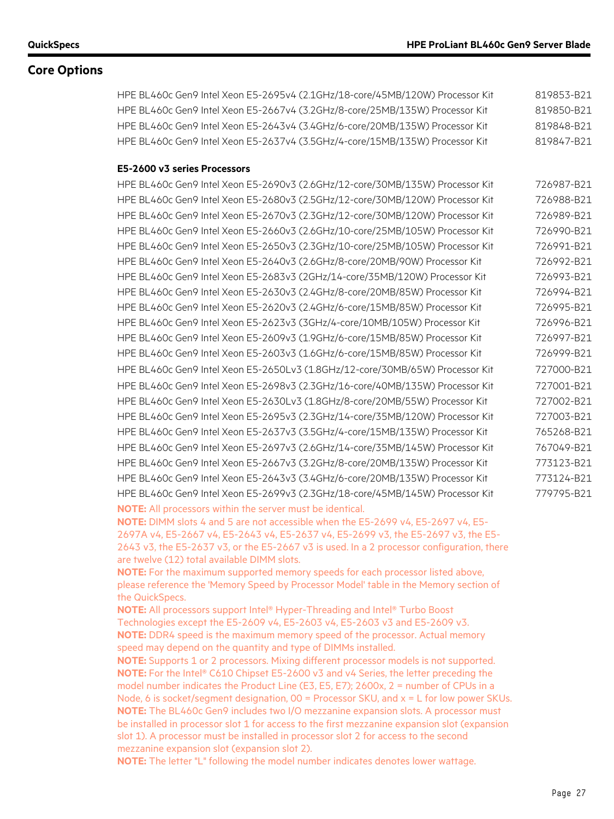HPE BL460c Gen9 Intel Xeon E5-2695v4 (2.1GHz/18-core/45MB/120W) Processor Kit 819853-B21 HPE BL460c Gen9 Intel Xeon E5-2667v4 (3.2GHz/8-core/25MB/135W) Processor Kit 819850-B21 HPE BL460c Gen9 Intel Xeon E5-2643v4 (3.4GHz/6-core/20MB/135W) Processor Kit 819848-B21 HPE BL460c Gen9 Intel Xeon E5-2637v4 (3.5GHz/4-core/15MB/135W) Processor Kit 819847-B21

#### **E5-2600 v3 series Processors**

| HPE BL460c Gen9 Intel Xeon E5-2690v3 (2.6GHz/12-core/30MB/135W) Processor Kit | 726987-B21 |
|-------------------------------------------------------------------------------|------------|
| HPE BL460c Gen9 Intel Xeon E5-2680v3 (2.5GHz/12-core/30MB/120W) Processor Kit | 726988-B21 |
| HPE BL460c Gen9 Intel Xeon E5-2670v3 (2.3GHz/12-core/30MB/120W) Processor Kit | 726989-B21 |
| HPE BL460c Gen9 Intel Xeon E5-2660v3 (2.6GHz/10-core/25MB/105W) Processor Kit | 726990-B21 |
| HPE BL460c Gen9 Intel Xeon E5-2650v3 (2.3GHz/10-core/25MB/105W) Processor Kit | 726991-B21 |
| HPE BL460c Gen9 Intel Xeon E5-2640v3 (2.6GHz/8-core/20MB/90W) Processor Kit   | 726992-B21 |
| HPE BL460c Gen9 Intel Xeon E5-2683v3 (2GHz/14-core/35MB/120W) Processor Kit   | 726993-B21 |
| HPE BL460c Gen9 Intel Xeon E5-2630v3 (2.4GHz/8-core/20MB/85W) Processor Kit   | 726994-B21 |
| HPE BL460c Gen9 Intel Xeon E5-2620v3 (2.4GHz/6-core/15MB/85W) Processor Kit   | 726995-B21 |
| HPE BL460c Gen9 Intel Xeon E5-2623v3 (3GHz/4-core/10MB/105W) Processor Kit    | 726996-B21 |
| HPE BL460c Gen9 Intel Xeon E5-2609v3 (1.9GHz/6-core/15MB/85W) Processor Kit   | 726997-B21 |
| HPE BL460c Gen9 Intel Xeon E5-2603v3 (1.6GHz/6-core/15MB/85W) Processor Kit   | 726999-B21 |
| HPE BL460c Gen9 Intel Xeon E5-2650Lv3 (1.8GHz/12-core/30MB/65W) Processor Kit | 727000-B21 |
| HPE BL460c Gen9 Intel Xeon E5-2698v3 (2.3GHz/16-core/40MB/135W) Processor Kit | 727001-B21 |
| HPE BL460c Gen9 Intel Xeon E5-2630Lv3 (1.8GHz/8-core/20MB/55W) Processor Kit  | 727002-B21 |
| HPE BL460c Gen9 Intel Xeon E5-2695v3 (2.3GHz/14-core/35MB/120W) Processor Kit | 727003-B21 |
| HPE BL460c Gen9 Intel Xeon E5-2637v3 (3.5GHz/4-core/15MB/135W) Processor Kit  | 765268-B21 |
| HPE BL460c Gen9 Intel Xeon E5-2697v3 (2.6GHz/14-core/35MB/145W) Processor Kit | 767049-B21 |
| HPE BL460c Gen9 Intel Xeon E5-2667v3 (3.2GHz/8-core/20MB/135W) Processor Kit  | 773123-B21 |
| HPE BL460c Gen9 Intel Xeon E5-2643v3 (3.4GHz/6-core/20MB/135W) Processor Kit  | 773124-B21 |
| HPE BL460c Gen9 Intel Xeon E5-2699v3 (2.3GHz/18-core/45MB/145W) Processor Kit | 779795-B21 |
| <b>NOTE:</b> All processors within the server must be identical.              |            |

**NOTE:** DIMM slots 4 and 5 are not accessible when the E5-2699 v4, E5-2697 v4, E5- 2697A v4, E5-2667 v4, E5-2643 v4, E5-2637 v4, E5-2699 v3, the E5-2697 v3, the E5-

2643 v3, the E5-2637 v3, or the E5-2667 v3 is used. In a 2 processor configuration, there are twelve (12) total available DIMM slots.

**NOTE:** For the maximum supported memory speeds for each processor listed above, please reference the 'Memory Speed by Processor Model' table in the Memory section of the QuickSpecs.

**NOTE:** All processors support Intel® Hyper-Threading and Intel® Turbo Boost Technologies except the E5-2609 v4, E5-2603 v4, E5-2603 v3 and E5-2609 v3. **NOTE:** DDR4 speed is the maximum memory speed of the processor. Actual memory speed may depend on the quantity and type of DIMMs installed.

**NOTE:** Supports 1 or 2 processors. Mixing different processor models is not supported. **NOTE:** For the Intel® C610 Chipset E5-2600 v3 and v4 Series, the letter preceding the model number indicates the Product Line (E3, E5, E7); 2600x, 2 = number of CPUs in a Node, 6 is socket/segment designation,  $00 =$  Processor SKU, and  $x = L$  for low power SKUs. **NOTE:** The BL460c Gen9 includes two I/O mezzanine expansion slots. A processor must be installed in processor slot 1 for access to the first mezzanine expansion slot (expansion slot 1). A processor must be installed in processor slot 2 for access to the second mezzanine expansion slot (expansion slot 2).

**NOTE:** The letter "L" following the model number indicates denotes lower wattage.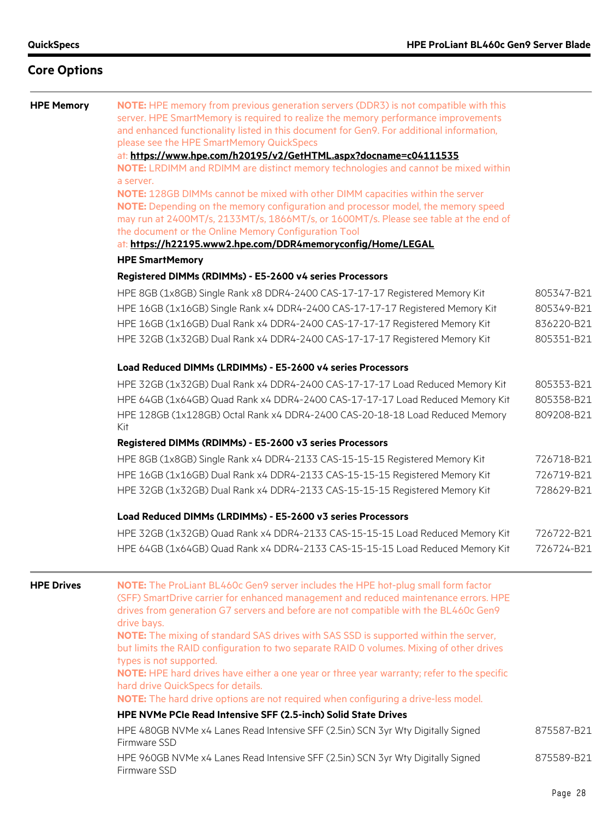| <b>HPE Memory</b> | NOTE: HPE memory from previous generation servers (DDR3) is not compatible with this<br>server. HPE SmartMemory is required to realize the memory performance improvements<br>and enhanced functionality listed in this document for Gen9. For additional information,<br>please see the HPE SmartMemory QuickSpecs<br>at: https://www.hpe.com/h20195/v2/GetHTML.aspx?docname=c04111535<br>NOTE: LRDIMM and RDIMM are distinct memory technologies and cannot be mixed within<br>a server.<br>NOTE: 128GB DIMMs cannot be mixed with other DIMM capacities within the server<br>NOTE: Depending on the memory configuration and processor model, the memory speed<br>may run at 2400MT/s, 2133MT/s, 1866MT/s, or 1600MT/s. Please see table at the end of<br>the document or the Online Memory Configuration Tool<br>at: https://h22195.www2.hpe.com/DDR4memoryconfig/Home/LEGAL<br><b>HPE SmartMemory</b> |            |
|-------------------|------------------------------------------------------------------------------------------------------------------------------------------------------------------------------------------------------------------------------------------------------------------------------------------------------------------------------------------------------------------------------------------------------------------------------------------------------------------------------------------------------------------------------------------------------------------------------------------------------------------------------------------------------------------------------------------------------------------------------------------------------------------------------------------------------------------------------------------------------------------------------------------------------------|------------|
|                   | Registered DIMMs (RDIMMs) - E5-2600 v4 series Processors                                                                                                                                                                                                                                                                                                                                                                                                                                                                                                                                                                                                                                                                                                                                                                                                                                                   |            |
|                   | HPE 8GB (1x8GB) Single Rank x8 DDR4-2400 CAS-17-17-17 Registered Memory Kit                                                                                                                                                                                                                                                                                                                                                                                                                                                                                                                                                                                                                                                                                                                                                                                                                                | 805347-B21 |
|                   | HPE 16GB (1x16GB) Single Rank x4 DDR4-2400 CAS-17-17-17 Registered Memory Kit                                                                                                                                                                                                                                                                                                                                                                                                                                                                                                                                                                                                                                                                                                                                                                                                                              | 805349-B21 |
|                   | HPE 16GB (1x16GB) Dual Rank x4 DDR4-2400 CAS-17-17-17 Registered Memory Kit                                                                                                                                                                                                                                                                                                                                                                                                                                                                                                                                                                                                                                                                                                                                                                                                                                | 836220-B21 |
|                   | HPE 32GB (1x32GB) Dual Rank x4 DDR4-2400 CAS-17-17-17 Registered Memory Kit                                                                                                                                                                                                                                                                                                                                                                                                                                                                                                                                                                                                                                                                                                                                                                                                                                | 805351-B21 |
|                   | Load Reduced DIMMs (LRDIMMs) - E5-2600 v4 series Processors                                                                                                                                                                                                                                                                                                                                                                                                                                                                                                                                                                                                                                                                                                                                                                                                                                                |            |
|                   | HPE 32GB (1x32GB) Dual Rank x4 DDR4-2400 CAS-17-17-17 Load Reduced Memory Kit                                                                                                                                                                                                                                                                                                                                                                                                                                                                                                                                                                                                                                                                                                                                                                                                                              | 805353-B21 |
|                   | HPE 64GB (1x64GB) Quad Rank x4 DDR4-2400 CAS-17-17-17 Load Reduced Memory Kit                                                                                                                                                                                                                                                                                                                                                                                                                                                                                                                                                                                                                                                                                                                                                                                                                              | 805358-B21 |
|                   | HPE 128GB (1x128GB) Octal Rank x4 DDR4-2400 CAS-20-18-18 Load Reduced Memory<br>Kit                                                                                                                                                                                                                                                                                                                                                                                                                                                                                                                                                                                                                                                                                                                                                                                                                        | 809208-B21 |
|                   | Registered DIMMs (RDIMMs) - E5-2600 v3 series Processors                                                                                                                                                                                                                                                                                                                                                                                                                                                                                                                                                                                                                                                                                                                                                                                                                                                   |            |
|                   | HPE 8GB (1x8GB) Single Rank x4 DDR4-2133 CAS-15-15-15 Registered Memory Kit                                                                                                                                                                                                                                                                                                                                                                                                                                                                                                                                                                                                                                                                                                                                                                                                                                | 726718-B21 |
|                   | HPE 16GB (1x16GB) Dual Rank x4 DDR4-2133 CAS-15-15-15 Registered Memory Kit                                                                                                                                                                                                                                                                                                                                                                                                                                                                                                                                                                                                                                                                                                                                                                                                                                | 726719-B21 |
|                   | HPE 32GB (1x32GB) Dual Rank x4 DDR4-2133 CAS-15-15-15 Registered Memory Kit                                                                                                                                                                                                                                                                                                                                                                                                                                                                                                                                                                                                                                                                                                                                                                                                                                | 728629-B21 |
|                   | Load Reduced DIMMs (LRDIMMs) - E5-2600 v3 series Processors                                                                                                                                                                                                                                                                                                                                                                                                                                                                                                                                                                                                                                                                                                                                                                                                                                                |            |
|                   | HPE 32GB (1x32GB) Quad Rank x4 DDR4-2133 CAS-15-15-15 Load Reduced Memory Kit                                                                                                                                                                                                                                                                                                                                                                                                                                                                                                                                                                                                                                                                                                                                                                                                                              | 726722-B21 |
|                   | HPE 64GB (1x64GB) Quad Rank x4 DDR4-2133 CAS-15-15-15 Load Reduced Memory Kit                                                                                                                                                                                                                                                                                                                                                                                                                                                                                                                                                                                                                                                                                                                                                                                                                              | 726724-B21 |
| <b>HPE Drives</b> | NOTE: The ProLiant BL460c Gen9 server includes the HPE hot-plug small form factor<br>(SFF) SmartDrive carrier for enhanced management and reduced maintenance errors. HPE<br>drives from generation G7 servers and before are not compatible with the BL460c Gen9<br>drive bays.<br>NOTE: The mixing of standard SAS drives with SAS SSD is supported within the server,<br>but limits the RAID configuration to two separate RAID 0 volumes. Mixing of other drives<br>types is not supported.                                                                                                                                                                                                                                                                                                                                                                                                            |            |

**NOTE:** HPE hard drives have either a one year or three year warranty; refer to the specific hard drive QuickSpecs for details.

**NOTE:** The hard drive options are not required when configuring a drive-less model.

#### **HPE NVMe PCIe Read Intensive SFF (2.5-inch) Solid State Drives**

HPE 480GB NVMe x4 Lanes Read Intensive SFF (2.5in) SCN 3yr Wty Digitally Signed Firmware SSD 875587-B21

HPE 960GB NVMe x4 Lanes Read Intensive SFF (2.5in) SCN 3yr Wty Digitally Signed Firmware SSD 875589-B21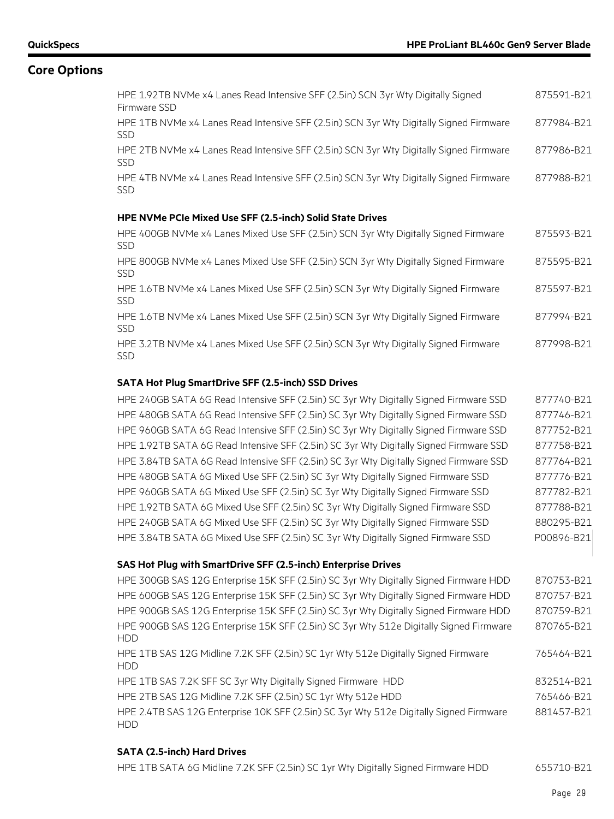| HPE 1.92TB NVMe x4 Lanes Read Intensive SFF (2.5in) SCN 3yr Wty Digitally Signed<br>Firmware SSD     | 875591-B21 |
|------------------------------------------------------------------------------------------------------|------------|
| HPE 1TB NVMe x4 Lanes Read Intensive SFF (2.5in) SCN 3yr Wty Digitally Signed Firmware<br><b>SSD</b> | 877984-B21 |
| HPE 2TB NVMe x4 Lanes Read Intensive SFF (2.5in) SCN 3yr Wty Digitally Signed Firmware<br><b>SSD</b> | 877986-B21 |
| HPE 4TB NVMe x4 Lanes Read Intensive SFF (2.5in) SCN 3yr Wty Digitally Signed Firmware<br><b>SSD</b> | 877988-B21 |
| <b>HPE NVMe PCIe Mixed Use SFF (2.5-inch) Solid State Drives</b>                                     |            |
| HPE 400GB NVMe x4 Lanes Mixed Use SFF (2.5in) SCN 3yr Wty Digitally Signed Firmware<br><b>SSD</b>    | 875593-B21 |
| HPE 800GB NVMe x4 Lanes Mixed Use SFF (2.5in) SCN 3yr Wty Digitally Signed Firmware<br><b>SSD</b>    | 875595-B21 |
| HPE 1.6TB NVMe x4 Lanes Mixed Use SFF (2.5in) SCN 3yr Wty Digitally Signed Firmware<br><b>SSD</b>    | 875597-B21 |
| HPE 1.6TB NVMe x4 Lanes Mixed Use SFF (2.5in) SCN 3yr Wty Digitally Signed Firmware<br><b>SSD</b>    | 877994-B21 |
| HPE 3.2TB NVMe x4 Lanes Mixed Use SFF (2.5in) SCN 3yr Wty Digitally Signed Firmware<br><b>SSD</b>    | 877998-B21 |

#### **SATA Hot Plug SmartDrive SFF (2.5-inch) SSD Drives**

| HPE 240GB SATA 6G Read Intensive SFF (2.5in) SC 3yr Wty Digitally Signed Firmware SSD  | 877740-B21 |
|----------------------------------------------------------------------------------------|------------|
| HPE 480GB SATA 6G Read Intensive SFF (2.5in) SC 3yr Wty Digitally Signed Firmware SSD  | 877746-B21 |
| HPE 960GB SATA 6G Read Intensive SFF (2.5in) SC 3yr Wty Digitally Signed Firmware SSD  | 877752-B21 |
| HPE 1.92TB SATA 6G Read Intensive SFF (2.5in) SC 3yr Wty Digitally Signed Firmware SSD | 877758-B21 |
| HPE 3.84TB SATA 6G Read Intensive SFF (2.5in) SC 3yr Wty Digitally Signed Firmware SSD | 877764-B21 |
| HPE 480GB SATA 6G Mixed Use SFF (2.5in) SC 3yr Wty Digitally Signed Firmware SSD       | 877776-B21 |
| HPE 960GB SATA 6G Mixed Use SFF (2.5in) SC 3yr Wty Digitally Signed Firmware SSD       | 877782-B21 |
| HPE 1.92TB SATA 6G Mixed Use SFF (2.5in) SC 3yr Wty Digitally Signed Firmware SSD      | 877788-B21 |
| HPE 240GB SATA 6G Mixed Use SFF (2.5in) SC 3yr Wty Digitally Signed Firmware SSD       | 880295-B21 |
| HPE 3.84TB SATA 6G Mixed Use SFF (2.5in) SC 3yr Wty Digitally Signed Firmware SSD      | P00896-B21 |

# **SAS Hot Plug with SmartDrive SFF (2.5-inch) Enterprise Drives**

| HPE 300GB SAS 12G Enterprise 15K SFF (2.5in) SC 3yr Wty Digitally Signed Firmware HDD                | 870753-B21 |
|------------------------------------------------------------------------------------------------------|------------|
| HPE 600GB SAS 12G Enterprise 15K SFF (2.5in) SC 3yr Wty Digitally Signed Firmware HDD                | 870757-B21 |
| HPE 900GB SAS 12G Enterprise 15K SFF (2.5in) SC 3yr Wty Digitally Signed Firmware HDD                | 870759-B21 |
| HPE 900GB SAS 12G Enterprise 15K SFF (2.5in) SC 3yr Wty 512e Digitally Signed Firmware<br><b>HDD</b> | 870765-B21 |
| HPE 1TB SAS 12G Midline 7.2K SFF (2.5in) SC 1yr Wty 512e Digitally Signed Firmware<br><b>HDD</b>     | 765464-B21 |
| HPE 1TB SAS 7.2K SFF SC 3yr Wty Digitally Signed Firmware HDD                                        | 832514-B21 |
| HPE 2TB SAS 12G Midline 7.2K SFF (2.5in) SC 1yr Wty 512e HDD                                         | 765466-B21 |
| HPE 2.4TB SAS 12G Enterprise 10K SFF (2.5in) SC 3yr Wty 512e Digitally Signed Firmware<br><b>HDD</b> | 881457-B21 |

#### **SATA (2.5-inch) Hard Drives**

| HPE 1TB SATA 6G Midline 7.2K SFF (2.5in) SC 1yr Wty Digitally Signed Firmware HDD | 655710-B21 |
|-----------------------------------------------------------------------------------|------------|
|-----------------------------------------------------------------------------------|------------|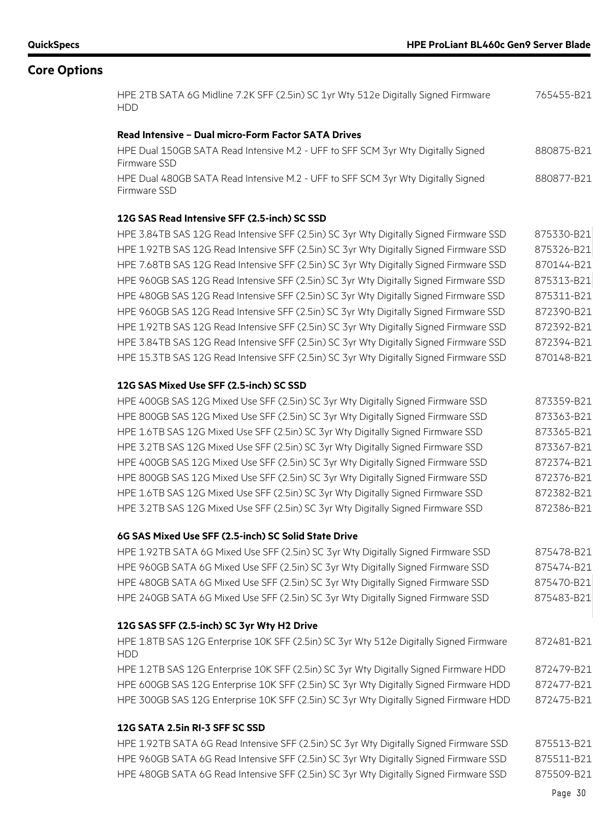HPE 2TB SATA 6G Midline 7.2K SFF (2.5in) SC 1yr Wty 512e Digitally Signed Firmware HDD 765455-B21

#### **Read Intensive – Dual micro-Form Factor SATA Drives**

| HPE Dual 150GB SATA Read Intensive M.2 - UFF to SFF SCM 3yr Wty Digitally Signed | 880875-B21 |
|----------------------------------------------------------------------------------|------------|
| Firmware SSD                                                                     |            |
| HPE Dual 480GB SATA Read Intensive M.2 - UFF to SFF SCM 3yr Wty Digitally Signed | 880877-B21 |
| Firmware SSD                                                                     |            |

#### **12G SAS Read Intensive SFF (2.5-inch) SC SSD**

| HPE 3.84TB SAS 12G Read Intensive SFF (2.5in) SC 3yr Wty Digitally Signed Firmware SSD | 875330-B21 |
|----------------------------------------------------------------------------------------|------------|
| HPE 1.92TB SAS 12G Read Intensive SFF (2.5in) SC 3yr Wty Digitally Signed Firmware SSD | 875326-B21 |
| HPE 7.68TB SAS 12G Read Intensive SFF (2.5in) SC 3yr Wty Digitally Signed Firmware SSD | 870144-B21 |
| HPE 960GB SAS 12G Read Intensive SFF (2.5in) SC 3yr Wty Digitally Signed Firmware SSD  | 875313-B21 |
| HPE 480GB SAS 12G Read Intensive SFF (2.5in) SC 3yr Wty Digitally Signed Firmware SSD  | 875311-B21 |
| HPE 960GB SAS 12G Read Intensive SFF (2.5in) SC 3yr Wty Digitally Signed Firmware SSD  | 872390-B21 |
| HPE 1.92TB SAS 12G Read Intensive SFF (2.5in) SC 3yr Wty Digitally Signed Firmware SSD | 872392-B21 |
| HPE 3.84TB SAS 12G Read Intensive SFF (2.5in) SC 3yr Wty Digitally Signed Firmware SSD | 872394-B21 |
| HPE 15.3TB SAS 12G Read Intensive SFF (2.5in) SC 3yr Wty Digitally Signed Firmware SSD | 870148-B21 |

#### **12G SAS Mixed Use SFF (2.5-inch) SC SSD**

| HPE 400GB SAS 12G Mixed Use SFF (2.5in) SC 3yr Wty Digitally Signed Firmware SSD | 873359-B21 |
|----------------------------------------------------------------------------------|------------|
| HPE 800GB SAS 12G Mixed Use SFF (2.5in) SC 3yr Wty Digitally Signed Firmware SSD | 873363-B21 |
| HPE 1.6TB SAS 12G Mixed Use SFF (2.5in) SC 3yr Wty Digitally Signed Firmware SSD | 873365-B21 |
| HPE 3.2TB SAS 12G Mixed Use SFF (2.5in) SC 3yr Wty Digitally Signed Firmware SSD | 873367-B21 |
| HPE 400GB SAS 12G Mixed Use SFF (2.5in) SC 3yr Wty Digitally Signed Firmware SSD | 872374-B21 |
| HPE 800GB SAS 12G Mixed Use SFF (2.5in) SC 3yr Wty Digitally Signed Firmware SSD | 872376-B21 |
| HPE 1.6TB SAS 12G Mixed Use SFF (2.5in) SC 3yr Wty Digitally Signed Firmware SSD | 872382-B21 |
| HPE 3.2TB SAS 12G Mixed Use SFF (2.5in) SC 3yr Wty Digitally Signed Firmware SSD | 872386-B21 |

#### **6G SAS Mixed Use SFF (2.5-inch) SC Solid State Drive**

HPE 1.92TB SATA 6G Mixed Use SFF (2.5in) SC 3yr Wty Digitally Signed Firmware SSD 875478-B21 HPE 960GB SATA 6G Mixed Use SFF (2.5in) SC 3yr Wty Digitally Signed Firmware SSD 875474-B21 HPE 480GB SATA 6G Mixed Use SFF (2.5in) SC 3yr Wty Digitally Signed Firmware SSD 875470-B21 HPE 240GB SATA 6G Mixed Use SFF (2.5in) SC 3yr Wty Digitally Signed Firmware SSD 875483-B21

#### **12G SAS SFF (2.5-inch) SC 3yr Wty H2 Drive**

| HPE 1.8TB SAS 12G Enterprise 10K SFF (2.5in) SC 3yr Wty 512e Digitally Signed Firmware<br>HDD. | 872481-B21 |
|------------------------------------------------------------------------------------------------|------------|
| HPE 1.2TB SAS 12G Enterprise 10K SFF (2.5in) SC 3yr Wty Digitally Signed Firmware HDD          | 872479-B21 |
| HPE 600GB SAS 12G Enterprise 10K SFF (2.5in) SC 3yr Wty Digitally Signed Firmware HDD          | 872477-B21 |

HPE 300GB SAS 12G Enterprise 10K SFF (2.5in) SC 3yr Wty Digitally Signed Firmware HDD 872475-B21

#### **12G SATA 2.5in RI-3 SFF SC SSD**

HPE 1.92TB SATA 6G Read Intensive SFF (2.5in) SC 3yr Wty Digitally Signed Firmware SSD 875513-B21 HPE 960GB SATA 6G Read Intensive SFF (2.5in) SC 3yr Wty Digitally Signed Firmware SSD 875511-B21 HPE 480GB SATA 6G Read Intensive SFF (2.5in) SC 3yr Wty Digitally Signed Firmware SSD 875509-B21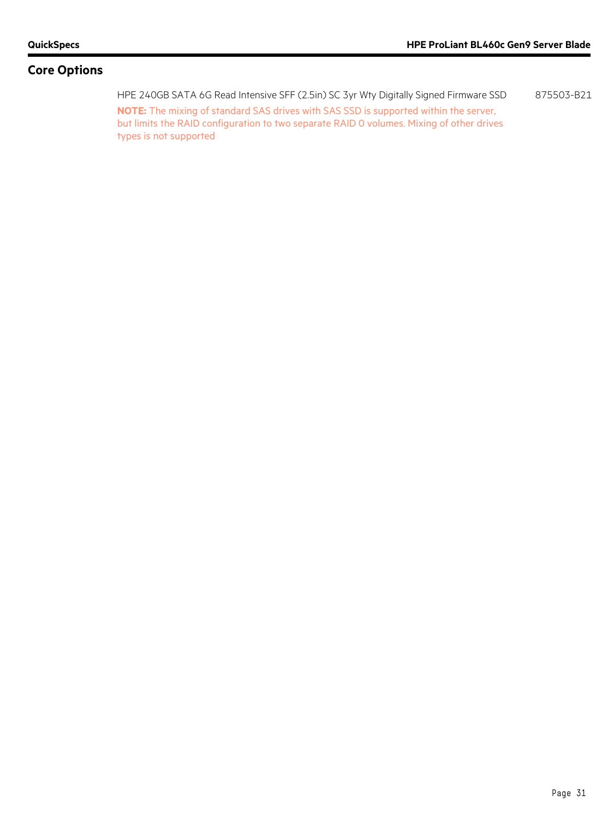HPE 240GB SATA 6G Read Intensive SFF (2.5in) SC 3yr Wty Digitally Signed Firmware SSD 875503-B21 **NOTE:** The mixing of standard SAS drives with SAS SSD is supported within the server, but limits the RAID configuration to two separate RAID 0 volumes. Mixing of other drives types is not supported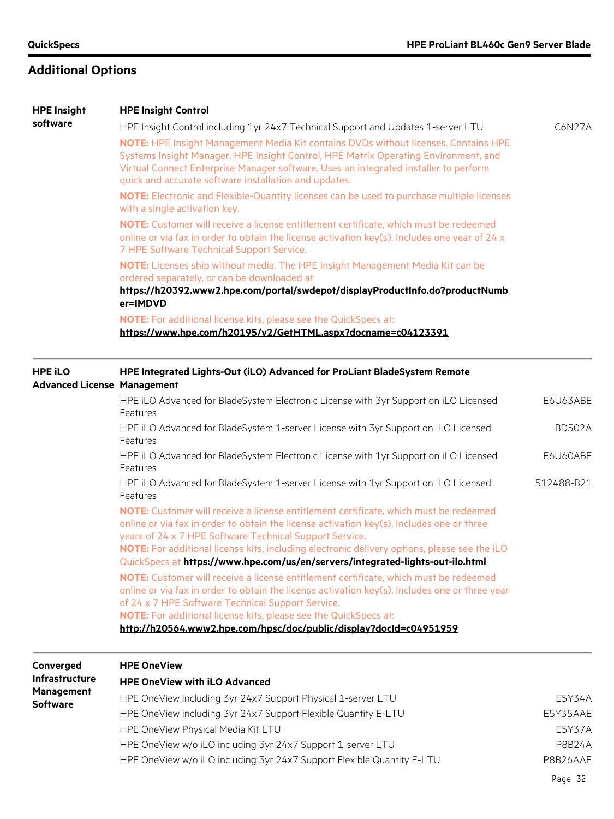|                                                      | NOTE: For additional license kits, please see the QuickSpecs at:<br>http://h20564.www2.hpe.com/hpsc/doc/public/display?docId=c04951959                                                                                               |               |
|------------------------------------------------------|--------------------------------------------------------------------------------------------------------------------------------------------------------------------------------------------------------------------------------------|---------------|
|                                                      | online or via fax in order to obtain the license activation key(s). Includes one or three year<br>of 24 x 7 HPE Software Technical Support Service.                                                                                  |               |
|                                                      | NOTE: Customer will receive a license entitlement certificate, which must be redeemed                                                                                                                                                |               |
|                                                      | QuickSpecs at https://www.hpe.com/us/en/servers/integrated-lights-out-ilo.html                                                                                                                                                       |               |
|                                                      | years of 24 x 7 HPE Software Technical Support Service.<br>NOTE: For additional license kits, including electronic delivery options, please see the iLO                                                                              |               |
|                                                      | NOTE: Customer will receive a license entitlement certificate, which must be redeemed<br>online or via fax in order to obtain the license activation key(s). Includes one or three                                                   |               |
|                                                      | HPE iLO Advanced for BladeSystem 1-server License with 1yr Support on iLO Licensed<br>Features                                                                                                                                       | 512488-B21    |
|                                                      | HPE iLO Advanced for BladeSystem Electronic License with 1yr Support on iLO Licensed<br>Features                                                                                                                                     | E6U60ABE      |
|                                                      | HPE iLO Advanced for BladeSystem 1-server License with 3yr Support on iLO Licensed<br>Features                                                                                                                                       | <b>BD502A</b> |
|                                                      | HPE iLO Advanced for BladeSystem Electronic License with 3yr Support on iLO Licensed<br>Features                                                                                                                                     | E6U63ABE      |
| <b>HPE iLO</b><br><b>Advanced License Management</b> | HPE Integrated Lights-Out (iLO) Advanced for ProLiant BladeSystem Remote                                                                                                                                                             |               |
|                                                      | https://www.hpe.com/h20195/v2/GetHTML.aspx?docname=c04123391                                                                                                                                                                         |               |
|                                                      | NOTE: For additional license kits, please see the QuickSpecs at:                                                                                                                                                                     |               |
|                                                      | https://h20392.www2.hpe.com/portal/swdepot/displayProductInfo.do?productNumb<br>er=IMDVD                                                                                                                                             |               |
|                                                      | NOTE: Licenses ship without media. The HPE Insight Management Media Kit can be<br>ordered separately, or can be downloaded at                                                                                                        |               |
|                                                      | 7 HPE Software Technical Support Service.                                                                                                                                                                                            |               |
|                                                      | NOTE: Customer will receive a license entitlement certificate, which must be redeemed<br>online or via fax in order to obtain the license activation key(s). Includes one year of 24 x                                               |               |
|                                                      | NOTE: Electronic and Flexible-Quantity licenses can be used to purchase multiple licenses<br>with a single activation key.                                                                                                           |               |
|                                                      | Systems Insight Manager, HPE Insight Control, HPE Matrix Operating Environment, and<br>Virtual Connect Enterprise Manager software. Uses an integrated installer to perform<br>quick and accurate software installation and updates. |               |
| software                                             | HPE Insight Control including 1yr 24x7 Technical Support and Updates 1-server LTU<br>NOTE: HPE Insight Management Media Kit contains DVDs without licenses. Contains HPE                                                             | C6N27A        |
|                                                      |                                                                                                                                                                                                                                      |               |

| <b>Management</b><br><b>Software</b> | HPE OneView including 3yr 24x7 Support Physical 1-server LTU           | E5Y34A   |
|--------------------------------------|------------------------------------------------------------------------|----------|
|                                      | HPE OneView including 3yr 24x7 Support Flexible Quantity E-LTU         | E5Y35AAE |
|                                      | HPE OneView Physical Media Kit LTU                                     | E5Y37A   |
|                                      | HPE OneView w/o iLO including 3yr 24x7 Support 1-server LTU            | P8B24A   |
|                                      | HPE OneView w/o iLO including 3yr 24x7 Support Flexible Quantity E-LTU | P8B26AAE |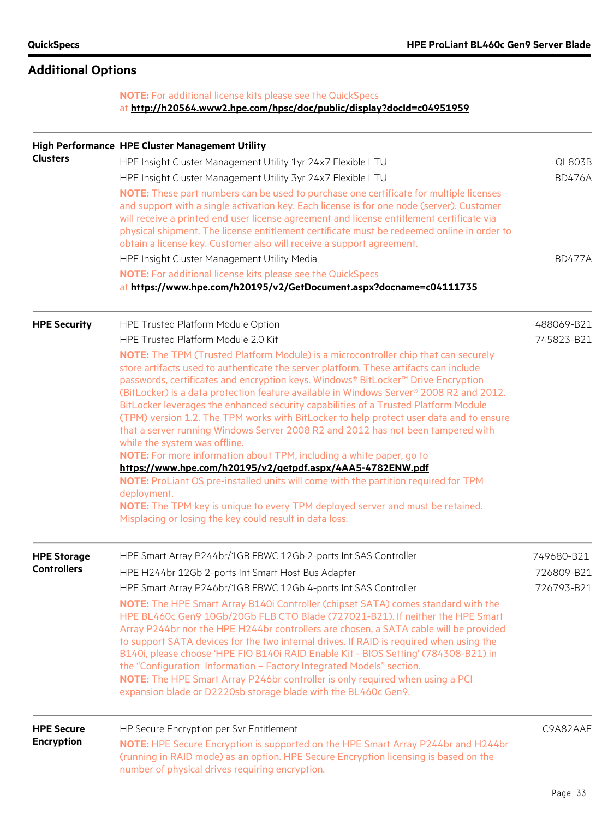# **Additional Options**

### **NOTE:** For additional license kits please see the QuickSpecs at **[http://h20564.www2.hpe.com/hpsc/doc/public/display?docId=c04951959](http://h20564.www2.hpe.com/hpsc/doc/public/display?docId=c04951959%20)**

|                     | High Performance HPE Cluster Management Utility                                                                                                                                |               |
|---------------------|--------------------------------------------------------------------------------------------------------------------------------------------------------------------------------|---------------|
| <b>Clusters</b>     | HPE Insight Cluster Management Utility 1yr 24x7 Flexible LTU                                                                                                                   | QL803B        |
|                     | HPE Insight Cluster Management Utility 3yr 24x7 Flexible LTU                                                                                                                   | <b>BD476A</b> |
|                     | NOTE: These part numbers can be used to purchase one certificate for multiple licenses                                                                                         |               |
|                     | and support with a single activation key. Each license is for one node (server). Customer                                                                                      |               |
|                     | will receive a printed end user license agreement and license entitlement certificate via                                                                                      |               |
|                     | physical shipment. The license entitlement certificate must be redeemed online in order to<br>obtain a license key. Customer also will receive a support agreement.            |               |
|                     |                                                                                                                                                                                |               |
|                     | HPE Insight Cluster Management Utility Media                                                                                                                                   | <b>BD477A</b> |
|                     | <b>NOTE:</b> For additional license kits please see the QuickSpecs<br>at https://www.hpe.com/h20195/v2/GetDocument.aspx?docname=c04111735                                      |               |
|                     |                                                                                                                                                                                |               |
| <b>HPE Security</b> | HPE Trusted Platform Module Option                                                                                                                                             | 488069-B21    |
|                     | HPE Trusted Platform Module 2.0 Kit                                                                                                                                            | 745823-B21    |
|                     | NOTE: The TPM (Trusted Platform Module) is a microcontroller chip that can securely                                                                                            |               |
|                     | store artifacts used to authenticate the server platform. These artifacts can include                                                                                          |               |
|                     | passwords, certificates and encryption keys. Windows® BitLocker™ Drive Encryption                                                                                              |               |
|                     | (BitLocker) is a data protection feature available in Windows Server® 2008 R2 and 2012.<br>BitLocker leverages the enhanced security capabilities of a Trusted Platform Module |               |
|                     | (TPM) version 1.2. The TPM works with BitLocker to help protect user data and to ensure                                                                                        |               |
|                     | that a server running Windows Server 2008 R2 and 2012 has not been tampered with                                                                                               |               |
|                     | while the system was offline.                                                                                                                                                  |               |
|                     | NOTE: For more information about TPM, including a white paper, go to                                                                                                           |               |
|                     | https://www.hpe.com/h20195/v2/getpdf.aspx/4AA5-4782ENW.pdf                                                                                                                     |               |
|                     | NOTE: ProLiant OS pre-installed units will come with the partition required for TPM<br>deployment.                                                                             |               |
|                     | NOTE: The TPM key is unique to every TPM deployed server and must be retained.                                                                                                 |               |
|                     | Misplacing or losing the key could result in data loss.                                                                                                                        |               |
| <b>HPE Storage</b>  | HPE Smart Array P244br/1GB FBWC 12Gb 2-ports Int SAS Controller                                                                                                                | 749680-B21    |
| <b>Controllers</b>  |                                                                                                                                                                                | 726809-B21    |
|                     | HPE H244br 12Gb 2-ports Int Smart Host Bus Adapter                                                                                                                             |               |
|                     | HPE Smart Array P246br/1GB FBWC 12Gb 4-ports Int SAS Controller                                                                                                                | 726793-B21    |
|                     | <b>NOTE:</b> The HPE Smart Array B140i Controller (chipset SATA) comes standard with the<br>HPE BL460c Gen9 10Gb/20Gb FLB CTO Blade (727021-B21). If neither the HPE Smart     |               |
|                     | Array P244br nor the HPE H244br controllers are chosen, a SATA cable will be provided                                                                                          |               |
|                     | to support SATA devices for the two internal drives. If RAID is required when using the                                                                                        |               |
|                     | B140i, please choose 'HPE FIO B140i RAID Enable Kit - BIOS Setting' (784308-B21) in                                                                                            |               |
|                     | the "Configuration Information - Factory Integrated Models" section.                                                                                                           |               |
|                     | NOTE: The HPE Smart Array P246br controller is only required when using a PCI                                                                                                  |               |
|                     | expansion blade or D2220sb storage blade with the BL460c Gen9.                                                                                                                 |               |
| <b>HPE Secure</b>   | HP Secure Encryption per Svr Entitlement                                                                                                                                       | C9A82AAE      |
| <b>Encryption</b>   | NOTE: HPE Secure Encryption is supported on the HPE Smart Array P244br and H244br                                                                                              |               |
|                     | (running in RAID mode) as an option. HPE Secure Encryption licensing is based on the                                                                                           |               |
|                     | number of physical drives requiring encryption.                                                                                                                                |               |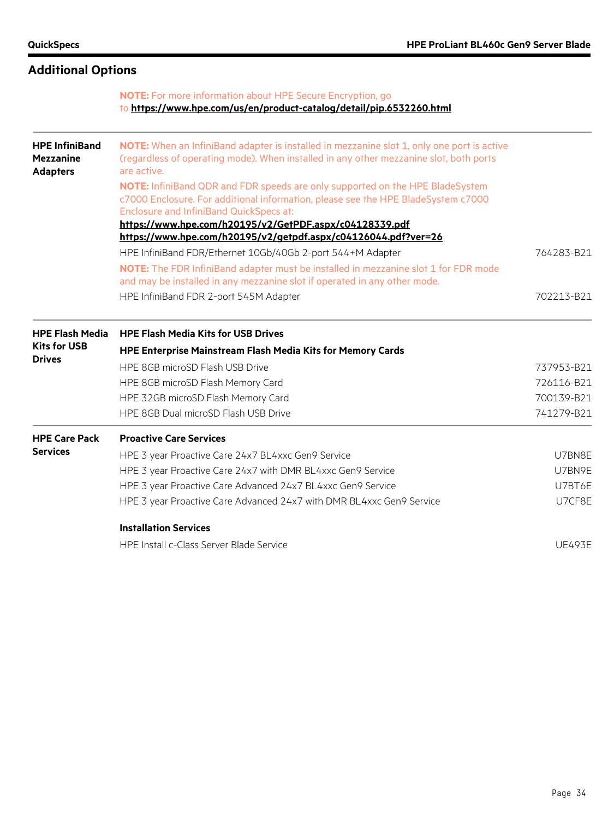# **Additional Options**

### **NOTE:** For more information about HPE Secure Encryption, go to **<https://www.hpe.com/us/en/product-catalog/detail/pip.6532260.html>**

| <b>HPE InfiniBand</b><br><b>Mezzanine</b><br><b>Adapters</b> | NOTE: When an InfiniBand adapter is installed in mezzanine slot 1, only one port is active<br>(regardless of operating mode). When installed in any other mezzanine slot, both ports<br>are active.                  |               |  |  |  |  |
|--------------------------------------------------------------|----------------------------------------------------------------------------------------------------------------------------------------------------------------------------------------------------------------------|---------------|--|--|--|--|
|                                                              | NOTE: InfiniBand QDR and FDR speeds are only supported on the HPE BladeSystem<br>c7000 Enclosure. For additional information, please see the HPE BladeSystem c7000<br><b>Enclosure and InfiniBand QuickSpecs at:</b> |               |  |  |  |  |
|                                                              | https://www.hpe.com/h20195/v2/GetPDF.aspx/c04128339.pdf                                                                                                                                                              |               |  |  |  |  |
|                                                              | https://www.hpe.com/h20195/v2/getpdf.aspx/c04126044.pdf?ver=26                                                                                                                                                       |               |  |  |  |  |
|                                                              | HPE InfiniBand FDR/Ethernet 10Gb/40Gb 2-port 544+M Adapter                                                                                                                                                           | 764283-B21    |  |  |  |  |
|                                                              | NOTE: The FDR InfiniBand adapter must be installed in mezzanine slot 1 for FDR mode<br>and may be installed in any mezzanine slot if operated in any other mode.                                                     |               |  |  |  |  |
|                                                              | HPE InfiniBand FDR 2-port 545M Adapter                                                                                                                                                                               | 702213-B21    |  |  |  |  |
| <b>HPE Flash Media</b>                                       | <b>HPE Flash Media Kits for USB Drives</b>                                                                                                                                                                           |               |  |  |  |  |
| <b>Kits for USB</b>                                          | <b>HPE Enterprise Mainstream Flash Media Kits for Memory Cards</b>                                                                                                                                                   |               |  |  |  |  |
| <b>Drives</b>                                                | HPE 8GB microSD Flash USB Drive                                                                                                                                                                                      | 737953-B21    |  |  |  |  |
|                                                              | HPE 8GB microSD Flash Memory Card                                                                                                                                                                                    | 726116-B21    |  |  |  |  |
|                                                              | HPE 32GB microSD Flash Memory Card                                                                                                                                                                                   | 700139-B21    |  |  |  |  |
|                                                              | HPE 8GB Dual microSD Flash USB Drive                                                                                                                                                                                 | 741279-B21    |  |  |  |  |
| <b>HPE Care Pack</b>                                         | <b>Proactive Care Services</b>                                                                                                                                                                                       |               |  |  |  |  |
| <b>Services</b>                                              | HPE 3 year Proactive Care 24x7 BL4xxc Gen9 Service                                                                                                                                                                   | U7BN8E        |  |  |  |  |
|                                                              | HPE 3 year Proactive Care 24x7 with DMR BL4xxc Gen9 Service                                                                                                                                                          | U7BN9E        |  |  |  |  |
|                                                              | HPE 3 year Proactive Care Advanced 24x7 BL4xxc Gen9 Service                                                                                                                                                          | U7BT6E        |  |  |  |  |
|                                                              | HPE 3 year Proactive Care Advanced 24x7 with DMR BL4xxc Gen9 Service                                                                                                                                                 | U7CF8E        |  |  |  |  |
|                                                              | <b>Installation Services</b>                                                                                                                                                                                         |               |  |  |  |  |
|                                                              | <b>HPE Install c-Class Server Blade Service</b>                                                                                                                                                                      | <b>UE493E</b> |  |  |  |  |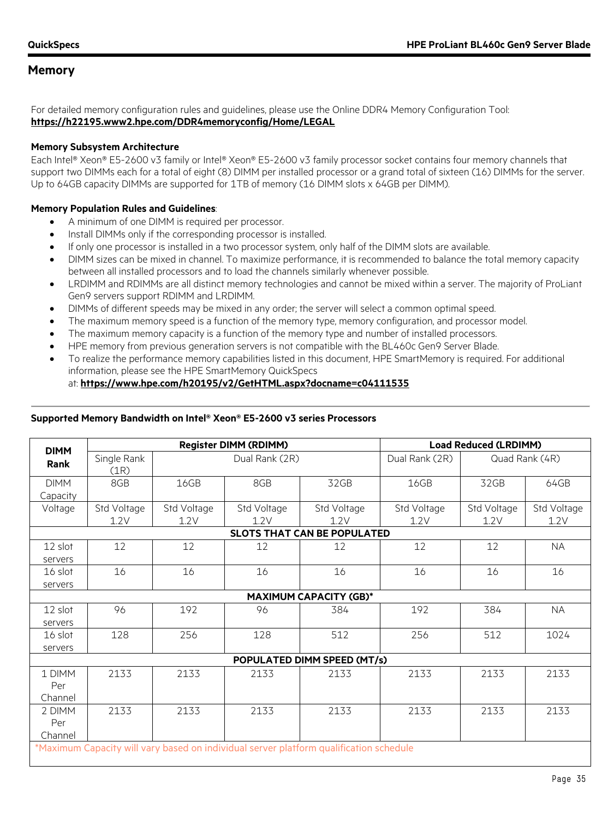For detailed memory configuration rules and guidelines, please use the Online DDR4 Memory Configuration Tool: **<https://h22195.www2.hpe.com/DDR4memoryconfig/Home/LEGAL>**

#### <span id="page-34-0"></span>**Memory Subsystem Architecture**

Each Intel® Xeon® E5-2600 v3 family or Intel® Xeon® E5-2600 v3 family processor socket contains four memory channels that support two DIMMs each for a total of eight (8) DIMM per installed processor or a grand total of sixteen (16) DIMMs for the server. Up to 64GB capacity DIMMs are supported for 1TB of memory (16 DIMM slots x 64GB per DIMM).

#### **Memory Population Rules and Guidelines**:

- A minimum of one DIMM is required per processor.
- Install DIMMs only if the corresponding processor is installed.
- If only one processor is installed in a two processor system, only half of the DIMM slots are available.
- DIMM sizes can be mixed in channel. To maximize performance, it is recommended to balance the total memory capacity between all installed processors and to load the channels similarly whenever possible.
- LRDIMM and RDIMMs are all distinct memory technologies and cannot be mixed within a server. The majority of ProLiant Gen9 servers support RDIMM and LRDIMM.
- DIMMs of different speeds may be mixed in any order; the server will select a common optimal speed.
- The maximum memory speed is a function of the memory type, memory configuration, and processor model.
- The maximum memory capacity is a function of the memory type and number of installed processors.
- HPE memory from previous generation servers is not compatible with the BL460c Gen9 Server Blade.
- To realize the performance memory capabilities listed in this document, HPE SmartMemory is required. For additional information, please see the HPE SmartMemory QuickSpecs

#### at: **<https://www.hpe.com/h20195/v2/GetHTML.aspx?docname=c04111535>**

| <b>Register DIMM (RDIMM)</b><br><b>DIMM</b>                                            |                     | <b>Load Reduced (LRDIMM)</b> |                     |                                    |                     |                     |                     |
|----------------------------------------------------------------------------------------|---------------------|------------------------------|---------------------|------------------------------------|---------------------|---------------------|---------------------|
| <b>Rank</b>                                                                            | Single Rank<br>(1R) |                              | Dual Rank (2R)      |                                    | Dual Rank (2R)      |                     | Quad Rank (4R)      |
| <b>DIMM</b><br>Capacity                                                                | 8GB                 | 16GB                         | 8GB                 | 32GB                               | 16GB                | 32GB                | 64GB                |
| Voltage                                                                                | Std Voltage<br>1.2V | Std Voltage<br>1.2V          | Std Voltage<br>1.2V | Std Voltage<br>1.2V                | Std Voltage<br>1.2V | Std Voltage<br>1.2V | Std Voltage<br>1.2V |
|                                                                                        |                     |                              |                     | <b>SLOTS THAT CAN BE POPULATED</b> |                     |                     |                     |
| 12 slot<br>servers                                                                     | 12                  | 12                           | 12                  | 12                                 | 12                  | 12                  | <b>NA</b>           |
| 16 slot<br>servers                                                                     | 16                  | 16                           | 16                  | 16                                 | 16                  | 16                  | 16                  |
|                                                                                        |                     |                              |                     | <b>MAXIMUM CAPACITY (GB)*</b>      |                     |                     |                     |
| 12 slot<br>servers                                                                     | 96                  | 192                          | 96                  | 384                                | 192                 | 384                 | <b>NA</b>           |
| 16 slot<br>servers                                                                     | 128                 | 256                          | 128                 | 512                                | 256                 | 512                 | 1024                |
|                                                                                        |                     |                              |                     | POPULATED DIMM SPEED (MT/s)        |                     |                     |                     |
| 1 DIMM<br>Per<br>Channel                                                               | 2133                | 2133                         | 2133                | 2133                               | 2133                | 2133                | 2133                |
| 2 DIMM<br>Per<br>Channel                                                               | 2133                | 2133                         | 2133                | 2133                               | 2133                | 2133                | 2133                |
| *Maximum Capacity will vary based on individual server platform qualification schedule |                     |                              |                     |                                    |                     |                     |                     |

#### **Supported Memory Bandwidth on Intel® Xeon® E5-2600 v3 series Processors**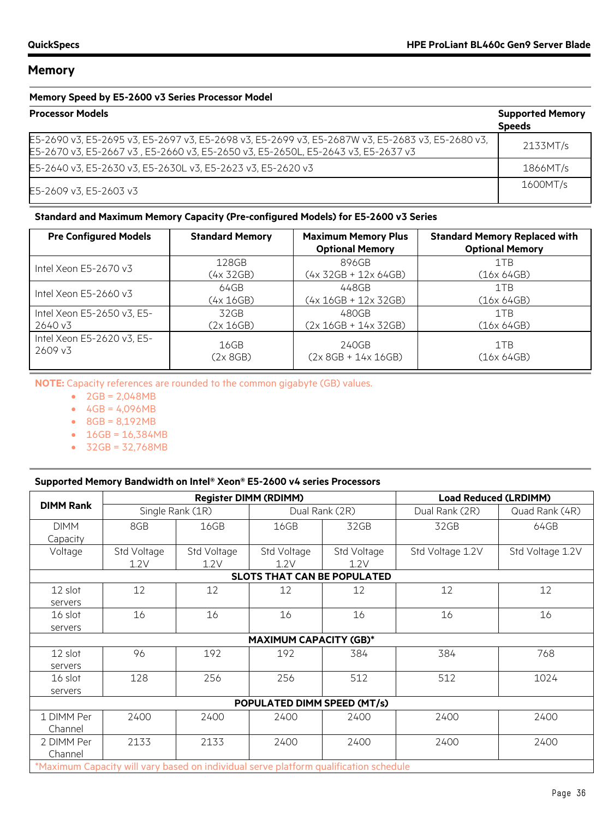#### **Memory Speed by E5-2600 v3 Series Processor Model**

| <b>Processor Models</b>                                                                                                                                                              | <b>Supported Memory</b><br><b>Speeds</b> |
|--------------------------------------------------------------------------------------------------------------------------------------------------------------------------------------|------------------------------------------|
| E5-2690 v3, E5-2695 v3, E5-2697 v3, E5-2698 v3, E5-2699 v3, E5-2687W v3, E5-2683 v3, E5-2680 v3,<br>E5-2670 v3, E5-2667 v3, E5-2660 v3, E5-2650 v3, E5-2650L, E5-2643 v3, E5-2637 v3 | 2133MT/s                                 |
| E5-2640 v3, E5-2630 v3, E5-2630L v3, E5-2623 v3, E5-2620 v3                                                                                                                          | 1866MT/s                                 |
| E5-2609 v3, E5-2603 v3                                                                                                                                                               | 1600MT/s                                 |

#### **Standard and Maximum Memory Capacity (Pre-configured Models) for E5-2600 v3 Series**

| <b>Pre Configured Models</b> | <b>Standard Memory</b> | <b>Maximum Memory Plus</b><br><b>Optional Memory</b> | <b>Standard Memory Replaced with</b><br><b>Optional Memory</b> |
|------------------------------|------------------------|------------------------------------------------------|----------------------------------------------------------------|
| Intel Xeon $E5-2670v3$       | 128GB                  | 896GB                                                | 1TB                                                            |
|                              | (4x 32GB)              | $(4x 32GB + 12x 64GB)$                               | (16x 64GB)                                                     |
| Intel Xeon $E5-2660v3$       | 64GB                   | 448GB                                                | 1TB                                                            |
|                              | (4x 16GB)              | $(4x 16GB + 12x 32GB)$                               | (16x 64GB)                                                     |
| Intel Xeon E5-2650 v3, E5-   | 32GB                   | 480GB                                                | 1TB                                                            |
| 2640 v3                      | (2x 16GB)              | $(2x 16GB + 14x 32GB)$                               | (16x 64GB)                                                     |
| Intel Xeon E5-2620 v3, E5-   | 16GB                   | 240GB                                                | 1TB                                                            |
| 2609 v3                      | (2x 8GB)               | $(2x 8GB + 14x 16GB)$                                | (16x 64GB)                                                     |

**NOTE:** Capacity references are rounded to the common gigabyte (GB) values.

- 2GB = 2,048MB
- $4GB = 4,096MB$
- 8GB = 8,192MB
- 16GB = 16,384MB
- 32GB = 32,768MB

#### **Supported Memory Bandwidth on Intel® Xeon® E5-2600 v4 series Processors**

|                                                                                       |                                    |             | <b>Register DIMM (RDIMM)</b> |             |                  | <b>Load Reduced (LRDIMM)</b> |  |
|---------------------------------------------------------------------------------------|------------------------------------|-------------|------------------------------|-------------|------------------|------------------------------|--|
| <b>DIMM Rank</b>                                                                      | Single Rank (1R)                   |             | Dual Rank (2R)               |             | Dual Rank (2R)   | Quad Rank (4R)               |  |
| <b>DIMM</b>                                                                           | 8GB                                | 16GB        | 16GB                         | 32GB        | 32GB             | 64GB                         |  |
| Capacity                                                                              |                                    |             |                              |             |                  |                              |  |
| Voltage                                                                               | Std Voltage                        | Std Voltage | Std Voltage                  | Std Voltage | Std Voltage 1.2V | Std Voltage 1.2V             |  |
|                                                                                       | 1.2V                               | 1.2V        | 1.2V                         | 1.2V        |                  |                              |  |
|                                                                                       | <b>SLOTS THAT CAN BE POPULATED</b> |             |                              |             |                  |                              |  |
| 12 slot                                                                               | 12                                 | 12          | 12                           | 12          | 12               | 12                           |  |
| servers                                                                               |                                    |             |                              |             |                  |                              |  |
| 16 slot                                                                               | 16                                 | 16          | 16                           | 16          | 16               | 16                           |  |
| servers                                                                               |                                    |             |                              |             |                  |                              |  |
| <b>MAXIMUM CAPACITY (GB)*</b>                                                         |                                    |             |                              |             |                  |                              |  |
| 12 slot                                                                               | 96                                 | 192         | 192                          | 384         | 384              | 768                          |  |
| servers                                                                               |                                    |             |                              |             |                  |                              |  |
| 16 slot                                                                               | 128                                | 256         | 256                          | 512         | 512              | 1024                         |  |
| servers                                                                               |                                    |             |                              |             |                  |                              |  |
| POPULATED DIMM SPEED (MT/s)                                                           |                                    |             |                              |             |                  |                              |  |
| 1 DIMM Per                                                                            | 2400                               | 2400        | 2400                         | 2400        | 2400             | 2400                         |  |
| Channel                                                                               |                                    |             |                              |             |                  |                              |  |
| 2 DIMM Per                                                                            | 2133                               | 2133        | 2400                         | 2400        | 2400             | 2400                         |  |
| Channel                                                                               |                                    |             |                              |             |                  |                              |  |
| *Maximum Capacity will vary based on individual serve platform qualification schedule |                                    |             |                              |             |                  |                              |  |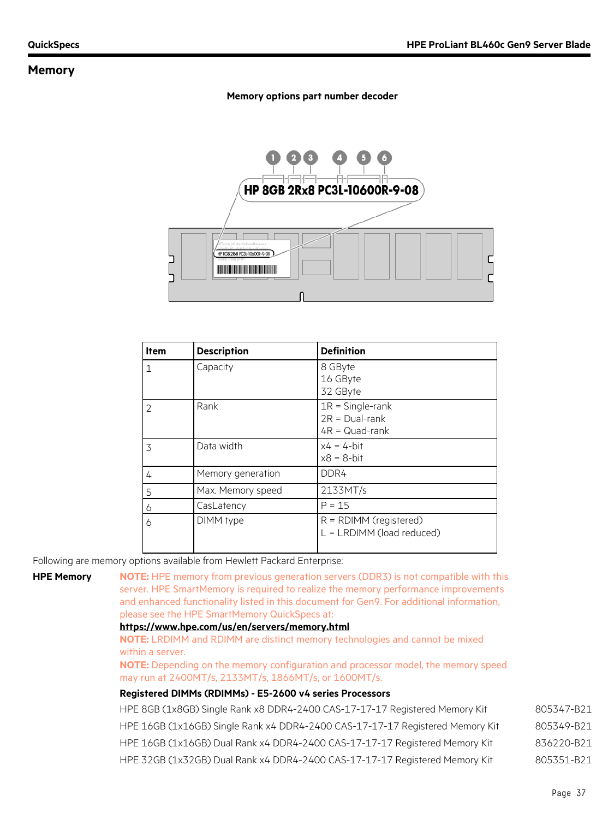#### **Memory options part number decoder**



| <b>Item</b>    | <b>Description</b> | <b>Definition</b>                                              |
|----------------|--------------------|----------------------------------------------------------------|
| 1              | Capacity           | 8 GByte<br>16 GByte<br>32 GByte                                |
| $\overline{2}$ | Rank               | $1R =$ Single-rank<br>$2R = Dual-rank$<br>$4R = Quad-rank$     |
| 3              | Data width         | $x4 = 4$ -bit<br>$x8 = 8$ -bit                                 |
| 4              | Memory generation  | DDR4                                                           |
| 5              | Max. Memory speed  | 2133MT/s                                                       |
| 6              | CasLatency         | $P = 15$                                                       |
| 6              | DIMM type          | $R = \text{RDIMM}$ (registered)<br>$L = LRDIMM (load reduced)$ |

Following are memory options available from Hewlett Packard Enterprise:

**HPE Memory NOTE:** HPE memory from previous generation servers (DDR3) is not compatible with this server. HPE SmartMemory is required to realize the memory performance improvements and enhanced functionality listed in this document for Gen9. For additional information, please see the HPE SmartMemory QuickSpecs at:

#### **<https://www.hpe.com/us/en/servers/memory.html>**

**NOTE:** LRDIMM and RDIMM are distinct memory technologies and cannot be mixed within a server.

**NOTE:** Depending on the memory configuration and processor model, the memory speed may run at 2400MT/s, 2133MT/s, 1866MT/s, or 1600MT/s.

#### **Registered DIMMs (RDIMMs) - E5-2600 v4 series Processors**

| HPE 8GB (1x8GB) Single Rank x8 DDR4-2400 CAS-17-17-17 Registered Memory Kit   | 805347-B21 |
|-------------------------------------------------------------------------------|------------|
| HPE 16GB (1x16GB) Single Rank x4 DDR4-2400 CAS-17-17-17 Registered Memory Kit | 805349-B21 |
| HPE 16GB (1x16GB) Dual Rank x4 DDR4-2400 CAS-17-17-17 Registered Memory Kit   | 836220-B21 |
| HPE 32GB (1x32GB) Dual Rank x4 DDR4-2400 CAS-17-17-17 Registered Memory Kit   | 805351-B21 |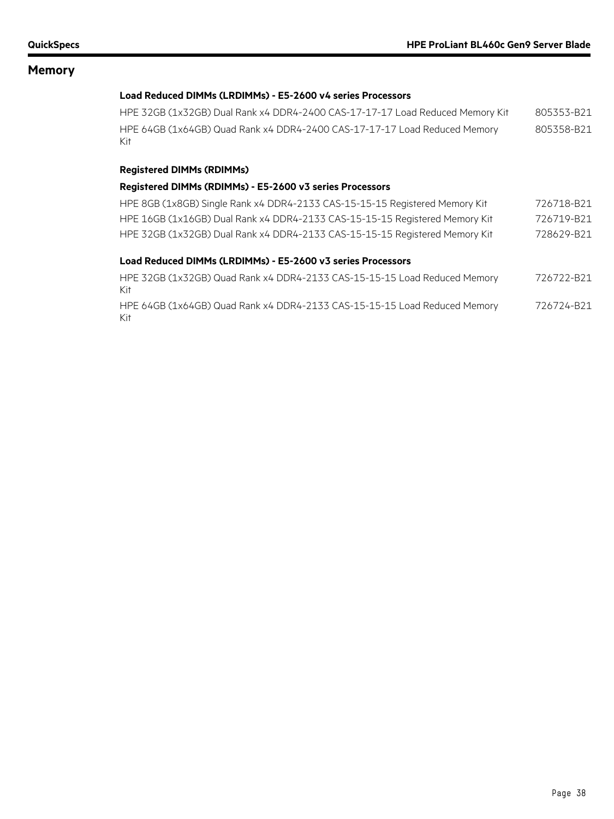#### **Load Reduced DIMMs (LRDIMMs) - E5-2600 v4 series Processors**

| HPE 32GB (1x32GB) Dual Rank x4 DDR4-2400 CAS-17-17-17 Load Reduced Memory Kit     | 805353-B21 |
|-----------------------------------------------------------------------------------|------------|
| HPE 64GB (1x64GB) Quad Rank x4 DDR4-2400 CAS-17-17-17 Load Reduced Memory<br>Kit. | 805358-B21 |

#### **Registered DIMMs (RDIMMs)**

#### **Registered DIMMs (RDIMMs) - E5-2600 v3 series Processors**

| HPE 8GB (1x8GB) Single Rank x4 DDR4-2133 CAS-15-15-15 Registered Memory Kit | 726718-B21 |
|-----------------------------------------------------------------------------|------------|
| HPE 16GB (1x16GB) Dual Rank x4 DDR4-2133 CAS-15-15-15 Registered Memory Kit | 726719-B21 |
| HPE 32GB (1x32GB) Dual Rank x4 DDR4-2133 CAS-15-15-15 Registered Memory Kit | 728629-B21 |

#### **Load Reduced DIMMs (LRDIMMs) - E5-2600 v3 series Processors**

| HPE 32GB (1x32GB) Quad Rank x4 DDR4-2133 CAS-15-15-15 Load Reduced Memory<br>Kit. | 726722-B21 |
|-----------------------------------------------------------------------------------|------------|
| HPE 64GB (1x64GB) Quad Rank x4 DDR4-2133 CAS-15-15-15 Load Reduced Memory<br>Kit  | 726724-B21 |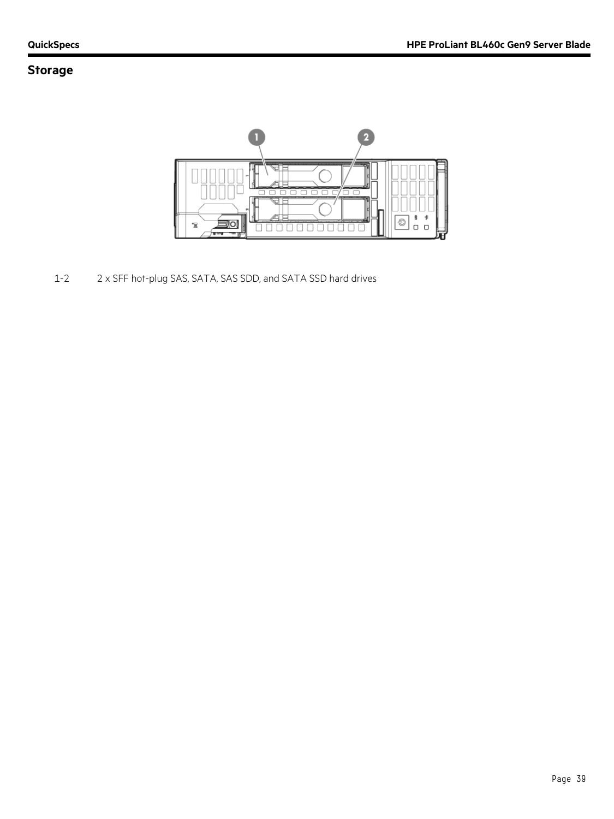# **Storage**



1-2 2 x SFF hot-plug SAS, SATA, SAS SDD, and SATA SSD hard drives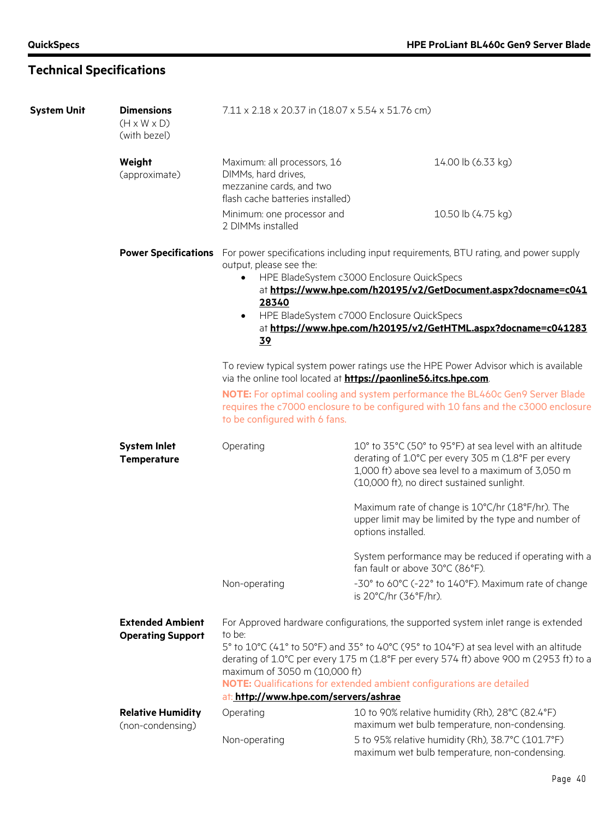# **Technical Specifications**

| <b>System Unit</b> | <b>Dimensions</b><br>$(H \times W \times D)$<br>(with bezel) | 7.11 x 2.18 x 20.37 in (18.07 x 5.54 x 51.76 cm)                                                                                                                                                                              |                                                                                                                                                                                                                                                                                                                                                |  |  |
|--------------------|--------------------------------------------------------------|-------------------------------------------------------------------------------------------------------------------------------------------------------------------------------------------------------------------------------|------------------------------------------------------------------------------------------------------------------------------------------------------------------------------------------------------------------------------------------------------------------------------------------------------------------------------------------------|--|--|
|                    | Weight<br>(approximate)                                      | Maximum: all processors, 16<br>DIMMs, hard drives,<br>mezzanine cards, and two                                                                                                                                                | 14.00 lb (6.33 kg)                                                                                                                                                                                                                                                                                                                             |  |  |
|                    |                                                              | flash cache batteries installed)                                                                                                                                                                                              |                                                                                                                                                                                                                                                                                                                                                |  |  |
|                    |                                                              | Minimum: one processor and<br>2 DIMMs installed                                                                                                                                                                               | 10.50 lb (4.75 kg)                                                                                                                                                                                                                                                                                                                             |  |  |
|                    |                                                              | output, please see the:<br>28340<br>$\bullet$<br>39                                                                                                                                                                           | <b>Power Specifications</b> For power specifications including input requirements, BTU rating, and power supply<br>HPE BladeSystem c3000 Enclosure QuickSpecs<br>at https://www.hpe.com/h20195/v2/GetDocument.aspx?docname=c041<br>HPE BladeSystem c7000 Enclosure QuickSpecs<br>at https://www.hpe.com/h20195/v2/GetHTML.aspx?docname=c041283 |  |  |
|                    |                                                              | To review typical system power ratings use the HPE Power Advisor which is available<br>via the online tool located at https://paonline56.itcs.hpe.com.                                                                        |                                                                                                                                                                                                                                                                                                                                                |  |  |
|                    |                                                              | NOTE: For optimal cooling and system performance the BL460c Gen9 Server Blade<br>requires the c7000 enclosure to be configured with 10 fans and the c3000 enclosure<br>to be configured with 6 fans.                          |                                                                                                                                                                                                                                                                                                                                                |  |  |
|                    | <b>System Inlet</b><br><b>Temperature</b>                    | 10° to 35°C (50° to 95°F) at sea level with an altitude<br>Operating<br>derating of 1.0°C per every 305 m (1.8°F per every<br>1,000 ft) above sea level to a maximum of 3,050 m<br>(10,000 ft), no direct sustained sunlight. |                                                                                                                                                                                                                                                                                                                                                |  |  |
|                    |                                                              |                                                                                                                                                                                                                               | Maximum rate of change is 10°C/hr (18°F/hr). The<br>upper limit may be limited by the type and number of<br>options installed.                                                                                                                                                                                                                 |  |  |
|                    |                                                              |                                                                                                                                                                                                                               | System performance may be reduced if operating with a<br>fan fault or above 30°C (86°F).                                                                                                                                                                                                                                                       |  |  |
|                    |                                                              | Non-operating                                                                                                                                                                                                                 | -30° to 60°C (-22° to 140°F). Maximum rate of change<br>is $20^{\circ}$ C/hr $(36^{\circ}F/hr)$ .                                                                                                                                                                                                                                              |  |  |
|                    | <b>Extended Ambient</b><br><b>Operating Support</b>          | For Approved hardware configurations, the supported system inlet range is extended<br>to be:                                                                                                                                  |                                                                                                                                                                                                                                                                                                                                                |  |  |
|                    |                                                              | 5° to 10°C (41° to 50°F) and 35° to 40°C (95° to 104°F) at sea level with an altitude<br>derating of 1.0°C per every 175 m (1.8°F per every 574 ft) above 900 m (2953 ft) to a<br>maximum of 3050 m (10,000 ft)               |                                                                                                                                                                                                                                                                                                                                                |  |  |
|                    |                                                              | NOTE: Qualifications for extended ambient configurations are detailed<br>at: http://www.hpe.com/servers/ashrae                                                                                                                |                                                                                                                                                                                                                                                                                                                                                |  |  |
|                    | <b>Relative Humidity</b><br>(non-condensing)                 | Operating                                                                                                                                                                                                                     | 10 to 90% relative humidity (Rh), 28°C (82.4°F)<br>maximum wet bulb temperature, non-condensing.                                                                                                                                                                                                                                               |  |  |
|                    |                                                              | Non-operating                                                                                                                                                                                                                 | 5 to 95% relative humidity (Rh), 38.7°C (101.7°F)<br>maximum wet bulb temperature, non-condensing.                                                                                                                                                                                                                                             |  |  |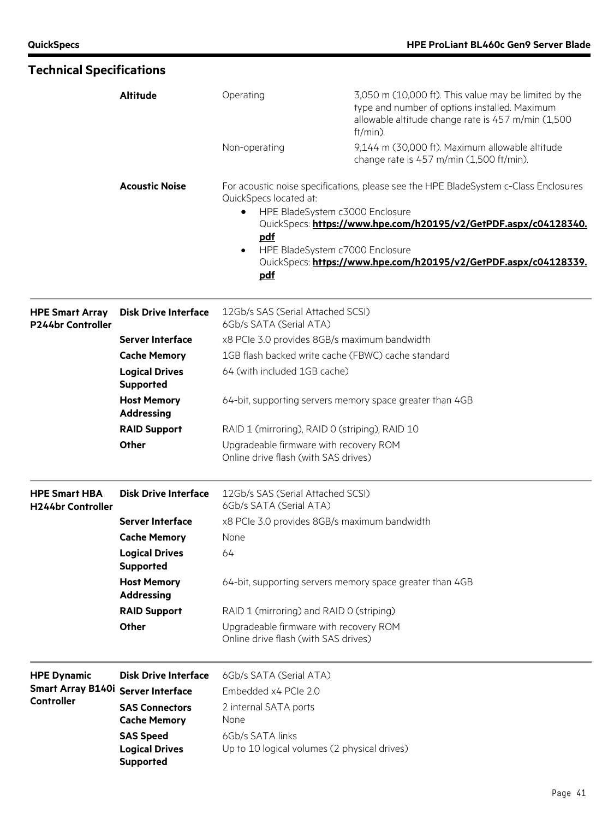$\blacksquare$ 

| <b>Technical Specifications</b>                  |                                                               |                                                                                                                              |                                                                                                                                                                                                                              |  |  |
|--------------------------------------------------|---------------------------------------------------------------|------------------------------------------------------------------------------------------------------------------------------|------------------------------------------------------------------------------------------------------------------------------------------------------------------------------------------------------------------------------|--|--|
|                                                  | <b>Altitude</b>                                               | Operating                                                                                                                    | 3,050 m (10,000 ft). This value may be limited by the<br>type and number of options installed. Maximum<br>allowable altitude change rate is 457 m/min (1,500<br>$ft/min)$ .                                                  |  |  |
|                                                  |                                                               | Non-operating                                                                                                                | 9,144 m (30,000 ft). Maximum allowable altitude<br>change rate is 457 m/min (1,500 ft/min).                                                                                                                                  |  |  |
|                                                  | <b>Acoustic Noise</b>                                         | QuickSpecs located at:<br>HPE BladeSystem c3000 Enclosure<br>٠<br>pdf<br>HPE BladeSystem c7000 Enclosure<br>$\bullet$<br>pdf | For acoustic noise specifications, please see the HPE BladeSystem c-Class Enclosures<br>QuickSpecs: https://www.hpe.com/h20195/v2/GetPDF.aspx/c04128340.<br>QuickSpecs: https://www.hpe.com/h20195/v2/GetPDF.aspx/c04128339. |  |  |
| <b>HPE Smart Array</b><br>P244br Controller      | <b>Disk Drive Interface</b>                                   | 12Gb/s SAS (Serial Attached SCSI)<br>6Gb/s SATA (Serial ATA)                                                                 |                                                                                                                                                                                                                              |  |  |
|                                                  | <b>Server Interface</b>                                       | x8 PCIe 3.0 provides 8GB/s maximum bandwidth                                                                                 |                                                                                                                                                                                                                              |  |  |
|                                                  | <b>Cache Memory</b>                                           | 1GB flash backed write cache (FBWC) cache standard                                                                           |                                                                                                                                                                                                                              |  |  |
| <b>Logical Drives</b><br><b>Supported</b>        |                                                               | 64 (with included 1GB cache)                                                                                                 |                                                                                                                                                                                                                              |  |  |
|                                                  | <b>Host Memory</b><br><b>Addressing</b>                       |                                                                                                                              | 64-bit, supporting servers memory space greater than 4GB                                                                                                                                                                     |  |  |
|                                                  | <b>RAID Support</b>                                           | RAID 1 (mirroring), RAID 0 (striping), RAID 10                                                                               |                                                                                                                                                                                                                              |  |  |
|                                                  | Other                                                         | Upgradeable firmware with recovery ROM<br>Online drive flash (with SAS drives)                                               |                                                                                                                                                                                                                              |  |  |
| <b>HPE Smart HBA</b><br><b>H244br Controller</b> | <b>Disk Drive Interface</b>                                   | 12Gb/s SAS (Serial Attached SCSI)<br>6Gb/s SATA (Serial ATA)                                                                 |                                                                                                                                                                                                                              |  |  |
|                                                  | <b>Server Interface</b>                                       | x8 PCIe 3.0 provides 8GB/s maximum bandwidth                                                                                 |                                                                                                                                                                                                                              |  |  |
|                                                  | <b>Cache Memory</b>                                           | None                                                                                                                         |                                                                                                                                                                                                                              |  |  |
|                                                  | <b>Logical Drives</b><br><b>Supported</b>                     | 64                                                                                                                           |                                                                                                                                                                                                                              |  |  |
|                                                  | <b>Host Memory</b><br><b>Addressing</b>                       |                                                                                                                              | 64-bit, supporting servers memory space greater than 4GB                                                                                                                                                                     |  |  |
|                                                  | <b>RAID Support</b>                                           | RAID 1 (mirroring) and RAID 0 (striping)                                                                                     |                                                                                                                                                                                                                              |  |  |
|                                                  | Other                                                         | Upgradeable firmware with recovery ROM<br>Online drive flash (with SAS drives)                                               |                                                                                                                                                                                                                              |  |  |
| <b>HPE Dynamic</b>                               | <b>Disk Drive Interface</b>                                   | 6Gb/s SATA (Serial ATA)                                                                                                      |                                                                                                                                                                                                                              |  |  |
| <b>Smart Array B140i</b>                         | <b>Server Interface</b>                                       | Embedded x4 PCIe 2.0                                                                                                         |                                                                                                                                                                                                                              |  |  |
| Controller                                       | <b>SAS Connectors</b><br><b>Cache Memory</b>                  | 2 internal SATA ports<br>None                                                                                                |                                                                                                                                                                                                                              |  |  |
|                                                  | <b>SAS Speed</b><br><b>Logical Drives</b><br><b>Supported</b> | 6Gb/s SATA links<br>Up to 10 logical volumes (2 physical drives)                                                             |                                                                                                                                                                                                                              |  |  |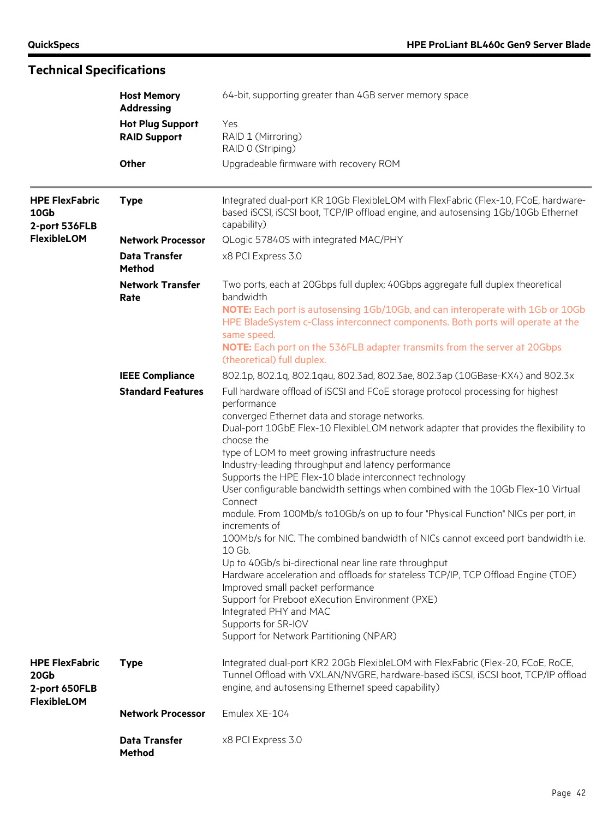| <b>Technical Specifications</b>                |                                                |                                                                                                                                                                                                                            |  |  |
|------------------------------------------------|------------------------------------------------|----------------------------------------------------------------------------------------------------------------------------------------------------------------------------------------------------------------------------|--|--|
|                                                | <b>Host Memory</b><br><b>Addressing</b>        | 64-bit, supporting greater than 4GB server memory space                                                                                                                                                                    |  |  |
|                                                | <b>Hot Plug Support</b><br><b>RAID Support</b> | Yes<br>RAID 1 (Mirroring)<br>RAID 0 (Striping)                                                                                                                                                                             |  |  |
|                                                | Other                                          | Upgradeable firmware with recovery ROM                                                                                                                                                                                     |  |  |
| <b>HPE FlexFabric</b><br>10Gb<br>2-port 536FLB | <b>Type</b>                                    | Integrated dual-port KR 10Gb FlexibleLOM with FlexFabric (Flex-10, FCoE, hardware-<br>based iSCSI, iSCSI boot, TCP/IP offload engine, and autosensing 1Gb/10Gb Ethernet<br>capability)                                     |  |  |
| <b>FlexibleLOM</b>                             | <b>Network Processor</b>                       | QLogic 57840S with integrated MAC/PHY                                                                                                                                                                                      |  |  |
|                                                | <b>Data Transfer</b><br>Method                 | x8 PCI Express 3.0                                                                                                                                                                                                         |  |  |
|                                                | <b>Network Transfer</b><br>Rate                | Two ports, each at 20Gbps full duplex; 40Gbps aggregate full duplex theoretical<br>bandwidth                                                                                                                               |  |  |
|                                                |                                                | NOTE: Each port is autosensing 1Gb/10Gb, and can interoperate with 1Gb or 10Gb<br>HPE BladeSystem c-Class interconnect components. Both ports will operate at the<br>same speed.                                           |  |  |
|                                                |                                                | <b>NOTE:</b> Each port on the 536FLB adapter transmits from the server at 20Gbps<br>(theoretical) full duplex.                                                                                                             |  |  |
|                                                | <b>IEEE Compliance</b>                         | 802.1p, 802.1q, 802.1qau, 802.3ad, 802.3ae, 802.3ap (10GBase-KX4) and 802.3x                                                                                                                                               |  |  |
|                                                | <b>Standard Features</b>                       | Full hardware offload of iSCSI and FCoE storage protocol processing for highest<br>performance<br>converged Ethernet data and storage networks.                                                                            |  |  |
|                                                |                                                | Dual-port 10GbE Flex-10 FlexibleLOM network adapter that provides the flexibility to<br>choose the                                                                                                                         |  |  |
|                                                |                                                | type of LOM to meet growing infrastructure needs<br>Industry-leading throughput and latency performance                                                                                                                    |  |  |
|                                                |                                                | Supports the HPE Flex-10 blade interconnect technology                                                                                                                                                                     |  |  |
|                                                |                                                | User configurable bandwidth settings when combined with the 10Gb Flex-10 Virtual<br>Connect                                                                                                                                |  |  |
|                                                |                                                | module. From 100Mb/s to10Gb/s on up to four "Physical Function" NICs per port, in<br>increments of                                                                                                                         |  |  |
|                                                |                                                | 100Mb/s for NIC. The combined bandwidth of NICs cannot exceed port bandwidth i.e.<br>10 Gb.<br>Up to 40Gb/s bi-directional near line rate throughput                                                                       |  |  |
|                                                |                                                | Hardware acceleration and offloads for stateless TCP/IP, TCP Offload Engine (TOE)<br>Improved small packet performance                                                                                                     |  |  |
|                                                |                                                | Support for Preboot eXecution Environment (PXE)<br>Integrated PHY and MAC                                                                                                                                                  |  |  |
|                                                |                                                | Supports for SR-IOV<br>Support for Network Partitioning (NPAR)                                                                                                                                                             |  |  |
| <b>HPE FlexFabric</b><br>20Gb<br>2-port 650FLB | <b>Type</b>                                    | Integrated dual-port KR2 20Gb FlexibleLOM with FlexFabric (Flex-20, FCoE, RoCE,<br>Tunnel Offload with VXLAN/NVGRE, hardware-based iSCSI, iSCSI boot, TCP/IP offload<br>engine, and autosensing Ethernet speed capability) |  |  |
| <b>FlexibleLOM</b>                             |                                                |                                                                                                                                                                                                                            |  |  |
|                                                | <b>Network Processor</b>                       | Emulex XE-104                                                                                                                                                                                                              |  |  |
|                                                | <b>Data Transfer</b><br>Method                 | x8 PCI Express 3.0                                                                                                                                                                                                         |  |  |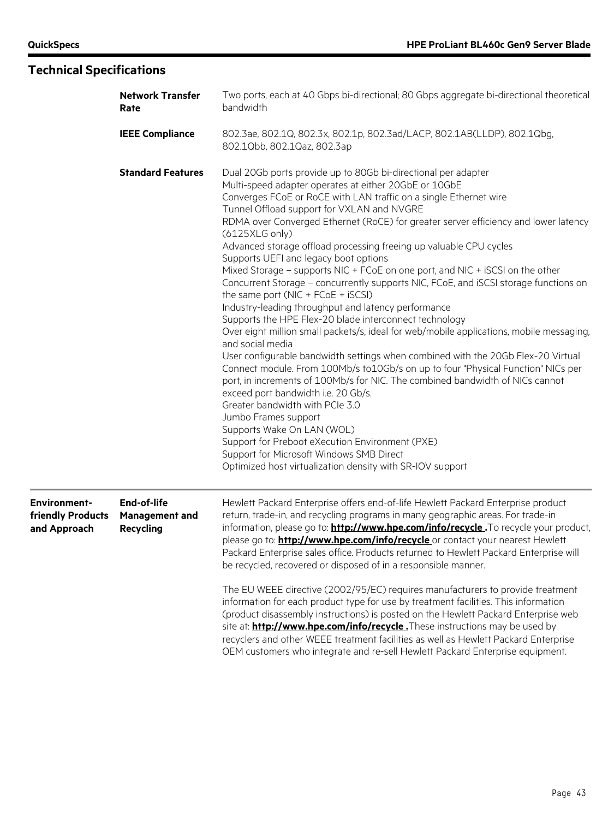# **Technical Specifications**

| <b>Network Transfer</b><br>Rate                          |                                                          | Two ports, each at 40 Gbps bi-directional; 80 Gbps aggregate bi-directional theoretical<br>bandwidth                                                                                                                                                                                                                                                                                                                                                                                                                                                                                                                                                                                                                                                                                                                                                                                                                                                                                                                                                                                                                                                                                                                                                                                                                                                                                                                                                                         |  |  |
|----------------------------------------------------------|----------------------------------------------------------|------------------------------------------------------------------------------------------------------------------------------------------------------------------------------------------------------------------------------------------------------------------------------------------------------------------------------------------------------------------------------------------------------------------------------------------------------------------------------------------------------------------------------------------------------------------------------------------------------------------------------------------------------------------------------------------------------------------------------------------------------------------------------------------------------------------------------------------------------------------------------------------------------------------------------------------------------------------------------------------------------------------------------------------------------------------------------------------------------------------------------------------------------------------------------------------------------------------------------------------------------------------------------------------------------------------------------------------------------------------------------------------------------------------------------------------------------------------------------|--|--|
|                                                          | <b>IEEE Compliance</b>                                   | 802.3ae, 802.1Q, 802.3x, 802.1p, 802.3ad/LACP, 802.1AB(LLDP), 802.1Qbg,<br>802.1Qbb, 802.1Qaz, 802.3ap                                                                                                                                                                                                                                                                                                                                                                                                                                                                                                                                                                                                                                                                                                                                                                                                                                                                                                                                                                                                                                                                                                                                                                                                                                                                                                                                                                       |  |  |
|                                                          | <b>Standard Features</b>                                 | Dual 20Gb ports provide up to 80Gb bi-directional per adapter<br>Multi-speed adapter operates at either 20GbE or 10GbE<br>Converges FCoE or RoCE with LAN traffic on a single Ethernet wire<br>Tunnel Offload support for VXLAN and NVGRE<br>RDMA over Converged Ethernet (RoCE) for greater server efficiency and lower latency<br>$(6125XLG$ only)<br>Advanced storage offload processing freeing up valuable CPU cycles<br>Supports UEFI and legacy boot options<br>Mixed Storage - supports NIC + FCoE on one port, and NIC + iSCSI on the other<br>Concurrent Storage - concurrently supports NIC, FCoE, and iSCSI storage functions on<br>the same port ( $NIC + FCOE + iSCSI$ )<br>Industry-leading throughput and latency performance<br>Supports the HPE Flex-20 blade interconnect technology<br>Over eight million small packets/s, ideal for web/mobile applications, mobile messaging,<br>and social media<br>User configurable bandwidth settings when combined with the 20Gb Flex-20 Virtual<br>Connect module. From 100Mb/s to10Gb/s on up to four "Physical Function" NICs per<br>port, in increments of 100Mb/s for NIC. The combined bandwidth of NICs cannot<br>exceed port bandwidth i.e. 20 Gb/s.<br>Greater bandwidth with PCIe 3.0<br>Jumbo Frames support<br>Supports Wake On LAN (WOL)<br>Support for Preboot eXecution Environment (PXE)<br>Support for Microsoft Windows SMB Direct<br>Optimized host virtualization density with SR-IOV support |  |  |
| <b>Environment-</b><br>friendly Products<br>and Approach | <b>End-of-life</b><br>Management and<br><b>Recycling</b> | Hewlett Packard Enterprise offers end-of-life Hewlett Packard Enterprise product<br>return, trade-in, and recycling programs in many geographic areas. For trade-in<br>information, please go to: <b>http://www.hpe.com/info/recycle</b> . To recycle your product,<br>please go to: <b>http://www.hpe.com/info/recycle</b> or contact your nearest Hewlett<br>Packard Enterprise sales office. Products returned to Hewlett Packard Enterprise will<br>be recycled, recovered or disposed of in a responsible manner.<br>The EU WEEE directive (2002/95/EC) requires manufacturers to provide treatment<br>information for each product type for use by treatment facilities. This information<br>(product disassembly instructions) is posted on the Hewlett Packard Enterprise web<br>site at: <b>http://www.hpe.com/info/recycle.</b> These instructions may be used by<br>recyclers and other WEEE treatment facilities as well as Hewlett Packard Enterprise<br>OEM customers who integrate and re-sell Hewlett Packard Enterprise equipment.                                                                                                                                                                                                                                                                                                                                                                                                                          |  |  |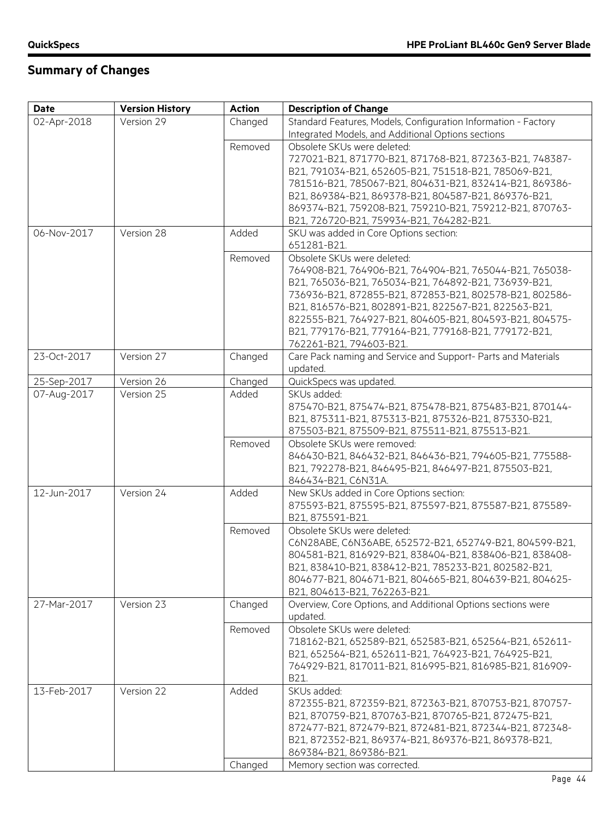| Version 29<br>Standard Features, Models, Configuration Information - Factory<br>02-Apr-2018<br>Changed<br>Integrated Models, and Additional Options sections<br>Removed<br>Obsolete SKUs were deleted:<br>727021-B21, 871770-B21, 871768-B21, 872363-B21, 748387-<br>B21, 791034-B21, 652605-B21, 751518-B21, 785069-B21,<br>781516-B21, 785067-B21, 804631-B21, 832414-B21, 869386-<br>B21, 869384-B21, 869378-B21, 804587-B21, 869376-B21,<br>869374-B21, 759208-B21, 759210-B21, 759212-B21, 870763-<br>B21, 726720-B21, 759934-B21, 764282-B21.<br>06-Nov-2017<br>Version 28<br>Added<br>SKU was added in Core Options section:<br>651281-B21.<br>Obsolete SKUs were deleted:<br>Removed<br>764908-B21, 764906-B21, 764904-B21, 765044-B21, 765038-<br>B21, 765036-B21, 765034-B21, 764892-B21, 736939-B21,<br>736936-B21, 872855-B21, 872853-B21, 802578-B21, 802586-<br>B21, 816576-B21, 802891-B21, 822567-B21, 822563-B21,<br>822555-B21, 764927-B21, 804605-B21, 804593-B21, 804575-<br>B21, 779176-B21, 779164-B21, 779168-B21, 779172-B21,<br>762261-B21, 794603-B21. |
|----------------------------------------------------------------------------------------------------------------------------------------------------------------------------------------------------------------------------------------------------------------------------------------------------------------------------------------------------------------------------------------------------------------------------------------------------------------------------------------------------------------------------------------------------------------------------------------------------------------------------------------------------------------------------------------------------------------------------------------------------------------------------------------------------------------------------------------------------------------------------------------------------------------------------------------------------------------------------------------------------------------------------------------------------------------------------------|
|                                                                                                                                                                                                                                                                                                                                                                                                                                                                                                                                                                                                                                                                                                                                                                                                                                                                                                                                                                                                                                                                                  |
|                                                                                                                                                                                                                                                                                                                                                                                                                                                                                                                                                                                                                                                                                                                                                                                                                                                                                                                                                                                                                                                                                  |
|                                                                                                                                                                                                                                                                                                                                                                                                                                                                                                                                                                                                                                                                                                                                                                                                                                                                                                                                                                                                                                                                                  |
|                                                                                                                                                                                                                                                                                                                                                                                                                                                                                                                                                                                                                                                                                                                                                                                                                                                                                                                                                                                                                                                                                  |
|                                                                                                                                                                                                                                                                                                                                                                                                                                                                                                                                                                                                                                                                                                                                                                                                                                                                                                                                                                                                                                                                                  |
|                                                                                                                                                                                                                                                                                                                                                                                                                                                                                                                                                                                                                                                                                                                                                                                                                                                                                                                                                                                                                                                                                  |
|                                                                                                                                                                                                                                                                                                                                                                                                                                                                                                                                                                                                                                                                                                                                                                                                                                                                                                                                                                                                                                                                                  |
|                                                                                                                                                                                                                                                                                                                                                                                                                                                                                                                                                                                                                                                                                                                                                                                                                                                                                                                                                                                                                                                                                  |
|                                                                                                                                                                                                                                                                                                                                                                                                                                                                                                                                                                                                                                                                                                                                                                                                                                                                                                                                                                                                                                                                                  |
|                                                                                                                                                                                                                                                                                                                                                                                                                                                                                                                                                                                                                                                                                                                                                                                                                                                                                                                                                                                                                                                                                  |
|                                                                                                                                                                                                                                                                                                                                                                                                                                                                                                                                                                                                                                                                                                                                                                                                                                                                                                                                                                                                                                                                                  |
|                                                                                                                                                                                                                                                                                                                                                                                                                                                                                                                                                                                                                                                                                                                                                                                                                                                                                                                                                                                                                                                                                  |
|                                                                                                                                                                                                                                                                                                                                                                                                                                                                                                                                                                                                                                                                                                                                                                                                                                                                                                                                                                                                                                                                                  |
|                                                                                                                                                                                                                                                                                                                                                                                                                                                                                                                                                                                                                                                                                                                                                                                                                                                                                                                                                                                                                                                                                  |
|                                                                                                                                                                                                                                                                                                                                                                                                                                                                                                                                                                                                                                                                                                                                                                                                                                                                                                                                                                                                                                                                                  |
|                                                                                                                                                                                                                                                                                                                                                                                                                                                                                                                                                                                                                                                                                                                                                                                                                                                                                                                                                                                                                                                                                  |
|                                                                                                                                                                                                                                                                                                                                                                                                                                                                                                                                                                                                                                                                                                                                                                                                                                                                                                                                                                                                                                                                                  |
|                                                                                                                                                                                                                                                                                                                                                                                                                                                                                                                                                                                                                                                                                                                                                                                                                                                                                                                                                                                                                                                                                  |
| 23-Oct-2017<br>Version 27<br>Care Pack naming and Service and Support- Parts and Materials<br>Changed                                                                                                                                                                                                                                                                                                                                                                                                                                                                                                                                                                                                                                                                                                                                                                                                                                                                                                                                                                            |
| updated.                                                                                                                                                                                                                                                                                                                                                                                                                                                                                                                                                                                                                                                                                                                                                                                                                                                                                                                                                                                                                                                                         |
| Version 26<br>Changed<br>QuickSpecs was updated.<br>25-Sep-2017                                                                                                                                                                                                                                                                                                                                                                                                                                                                                                                                                                                                                                                                                                                                                                                                                                                                                                                                                                                                                  |
| Version 25<br>07-Aug-2017<br>Added<br>SKUs added:                                                                                                                                                                                                                                                                                                                                                                                                                                                                                                                                                                                                                                                                                                                                                                                                                                                                                                                                                                                                                                |
| 875470-B21, 875474-B21, 875478-B21, 875483-B21, 870144-                                                                                                                                                                                                                                                                                                                                                                                                                                                                                                                                                                                                                                                                                                                                                                                                                                                                                                                                                                                                                          |
| B21, 875311-B21, 875313-B21, 875326-B21, 875330-B21,                                                                                                                                                                                                                                                                                                                                                                                                                                                                                                                                                                                                                                                                                                                                                                                                                                                                                                                                                                                                                             |
| 875503-B21, 875509-B21, 875511-B21, 875513-B21.                                                                                                                                                                                                                                                                                                                                                                                                                                                                                                                                                                                                                                                                                                                                                                                                                                                                                                                                                                                                                                  |
| Removed<br>Obsolete SKUs were removed:                                                                                                                                                                                                                                                                                                                                                                                                                                                                                                                                                                                                                                                                                                                                                                                                                                                                                                                                                                                                                                           |
| 846430-B21, 846432-B21, 846436-B21, 794605-B21, 775588-                                                                                                                                                                                                                                                                                                                                                                                                                                                                                                                                                                                                                                                                                                                                                                                                                                                                                                                                                                                                                          |
| B21, 792278-B21, 846495-B21, 846497-B21, 875503-B21,                                                                                                                                                                                                                                                                                                                                                                                                                                                                                                                                                                                                                                                                                                                                                                                                                                                                                                                                                                                                                             |
| 846434-B21, C6N31A.                                                                                                                                                                                                                                                                                                                                                                                                                                                                                                                                                                                                                                                                                                                                                                                                                                                                                                                                                                                                                                                              |
| 12-Jun-2017<br>Added<br>Version 24<br>New SKUs added in Core Options section:                                                                                                                                                                                                                                                                                                                                                                                                                                                                                                                                                                                                                                                                                                                                                                                                                                                                                                                                                                                                    |
| 875593-B21, 875595-B21, 875597-B21, 875587-B21, 875589-                                                                                                                                                                                                                                                                                                                                                                                                                                                                                                                                                                                                                                                                                                                                                                                                                                                                                                                                                                                                                          |
| B21, 875591-B21.                                                                                                                                                                                                                                                                                                                                                                                                                                                                                                                                                                                                                                                                                                                                                                                                                                                                                                                                                                                                                                                                 |
| Removed<br>Obsolete SKUs were deleted:                                                                                                                                                                                                                                                                                                                                                                                                                                                                                                                                                                                                                                                                                                                                                                                                                                                                                                                                                                                                                                           |
| C6N28ABE, C6N36ABE, 652572-B21, 652749-B21, 804599-B21,                                                                                                                                                                                                                                                                                                                                                                                                                                                                                                                                                                                                                                                                                                                                                                                                                                                                                                                                                                                                                          |
| 804581-B21, 816929-B21, 838404-B21, 838406-B21, 838408-                                                                                                                                                                                                                                                                                                                                                                                                                                                                                                                                                                                                                                                                                                                                                                                                                                                                                                                                                                                                                          |
| B21, 838410-B21, 838412-B21, 785233-B21, 802582-B21,                                                                                                                                                                                                                                                                                                                                                                                                                                                                                                                                                                                                                                                                                                                                                                                                                                                                                                                                                                                                                             |
| 804677-B21, 804671-B21, 804665-B21, 804639-B21, 804625-                                                                                                                                                                                                                                                                                                                                                                                                                                                                                                                                                                                                                                                                                                                                                                                                                                                                                                                                                                                                                          |
| B21, 804613-B21, 762263-B21.                                                                                                                                                                                                                                                                                                                                                                                                                                                                                                                                                                                                                                                                                                                                                                                                                                                                                                                                                                                                                                                     |
| Version 23<br>Overview, Core Options, and Additional Options sections were<br>27-Mar-2017<br>Changed                                                                                                                                                                                                                                                                                                                                                                                                                                                                                                                                                                                                                                                                                                                                                                                                                                                                                                                                                                             |
| updated.                                                                                                                                                                                                                                                                                                                                                                                                                                                                                                                                                                                                                                                                                                                                                                                                                                                                                                                                                                                                                                                                         |
| Removed<br>Obsolete SKUs were deleted:                                                                                                                                                                                                                                                                                                                                                                                                                                                                                                                                                                                                                                                                                                                                                                                                                                                                                                                                                                                                                                           |
| 718162-B21, 652589-B21, 652583-B21, 652564-B21, 652611-                                                                                                                                                                                                                                                                                                                                                                                                                                                                                                                                                                                                                                                                                                                                                                                                                                                                                                                                                                                                                          |
| B21, 652564-B21, 652611-B21, 764923-B21, 764925-B21,                                                                                                                                                                                                                                                                                                                                                                                                                                                                                                                                                                                                                                                                                                                                                                                                                                                                                                                                                                                                                             |
| 764929-B21, 817011-B21, 816995-B21, 816985-B21, 816909-                                                                                                                                                                                                                                                                                                                                                                                                                                                                                                                                                                                                                                                                                                                                                                                                                                                                                                                                                                                                                          |
| B21.<br>Version 22<br>Added<br>SKUs added:<br>13-Feb-2017                                                                                                                                                                                                                                                                                                                                                                                                                                                                                                                                                                                                                                                                                                                                                                                                                                                                                                                                                                                                                        |
| 872355-B21, 872359-B21, 872363-B21, 870753-B21, 870757-                                                                                                                                                                                                                                                                                                                                                                                                                                                                                                                                                                                                                                                                                                                                                                                                                                                                                                                                                                                                                          |
| B21, 870759-B21, 870763-B21, 870765-B21, 872475-B21,                                                                                                                                                                                                                                                                                                                                                                                                                                                                                                                                                                                                                                                                                                                                                                                                                                                                                                                                                                                                                             |
| 872477-B21, 872479-B21, 872481-B21, 872344-B21, 872348-                                                                                                                                                                                                                                                                                                                                                                                                                                                                                                                                                                                                                                                                                                                                                                                                                                                                                                                                                                                                                          |
| B21, 872352-B21, 869374-B21, 869376-B21, 869378-B21,                                                                                                                                                                                                                                                                                                                                                                                                                                                                                                                                                                                                                                                                                                                                                                                                                                                                                                                                                                                                                             |
| 869384-B21, 869386-B21.                                                                                                                                                                                                                                                                                                                                                                                                                                                                                                                                                                                                                                                                                                                                                                                                                                                                                                                                                                                                                                                          |
| Changed<br>Memory section was corrected.                                                                                                                                                                                                                                                                                                                                                                                                                                                                                                                                                                                                                                                                                                                                                                                                                                                                                                                                                                                                                                         |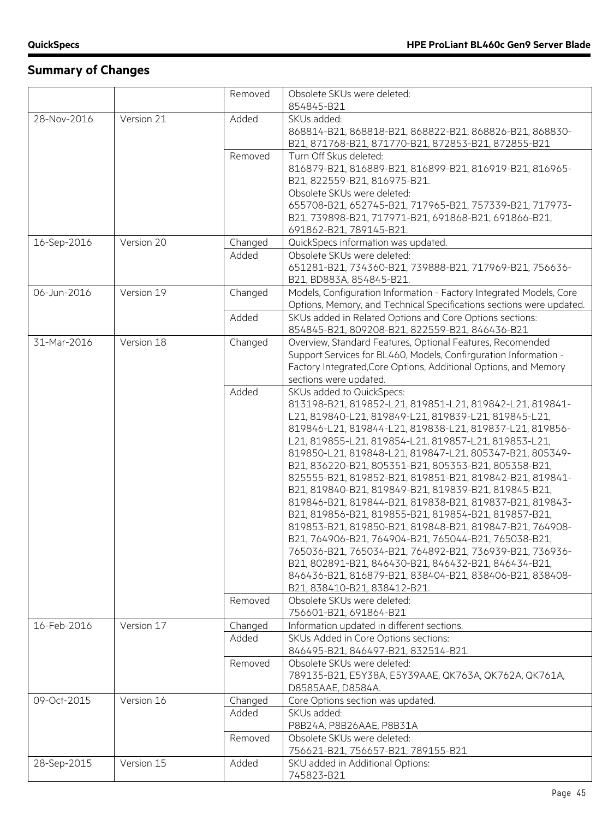|             |            | Removed | Obsolete SKUs were deleted:                                          |
|-------------|------------|---------|----------------------------------------------------------------------|
|             |            |         | 854845-B21                                                           |
| 28-Nov-2016 | Version 21 | Added   | SKUs added:                                                          |
|             |            |         | 868814-B21, 868818-B21, 868822-B21, 868826-B21, 868830-              |
|             |            |         | B21, 871768-B21, 871770-B21, 872853-B21, 872855-B21                  |
|             |            | Removed | Turn Off Skus deleted:                                               |
|             |            |         | 816879-B21, 816889-B21, 816899-B21, 816919-B21, 816965-              |
|             |            |         | B21, 822559-B21, 816975-B21.                                         |
|             |            |         | Obsolete SKUs were deleted:                                          |
|             |            |         | 655708-B21, 652745-B21, 717965-B21, 757339-B21, 717973-              |
|             |            |         | B21, 739898-B21, 717971-B21, 691868-B21, 691866-B21,                 |
|             |            |         | 691862-B21, 789145-B21.                                              |
| 16-Sep-2016 | Version 20 | Changed | QuickSpecs information was updated.                                  |
|             |            | Added   | Obsolete SKUs were deleted:                                          |
|             |            |         | 651281-B21, 734360-B21, 739888-B21, 717969-B21, 756636-              |
|             |            |         | B21, BD883A, 854845-B21.                                             |
| 06-Jun-2016 | Version 19 | Changed | Models, Configuration Information - Factory Integrated Models, Core  |
|             |            |         | Options, Memory, and Technical Specifications sections were updated. |
|             |            | Added   | SKUs added in Related Options and Core Options sections:             |
|             |            |         | 854845-B21, 809208-B21, 822559-B21, 846436-B21                       |
| 31-Mar-2016 | Version 18 | Changed | Overview, Standard Features, Optional Features, Recomended           |
|             |            |         | Support Services for BL460, Models, Confirguration Information -     |
|             |            |         | Factory Integrated, Core Options, Additional Options, and Memory     |
|             |            |         | sections were updated.                                               |
|             |            | Added   | SKUs added to QuickSpecs:                                            |
|             |            |         | 813198-B21, 819852-L21, 819851-L21, 819842-L21, 819841-              |
|             |            |         |                                                                      |
|             |            |         | L21, 819840-L21, 819849-L21, 819839-L21, 819845-L21,                 |
|             |            |         | 819846-L21, 819844-L21, 819838-L21, 819837-L21, 819856-              |
|             |            |         | L21, 819855-L21, 819854-L21, 819857-L21, 819853-L21,                 |
|             |            |         | 819850-L21, 819848-L21, 819847-L21, 805347-B21, 805349-              |
|             |            |         | B21, 836220-B21, 805351-B21, 805353-B21, 805358-B21,                 |
|             |            |         | 825555-B21, 819852-B21, 819851-B21, 819842-B21, 819841-              |
|             |            |         | B21, 819840-B21, 819849-B21, 819839-B21, 819845-B21,                 |
|             |            |         | 819846-B21, 819844-B21, 819838-B21, 819837-B21, 819843-              |
|             |            |         | B21, 819856-B21, 819855-B21, 819854-B21, 819857-B21,                 |
|             |            |         | 819853-B21, 819850-B21, 819848-B21, 819847-B21, 764908-              |
|             |            |         | B21, 764906-B21, 764904-B21, 765044-B21, 765038-B21,                 |
|             |            |         | 765036-B21, 765034-B21, 764892-B21, 736939-B21, 736936-              |
|             |            |         | B21, 802891-B21, 846430-B21, 846432-B21, 846434-B21,                 |
|             |            |         | 846436-B21, 816879-B21, 838404-B21, 838406-B21, 838408-              |
|             |            |         | B21, 838410-B21, 838412-B21.                                         |
|             |            | Removed | Obsolete SKUs were deleted:                                          |
|             |            |         | 756601-B21, 691864-B21                                               |
| 16-Feb-2016 | Version 17 | Changed | Information updated in different sections.                           |
|             |            | Added   | SKUs Added in Core Options sections:                                 |
|             |            |         | 846495-B21, 846497-B21, 832514-B21.                                  |
|             |            | Removed | Obsolete SKUs were deleted:                                          |
|             |            |         | 789135-B21, E5Y38A, E5Y39AAE, QK763A, QK762A, QK761A,                |
|             |            |         | D8585AAE, D8584A.                                                    |
|             |            |         |                                                                      |
| 09-Oct-2015 | Version 16 | Changed | Core Options section was updated.                                    |
|             |            | Added   | SKUs added:                                                          |
|             |            |         | P8B24A, P8B26AAE, P8B31A                                             |
|             |            | Removed | Obsolete SKUs were deleted:                                          |
|             |            |         | 756621-B21, 756657-B21, 789155-B21                                   |
| 28-Sep-2015 | Version 15 | Added   | SKU added in Additional Options:                                     |
|             |            |         | 745823-B21                                                           |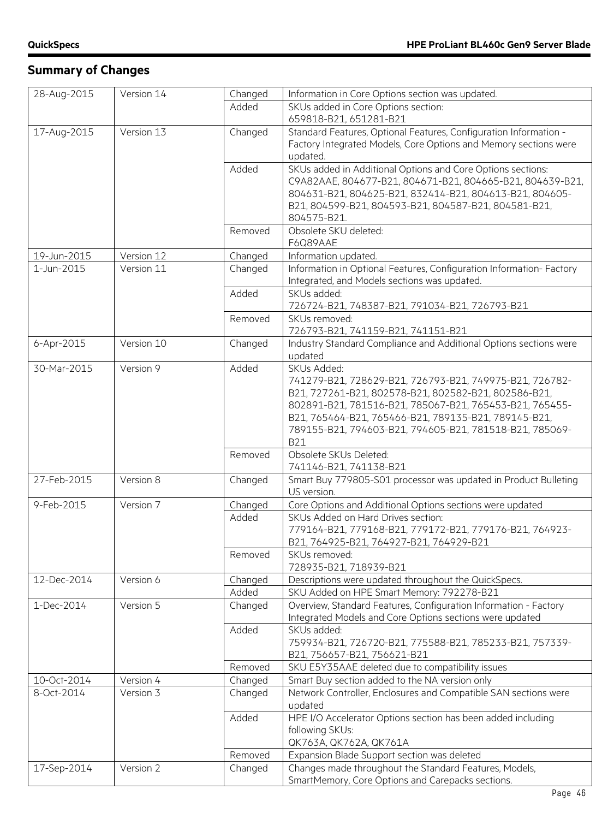| Added<br>SKUs added in Core Options section:<br>659818-B21, 651281-B21<br>Standard Features, Optional Features, Configuration Information -<br>17-Aug-2015<br>Version 13<br>Changed<br>Factory Integrated Models, Core Options and Memory sections were<br>updated.<br>Added<br>SKUs added in Additional Options and Core Options sections:<br>C9A82AAE, 804677-B21, 804671-B21, 804665-B21, 804639-B21,<br>804631-B21, 804625-B21, 832414-B21, 804613-B21, 804605-<br>B21, 804599-B21, 804593-B21, 804587-B21, 804581-B21,<br>804575-B21.<br>Obsolete SKU deleted:<br>Removed<br>F6Q89AAE<br>Changed<br>Information updated.<br>19-Jun-2015<br>Version 12<br>Information in Optional Features, Configuration Information- Factory<br>1-Jun-2015<br>Version 11<br>Changed<br>Integrated, and Models sections was updated.<br>Added<br>SKUs added:<br>726724-B21, 748387-B21, 791034-B21, 726793-B21<br>Removed<br>SKUs removed:<br>726793-B21, 741159-B21, 741151-B21<br>Industry Standard Compliance and Additional Options sections were<br>6-Apr-2015<br>Version 10<br>Changed<br>updated<br>30-Mar-2015<br>Version 9<br>Added<br>SKUs Added:<br>741279-B21, 728629-B21, 726793-B21, 749975-B21, 726782-<br>B21, 727261-B21, 802578-B21, 802582-B21, 802586-B21,<br>802891-B21, 781516-B21, 785067-B21, 765453-B21, 765455-<br>B21, 765464-B21, 765466-B21, 789135-B21, 789145-B21,<br>789155-B21, 794603-B21, 794605-B21, 781518-B21, 785069-<br><b>B21</b><br>Obsolete SKUs Deleted:<br>Removed<br>741146-B21, 741138-B21<br>Smart Buy 779805-S01 processor was updated in Product Bulleting<br>27-Feb-2015<br>Version 8<br>Changed<br>US version.<br>Version 7<br>Core Options and Additional Options sections were updated<br>9-Feb-2015<br>Changed<br>SKUs Added on Hard Drives section:<br>Added<br>779164-B21, 779168-B21, 779172-B21, 779176-B21, 764923-<br>B21, 764925-B21, 764927-B21, 764929-B21<br>SKUs removed:<br>Removed<br>728935-B21, 718939-B21<br>12-Dec-2014<br>Descriptions were updated throughout the QuickSpecs.<br>Version 6<br>Changed<br>Added<br>SKU Added on HPE Smart Memory: 792278-B21<br>Overview, Standard Features, Configuration Information - Factory<br>1-Dec-2014<br>Version 5<br>Changed<br>Integrated Models and Core Options sections were updated<br>Added<br>SKUs added:<br>759934-B21, 726720-B21, 775588-B21, 785233-B21, 757339-<br>B21, 756657-B21, 756621-B21<br>SKU E5Y35AAE deleted due to compatibility issues<br>Removed<br>Smart Buy section added to the NA version only<br>10-Oct-2014<br>Version 4<br>Changed<br>Version 3<br>Network Controller, Enclosures and Compatible SAN sections were<br>8-Oct-2014<br>Changed<br>updated<br>Added<br>HPE I/O Accelerator Options section has been added including<br>following SKUs:<br>QK763A, QK762A, QK761A<br>Expansion Blade Support section was deleted<br>Removed<br>Changes made throughout the Standard Features, Models,<br>17-Sep-2014<br>Version 2<br>Changed |             |            |         |                                                   |
|---------------------------------------------------------------------------------------------------------------------------------------------------------------------------------------------------------------------------------------------------------------------------------------------------------------------------------------------------------------------------------------------------------------------------------------------------------------------------------------------------------------------------------------------------------------------------------------------------------------------------------------------------------------------------------------------------------------------------------------------------------------------------------------------------------------------------------------------------------------------------------------------------------------------------------------------------------------------------------------------------------------------------------------------------------------------------------------------------------------------------------------------------------------------------------------------------------------------------------------------------------------------------------------------------------------------------------------------------------------------------------------------------------------------------------------------------------------------------------------------------------------------------------------------------------------------------------------------------------------------------------------------------------------------------------------------------------------------------------------------------------------------------------------------------------------------------------------------------------------------------------------------------------------------------------------------------------------------------------------------------------------------------------------------------------------------------------------------------------------------------------------------------------------------------------------------------------------------------------------------------------------------------------------------------------------------------------------------------------------------------------------------------------------------------------------------------------------------------------------------------------------------------------------------------------------------------------------------------------------------------------------------------------------------------------------------------------------------------------------------------------------------------------------------------------------------------------------------------------------------------------------------------------------------------------------------------------------------------------|-------------|------------|---------|---------------------------------------------------|
|                                                                                                                                                                                                                                                                                                                                                                                                                                                                                                                                                                                                                                                                                                                                                                                                                                                                                                                                                                                                                                                                                                                                                                                                                                                                                                                                                                                                                                                                                                                                                                                                                                                                                                                                                                                                                                                                                                                                                                                                                                                                                                                                                                                                                                                                                                                                                                                                                                                                                                                                                                                                                                                                                                                                                                                                                                                                                                                                                                                 | 28-Aug-2015 | Version 14 | Changed | Information in Core Options section was updated.  |
|                                                                                                                                                                                                                                                                                                                                                                                                                                                                                                                                                                                                                                                                                                                                                                                                                                                                                                                                                                                                                                                                                                                                                                                                                                                                                                                                                                                                                                                                                                                                                                                                                                                                                                                                                                                                                                                                                                                                                                                                                                                                                                                                                                                                                                                                                                                                                                                                                                                                                                                                                                                                                                                                                                                                                                                                                                                                                                                                                                                 |             |            |         |                                                   |
|                                                                                                                                                                                                                                                                                                                                                                                                                                                                                                                                                                                                                                                                                                                                                                                                                                                                                                                                                                                                                                                                                                                                                                                                                                                                                                                                                                                                                                                                                                                                                                                                                                                                                                                                                                                                                                                                                                                                                                                                                                                                                                                                                                                                                                                                                                                                                                                                                                                                                                                                                                                                                                                                                                                                                                                                                                                                                                                                                                                 |             |            |         |                                                   |
|                                                                                                                                                                                                                                                                                                                                                                                                                                                                                                                                                                                                                                                                                                                                                                                                                                                                                                                                                                                                                                                                                                                                                                                                                                                                                                                                                                                                                                                                                                                                                                                                                                                                                                                                                                                                                                                                                                                                                                                                                                                                                                                                                                                                                                                                                                                                                                                                                                                                                                                                                                                                                                                                                                                                                                                                                                                                                                                                                                                 |             |            |         |                                                   |
|                                                                                                                                                                                                                                                                                                                                                                                                                                                                                                                                                                                                                                                                                                                                                                                                                                                                                                                                                                                                                                                                                                                                                                                                                                                                                                                                                                                                                                                                                                                                                                                                                                                                                                                                                                                                                                                                                                                                                                                                                                                                                                                                                                                                                                                                                                                                                                                                                                                                                                                                                                                                                                                                                                                                                                                                                                                                                                                                                                                 |             |            |         |                                                   |
|                                                                                                                                                                                                                                                                                                                                                                                                                                                                                                                                                                                                                                                                                                                                                                                                                                                                                                                                                                                                                                                                                                                                                                                                                                                                                                                                                                                                                                                                                                                                                                                                                                                                                                                                                                                                                                                                                                                                                                                                                                                                                                                                                                                                                                                                                                                                                                                                                                                                                                                                                                                                                                                                                                                                                                                                                                                                                                                                                                                 |             |            |         |                                                   |
|                                                                                                                                                                                                                                                                                                                                                                                                                                                                                                                                                                                                                                                                                                                                                                                                                                                                                                                                                                                                                                                                                                                                                                                                                                                                                                                                                                                                                                                                                                                                                                                                                                                                                                                                                                                                                                                                                                                                                                                                                                                                                                                                                                                                                                                                                                                                                                                                                                                                                                                                                                                                                                                                                                                                                                                                                                                                                                                                                                                 |             |            |         |                                                   |
|                                                                                                                                                                                                                                                                                                                                                                                                                                                                                                                                                                                                                                                                                                                                                                                                                                                                                                                                                                                                                                                                                                                                                                                                                                                                                                                                                                                                                                                                                                                                                                                                                                                                                                                                                                                                                                                                                                                                                                                                                                                                                                                                                                                                                                                                                                                                                                                                                                                                                                                                                                                                                                                                                                                                                                                                                                                                                                                                                                                 |             |            |         |                                                   |
|                                                                                                                                                                                                                                                                                                                                                                                                                                                                                                                                                                                                                                                                                                                                                                                                                                                                                                                                                                                                                                                                                                                                                                                                                                                                                                                                                                                                                                                                                                                                                                                                                                                                                                                                                                                                                                                                                                                                                                                                                                                                                                                                                                                                                                                                                                                                                                                                                                                                                                                                                                                                                                                                                                                                                                                                                                                                                                                                                                                 |             |            |         |                                                   |
|                                                                                                                                                                                                                                                                                                                                                                                                                                                                                                                                                                                                                                                                                                                                                                                                                                                                                                                                                                                                                                                                                                                                                                                                                                                                                                                                                                                                                                                                                                                                                                                                                                                                                                                                                                                                                                                                                                                                                                                                                                                                                                                                                                                                                                                                                                                                                                                                                                                                                                                                                                                                                                                                                                                                                                                                                                                                                                                                                                                 |             |            |         |                                                   |
|                                                                                                                                                                                                                                                                                                                                                                                                                                                                                                                                                                                                                                                                                                                                                                                                                                                                                                                                                                                                                                                                                                                                                                                                                                                                                                                                                                                                                                                                                                                                                                                                                                                                                                                                                                                                                                                                                                                                                                                                                                                                                                                                                                                                                                                                                                                                                                                                                                                                                                                                                                                                                                                                                                                                                                                                                                                                                                                                                                                 |             |            |         |                                                   |
|                                                                                                                                                                                                                                                                                                                                                                                                                                                                                                                                                                                                                                                                                                                                                                                                                                                                                                                                                                                                                                                                                                                                                                                                                                                                                                                                                                                                                                                                                                                                                                                                                                                                                                                                                                                                                                                                                                                                                                                                                                                                                                                                                                                                                                                                                                                                                                                                                                                                                                                                                                                                                                                                                                                                                                                                                                                                                                                                                                                 |             |            |         |                                                   |
|                                                                                                                                                                                                                                                                                                                                                                                                                                                                                                                                                                                                                                                                                                                                                                                                                                                                                                                                                                                                                                                                                                                                                                                                                                                                                                                                                                                                                                                                                                                                                                                                                                                                                                                                                                                                                                                                                                                                                                                                                                                                                                                                                                                                                                                                                                                                                                                                                                                                                                                                                                                                                                                                                                                                                                                                                                                                                                                                                                                 |             |            |         |                                                   |
|                                                                                                                                                                                                                                                                                                                                                                                                                                                                                                                                                                                                                                                                                                                                                                                                                                                                                                                                                                                                                                                                                                                                                                                                                                                                                                                                                                                                                                                                                                                                                                                                                                                                                                                                                                                                                                                                                                                                                                                                                                                                                                                                                                                                                                                                                                                                                                                                                                                                                                                                                                                                                                                                                                                                                                                                                                                                                                                                                                                 |             |            |         |                                                   |
|                                                                                                                                                                                                                                                                                                                                                                                                                                                                                                                                                                                                                                                                                                                                                                                                                                                                                                                                                                                                                                                                                                                                                                                                                                                                                                                                                                                                                                                                                                                                                                                                                                                                                                                                                                                                                                                                                                                                                                                                                                                                                                                                                                                                                                                                                                                                                                                                                                                                                                                                                                                                                                                                                                                                                                                                                                                                                                                                                                                 |             |            |         |                                                   |
|                                                                                                                                                                                                                                                                                                                                                                                                                                                                                                                                                                                                                                                                                                                                                                                                                                                                                                                                                                                                                                                                                                                                                                                                                                                                                                                                                                                                                                                                                                                                                                                                                                                                                                                                                                                                                                                                                                                                                                                                                                                                                                                                                                                                                                                                                                                                                                                                                                                                                                                                                                                                                                                                                                                                                                                                                                                                                                                                                                                 |             |            |         |                                                   |
|                                                                                                                                                                                                                                                                                                                                                                                                                                                                                                                                                                                                                                                                                                                                                                                                                                                                                                                                                                                                                                                                                                                                                                                                                                                                                                                                                                                                                                                                                                                                                                                                                                                                                                                                                                                                                                                                                                                                                                                                                                                                                                                                                                                                                                                                                                                                                                                                                                                                                                                                                                                                                                                                                                                                                                                                                                                                                                                                                                                 |             |            |         |                                                   |
|                                                                                                                                                                                                                                                                                                                                                                                                                                                                                                                                                                                                                                                                                                                                                                                                                                                                                                                                                                                                                                                                                                                                                                                                                                                                                                                                                                                                                                                                                                                                                                                                                                                                                                                                                                                                                                                                                                                                                                                                                                                                                                                                                                                                                                                                                                                                                                                                                                                                                                                                                                                                                                                                                                                                                                                                                                                                                                                                                                                 |             |            |         |                                                   |
|                                                                                                                                                                                                                                                                                                                                                                                                                                                                                                                                                                                                                                                                                                                                                                                                                                                                                                                                                                                                                                                                                                                                                                                                                                                                                                                                                                                                                                                                                                                                                                                                                                                                                                                                                                                                                                                                                                                                                                                                                                                                                                                                                                                                                                                                                                                                                                                                                                                                                                                                                                                                                                                                                                                                                                                                                                                                                                                                                                                 |             |            |         |                                                   |
|                                                                                                                                                                                                                                                                                                                                                                                                                                                                                                                                                                                                                                                                                                                                                                                                                                                                                                                                                                                                                                                                                                                                                                                                                                                                                                                                                                                                                                                                                                                                                                                                                                                                                                                                                                                                                                                                                                                                                                                                                                                                                                                                                                                                                                                                                                                                                                                                                                                                                                                                                                                                                                                                                                                                                                                                                                                                                                                                                                                 |             |            |         |                                                   |
|                                                                                                                                                                                                                                                                                                                                                                                                                                                                                                                                                                                                                                                                                                                                                                                                                                                                                                                                                                                                                                                                                                                                                                                                                                                                                                                                                                                                                                                                                                                                                                                                                                                                                                                                                                                                                                                                                                                                                                                                                                                                                                                                                                                                                                                                                                                                                                                                                                                                                                                                                                                                                                                                                                                                                                                                                                                                                                                                                                                 |             |            |         |                                                   |
|                                                                                                                                                                                                                                                                                                                                                                                                                                                                                                                                                                                                                                                                                                                                                                                                                                                                                                                                                                                                                                                                                                                                                                                                                                                                                                                                                                                                                                                                                                                                                                                                                                                                                                                                                                                                                                                                                                                                                                                                                                                                                                                                                                                                                                                                                                                                                                                                                                                                                                                                                                                                                                                                                                                                                                                                                                                                                                                                                                                 |             |            |         |                                                   |
|                                                                                                                                                                                                                                                                                                                                                                                                                                                                                                                                                                                                                                                                                                                                                                                                                                                                                                                                                                                                                                                                                                                                                                                                                                                                                                                                                                                                                                                                                                                                                                                                                                                                                                                                                                                                                                                                                                                                                                                                                                                                                                                                                                                                                                                                                                                                                                                                                                                                                                                                                                                                                                                                                                                                                                                                                                                                                                                                                                                 |             |            |         |                                                   |
|                                                                                                                                                                                                                                                                                                                                                                                                                                                                                                                                                                                                                                                                                                                                                                                                                                                                                                                                                                                                                                                                                                                                                                                                                                                                                                                                                                                                                                                                                                                                                                                                                                                                                                                                                                                                                                                                                                                                                                                                                                                                                                                                                                                                                                                                                                                                                                                                                                                                                                                                                                                                                                                                                                                                                                                                                                                                                                                                                                                 |             |            |         |                                                   |
|                                                                                                                                                                                                                                                                                                                                                                                                                                                                                                                                                                                                                                                                                                                                                                                                                                                                                                                                                                                                                                                                                                                                                                                                                                                                                                                                                                                                                                                                                                                                                                                                                                                                                                                                                                                                                                                                                                                                                                                                                                                                                                                                                                                                                                                                                                                                                                                                                                                                                                                                                                                                                                                                                                                                                                                                                                                                                                                                                                                 |             |            |         |                                                   |
|                                                                                                                                                                                                                                                                                                                                                                                                                                                                                                                                                                                                                                                                                                                                                                                                                                                                                                                                                                                                                                                                                                                                                                                                                                                                                                                                                                                                                                                                                                                                                                                                                                                                                                                                                                                                                                                                                                                                                                                                                                                                                                                                                                                                                                                                                                                                                                                                                                                                                                                                                                                                                                                                                                                                                                                                                                                                                                                                                                                 |             |            |         |                                                   |
|                                                                                                                                                                                                                                                                                                                                                                                                                                                                                                                                                                                                                                                                                                                                                                                                                                                                                                                                                                                                                                                                                                                                                                                                                                                                                                                                                                                                                                                                                                                                                                                                                                                                                                                                                                                                                                                                                                                                                                                                                                                                                                                                                                                                                                                                                                                                                                                                                                                                                                                                                                                                                                                                                                                                                                                                                                                                                                                                                                                 |             |            |         |                                                   |
|                                                                                                                                                                                                                                                                                                                                                                                                                                                                                                                                                                                                                                                                                                                                                                                                                                                                                                                                                                                                                                                                                                                                                                                                                                                                                                                                                                                                                                                                                                                                                                                                                                                                                                                                                                                                                                                                                                                                                                                                                                                                                                                                                                                                                                                                                                                                                                                                                                                                                                                                                                                                                                                                                                                                                                                                                                                                                                                                                                                 |             |            |         |                                                   |
|                                                                                                                                                                                                                                                                                                                                                                                                                                                                                                                                                                                                                                                                                                                                                                                                                                                                                                                                                                                                                                                                                                                                                                                                                                                                                                                                                                                                                                                                                                                                                                                                                                                                                                                                                                                                                                                                                                                                                                                                                                                                                                                                                                                                                                                                                                                                                                                                                                                                                                                                                                                                                                                                                                                                                                                                                                                                                                                                                                                 |             |            |         |                                                   |
|                                                                                                                                                                                                                                                                                                                                                                                                                                                                                                                                                                                                                                                                                                                                                                                                                                                                                                                                                                                                                                                                                                                                                                                                                                                                                                                                                                                                                                                                                                                                                                                                                                                                                                                                                                                                                                                                                                                                                                                                                                                                                                                                                                                                                                                                                                                                                                                                                                                                                                                                                                                                                                                                                                                                                                                                                                                                                                                                                                                 |             |            |         |                                                   |
|                                                                                                                                                                                                                                                                                                                                                                                                                                                                                                                                                                                                                                                                                                                                                                                                                                                                                                                                                                                                                                                                                                                                                                                                                                                                                                                                                                                                                                                                                                                                                                                                                                                                                                                                                                                                                                                                                                                                                                                                                                                                                                                                                                                                                                                                                                                                                                                                                                                                                                                                                                                                                                                                                                                                                                                                                                                                                                                                                                                 |             |            |         |                                                   |
|                                                                                                                                                                                                                                                                                                                                                                                                                                                                                                                                                                                                                                                                                                                                                                                                                                                                                                                                                                                                                                                                                                                                                                                                                                                                                                                                                                                                                                                                                                                                                                                                                                                                                                                                                                                                                                                                                                                                                                                                                                                                                                                                                                                                                                                                                                                                                                                                                                                                                                                                                                                                                                                                                                                                                                                                                                                                                                                                                                                 |             |            |         |                                                   |
|                                                                                                                                                                                                                                                                                                                                                                                                                                                                                                                                                                                                                                                                                                                                                                                                                                                                                                                                                                                                                                                                                                                                                                                                                                                                                                                                                                                                                                                                                                                                                                                                                                                                                                                                                                                                                                                                                                                                                                                                                                                                                                                                                                                                                                                                                                                                                                                                                                                                                                                                                                                                                                                                                                                                                                                                                                                                                                                                                                                 |             |            |         |                                                   |
|                                                                                                                                                                                                                                                                                                                                                                                                                                                                                                                                                                                                                                                                                                                                                                                                                                                                                                                                                                                                                                                                                                                                                                                                                                                                                                                                                                                                                                                                                                                                                                                                                                                                                                                                                                                                                                                                                                                                                                                                                                                                                                                                                                                                                                                                                                                                                                                                                                                                                                                                                                                                                                                                                                                                                                                                                                                                                                                                                                                 |             |            |         |                                                   |
|                                                                                                                                                                                                                                                                                                                                                                                                                                                                                                                                                                                                                                                                                                                                                                                                                                                                                                                                                                                                                                                                                                                                                                                                                                                                                                                                                                                                                                                                                                                                                                                                                                                                                                                                                                                                                                                                                                                                                                                                                                                                                                                                                                                                                                                                                                                                                                                                                                                                                                                                                                                                                                                                                                                                                                                                                                                                                                                                                                                 |             |            |         |                                                   |
|                                                                                                                                                                                                                                                                                                                                                                                                                                                                                                                                                                                                                                                                                                                                                                                                                                                                                                                                                                                                                                                                                                                                                                                                                                                                                                                                                                                                                                                                                                                                                                                                                                                                                                                                                                                                                                                                                                                                                                                                                                                                                                                                                                                                                                                                                                                                                                                                                                                                                                                                                                                                                                                                                                                                                                                                                                                                                                                                                                                 |             |            |         |                                                   |
|                                                                                                                                                                                                                                                                                                                                                                                                                                                                                                                                                                                                                                                                                                                                                                                                                                                                                                                                                                                                                                                                                                                                                                                                                                                                                                                                                                                                                                                                                                                                                                                                                                                                                                                                                                                                                                                                                                                                                                                                                                                                                                                                                                                                                                                                                                                                                                                                                                                                                                                                                                                                                                                                                                                                                                                                                                                                                                                                                                                 |             |            |         |                                                   |
|                                                                                                                                                                                                                                                                                                                                                                                                                                                                                                                                                                                                                                                                                                                                                                                                                                                                                                                                                                                                                                                                                                                                                                                                                                                                                                                                                                                                                                                                                                                                                                                                                                                                                                                                                                                                                                                                                                                                                                                                                                                                                                                                                                                                                                                                                                                                                                                                                                                                                                                                                                                                                                                                                                                                                                                                                                                                                                                                                                                 |             |            |         |                                                   |
|                                                                                                                                                                                                                                                                                                                                                                                                                                                                                                                                                                                                                                                                                                                                                                                                                                                                                                                                                                                                                                                                                                                                                                                                                                                                                                                                                                                                                                                                                                                                                                                                                                                                                                                                                                                                                                                                                                                                                                                                                                                                                                                                                                                                                                                                                                                                                                                                                                                                                                                                                                                                                                                                                                                                                                                                                                                                                                                                                                                 |             |            |         |                                                   |
|                                                                                                                                                                                                                                                                                                                                                                                                                                                                                                                                                                                                                                                                                                                                                                                                                                                                                                                                                                                                                                                                                                                                                                                                                                                                                                                                                                                                                                                                                                                                                                                                                                                                                                                                                                                                                                                                                                                                                                                                                                                                                                                                                                                                                                                                                                                                                                                                                                                                                                                                                                                                                                                                                                                                                                                                                                                                                                                                                                                 |             |            |         |                                                   |
|                                                                                                                                                                                                                                                                                                                                                                                                                                                                                                                                                                                                                                                                                                                                                                                                                                                                                                                                                                                                                                                                                                                                                                                                                                                                                                                                                                                                                                                                                                                                                                                                                                                                                                                                                                                                                                                                                                                                                                                                                                                                                                                                                                                                                                                                                                                                                                                                                                                                                                                                                                                                                                                                                                                                                                                                                                                                                                                                                                                 |             |            |         |                                                   |
|                                                                                                                                                                                                                                                                                                                                                                                                                                                                                                                                                                                                                                                                                                                                                                                                                                                                                                                                                                                                                                                                                                                                                                                                                                                                                                                                                                                                                                                                                                                                                                                                                                                                                                                                                                                                                                                                                                                                                                                                                                                                                                                                                                                                                                                                                                                                                                                                                                                                                                                                                                                                                                                                                                                                                                                                                                                                                                                                                                                 |             |            |         |                                                   |
|                                                                                                                                                                                                                                                                                                                                                                                                                                                                                                                                                                                                                                                                                                                                                                                                                                                                                                                                                                                                                                                                                                                                                                                                                                                                                                                                                                                                                                                                                                                                                                                                                                                                                                                                                                                                                                                                                                                                                                                                                                                                                                                                                                                                                                                                                                                                                                                                                                                                                                                                                                                                                                                                                                                                                                                                                                                                                                                                                                                 |             |            |         |                                                   |
|                                                                                                                                                                                                                                                                                                                                                                                                                                                                                                                                                                                                                                                                                                                                                                                                                                                                                                                                                                                                                                                                                                                                                                                                                                                                                                                                                                                                                                                                                                                                                                                                                                                                                                                                                                                                                                                                                                                                                                                                                                                                                                                                                                                                                                                                                                                                                                                                                                                                                                                                                                                                                                                                                                                                                                                                                                                                                                                                                                                 |             |            |         |                                                   |
|                                                                                                                                                                                                                                                                                                                                                                                                                                                                                                                                                                                                                                                                                                                                                                                                                                                                                                                                                                                                                                                                                                                                                                                                                                                                                                                                                                                                                                                                                                                                                                                                                                                                                                                                                                                                                                                                                                                                                                                                                                                                                                                                                                                                                                                                                                                                                                                                                                                                                                                                                                                                                                                                                                                                                                                                                                                                                                                                                                                 |             |            |         |                                                   |
|                                                                                                                                                                                                                                                                                                                                                                                                                                                                                                                                                                                                                                                                                                                                                                                                                                                                                                                                                                                                                                                                                                                                                                                                                                                                                                                                                                                                                                                                                                                                                                                                                                                                                                                                                                                                                                                                                                                                                                                                                                                                                                                                                                                                                                                                                                                                                                                                                                                                                                                                                                                                                                                                                                                                                                                                                                                                                                                                                                                 |             |            |         |                                                   |
|                                                                                                                                                                                                                                                                                                                                                                                                                                                                                                                                                                                                                                                                                                                                                                                                                                                                                                                                                                                                                                                                                                                                                                                                                                                                                                                                                                                                                                                                                                                                                                                                                                                                                                                                                                                                                                                                                                                                                                                                                                                                                                                                                                                                                                                                                                                                                                                                                                                                                                                                                                                                                                                                                                                                                                                                                                                                                                                                                                                 |             |            |         |                                                   |
|                                                                                                                                                                                                                                                                                                                                                                                                                                                                                                                                                                                                                                                                                                                                                                                                                                                                                                                                                                                                                                                                                                                                                                                                                                                                                                                                                                                                                                                                                                                                                                                                                                                                                                                                                                                                                                                                                                                                                                                                                                                                                                                                                                                                                                                                                                                                                                                                                                                                                                                                                                                                                                                                                                                                                                                                                                                                                                                                                                                 |             |            |         |                                                   |
|                                                                                                                                                                                                                                                                                                                                                                                                                                                                                                                                                                                                                                                                                                                                                                                                                                                                                                                                                                                                                                                                                                                                                                                                                                                                                                                                                                                                                                                                                                                                                                                                                                                                                                                                                                                                                                                                                                                                                                                                                                                                                                                                                                                                                                                                                                                                                                                                                                                                                                                                                                                                                                                                                                                                                                                                                                                                                                                                                                                 |             |            |         |                                                   |
|                                                                                                                                                                                                                                                                                                                                                                                                                                                                                                                                                                                                                                                                                                                                                                                                                                                                                                                                                                                                                                                                                                                                                                                                                                                                                                                                                                                                                                                                                                                                                                                                                                                                                                                                                                                                                                                                                                                                                                                                                                                                                                                                                                                                                                                                                                                                                                                                                                                                                                                                                                                                                                                                                                                                                                                                                                                                                                                                                                                 |             |            |         |                                                   |
|                                                                                                                                                                                                                                                                                                                                                                                                                                                                                                                                                                                                                                                                                                                                                                                                                                                                                                                                                                                                                                                                                                                                                                                                                                                                                                                                                                                                                                                                                                                                                                                                                                                                                                                                                                                                                                                                                                                                                                                                                                                                                                                                                                                                                                                                                                                                                                                                                                                                                                                                                                                                                                                                                                                                                                                                                                                                                                                                                                                 |             |            |         |                                                   |
|                                                                                                                                                                                                                                                                                                                                                                                                                                                                                                                                                                                                                                                                                                                                                                                                                                                                                                                                                                                                                                                                                                                                                                                                                                                                                                                                                                                                                                                                                                                                                                                                                                                                                                                                                                                                                                                                                                                                                                                                                                                                                                                                                                                                                                                                                                                                                                                                                                                                                                                                                                                                                                                                                                                                                                                                                                                                                                                                                                                 |             |            |         |                                                   |
|                                                                                                                                                                                                                                                                                                                                                                                                                                                                                                                                                                                                                                                                                                                                                                                                                                                                                                                                                                                                                                                                                                                                                                                                                                                                                                                                                                                                                                                                                                                                                                                                                                                                                                                                                                                                                                                                                                                                                                                                                                                                                                                                                                                                                                                                                                                                                                                                                                                                                                                                                                                                                                                                                                                                                                                                                                                                                                                                                                                 |             |            |         |                                                   |
|                                                                                                                                                                                                                                                                                                                                                                                                                                                                                                                                                                                                                                                                                                                                                                                                                                                                                                                                                                                                                                                                                                                                                                                                                                                                                                                                                                                                                                                                                                                                                                                                                                                                                                                                                                                                                                                                                                                                                                                                                                                                                                                                                                                                                                                                                                                                                                                                                                                                                                                                                                                                                                                                                                                                                                                                                                                                                                                                                                                 |             |            |         |                                                   |
|                                                                                                                                                                                                                                                                                                                                                                                                                                                                                                                                                                                                                                                                                                                                                                                                                                                                                                                                                                                                                                                                                                                                                                                                                                                                                                                                                                                                                                                                                                                                                                                                                                                                                                                                                                                                                                                                                                                                                                                                                                                                                                                                                                                                                                                                                                                                                                                                                                                                                                                                                                                                                                                                                                                                                                                                                                                                                                                                                                                 |             |            |         |                                                   |
|                                                                                                                                                                                                                                                                                                                                                                                                                                                                                                                                                                                                                                                                                                                                                                                                                                                                                                                                                                                                                                                                                                                                                                                                                                                                                                                                                                                                                                                                                                                                                                                                                                                                                                                                                                                                                                                                                                                                                                                                                                                                                                                                                                                                                                                                                                                                                                                                                                                                                                                                                                                                                                                                                                                                                                                                                                                                                                                                                                                 |             |            |         | SmartMemory, Core Options and Carepacks sections. |